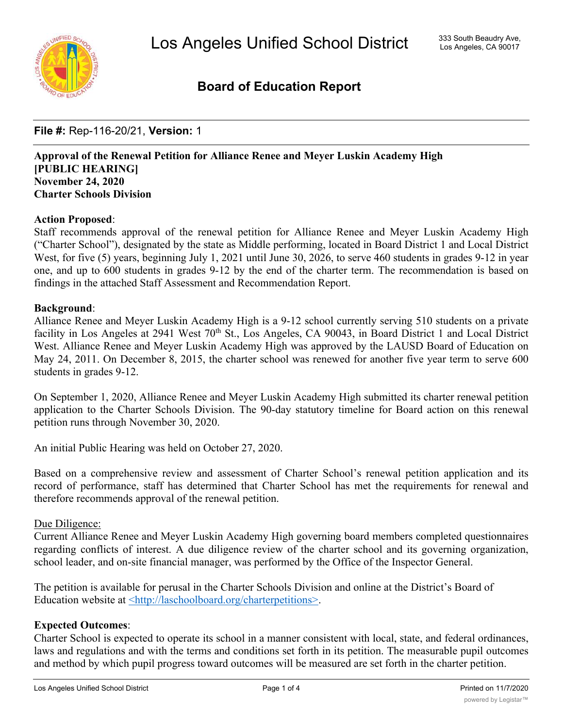

# **Board of Education Report**

**File #:** Rep-116-20/21, **Version:** 1

**Approval of the Renewal Petition for Alliance Renee and Meyer Luskin Academy High [PUBLIC HEARING] November 24, 2020 Charter Schools Division**

## **Action Proposed**:

Staff recommends approval of the renewal petition for Alliance Renee and Meyer Luskin Academy High ("Charter School"), designated by the state as Middle performing, located in Board District 1 and Local District West, for five (5) years, beginning July 1, 2021 until June 30, 2026, to serve 460 students in grades 9-12 in year one, and up to 600 students in grades 9-12 by the end of the charter term. The recommendation is based on findings in the attached Staff Assessment and Recommendation Report.

### **Background**:

Alliance Renee and Meyer Luskin Academy High is a 9-12 school currently serving 510 students on a private facility in Los Angeles at 2941 West 70<sup>th</sup> St., Los Angeles, CA 90043, in Board District 1 and Local District West. Alliance Renee and Meyer Luskin Academy High was approved by the LAUSD Board of Education on May 24, 2011. On December 8, 2015, the charter school was renewed for another five year term to serve 600 students in grades 9-12.

On September 1, 2020, Alliance Renee and Meyer Luskin Academy High submitted its charter renewal petition application to the Charter Schools Division. The 90-day statutory timeline for Board action on this renewal petition runs through November 30, 2020.

An initial Public Hearing was held on October 27, 2020.

Based on a comprehensive review and assessment of Charter School's renewal petition application and its record of performance, staff has determined that Charter School has met the requirements for renewal and therefore recommends approval of the renewal petition.

### Due Diligence:

Current Alliance Renee and Meyer Luskin Academy High governing board members completed questionnaires regarding conflicts of interest. A due diligence review of the charter school and its governing organization, school leader, and on-site financial manager, was performed by the Office of the Inspector General.

The petition is available for perusal in the Charter Schools Division and online at the District's Board of Education website at <http://laschoolboard.org/charterpetitions>.

## **Expected Outcomes**:

Charter School is expected to operate its school in a manner consistent with local, state, and federal ordinances, laws and regulations and with the terms and conditions set forth in its petition. The measurable pupil outcomes and method by which pupil progress toward outcomes will be measured are set forth in the charter petition.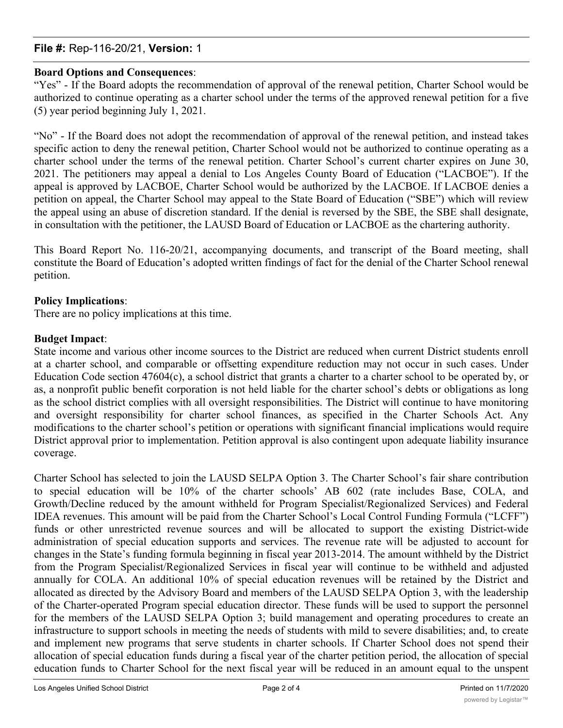## **File #:** Rep-116-20/21, **Version:** 1

## **Board Options and Consequences**:

"Yes" - If the Board adopts the recommendation of approval of the renewal petition, Charter School would be authorized to continue operating as a charter school under the terms of the approved renewal petition for a five (5) year period beginning July 1, 2021.

"No" - If the Board does not adopt the recommendation of approval of the renewal petition, and instead takes specific action to deny the renewal petition, Charter School would not be authorized to continue operating as a charter school under the terms of the renewal petition. Charter School's current charter expires on June 30, 2021. The petitioners may appeal a denial to Los Angeles County Board of Education ("LACBOE"). If the appeal is approved by LACBOE, Charter School would be authorized by the LACBOE. If LACBOE denies a petition on appeal, the Charter School may appeal to the State Board of Education ("SBE") which will review the appeal using an abuse of discretion standard. If the denial is reversed by the SBE, the SBE shall designate, in consultation with the petitioner, the LAUSD Board of Education or LACBOE as the chartering authority.

This Board Report No. 116-20/21, accompanying documents, and transcript of the Board meeting, shall constitute the Board of Education's adopted written findings of fact for the denial of the Charter School renewal petition.

## **Policy Implications**:

There are no policy implications at this time.

### **Budget Impact**:

State income and various other income sources to the District are reduced when current District students enroll at a charter school, and comparable or offsetting expenditure reduction may not occur in such cases. Under Education Code section 47604(c), a school district that grants a charter to a charter school to be operated by, or as, a nonprofit public benefit corporation is not held liable for the charter school's debts or obligations as long as the school district complies with all oversight responsibilities. The District will continue to have monitoring and oversight responsibility for charter school finances, as specified in the Charter Schools Act. Any modifications to the charter school's petition or operations with significant financial implications would require District approval prior to implementation. Petition approval is also contingent upon adequate liability insurance coverage.

Charter School has selected to join the LAUSD SELPA Option 3. The Charter School's fair share contribution to special education will be 10% of the charter schools' AB 602 (rate includes Base, COLA, and Growth/Decline reduced by the amount withheld for Program Specialist/Regionalized Services) and Federal IDEA revenues. This amount will be paid from the Charter School's Local Control Funding Formula ("LCFF") funds or other unrestricted revenue sources and will be allocated to support the existing District-wide administration of special education supports and services. The revenue rate will be adjusted to account for changes in the State's funding formula beginning in fiscal year 2013-2014. The amount withheld by the District from the Program Specialist/Regionalized Services in fiscal year will continue to be withheld and adjusted annually for COLA. An additional 10% of special education revenues will be retained by the District and allocated as directed by the Advisory Board and members of the LAUSD SELPA Option 3, with the leadership of the Charter-operated Program special education director. These funds will be used to support the personnel for the members of the LAUSD SELPA Option 3; build management and operating procedures to create an infrastructure to support schools in meeting the needs of students with mild to severe disabilities; and, to create and implement new programs that serve students in charter schools. If Charter School does not spend their allocation of special education funds during a fiscal year of the charter petition period, the allocation of special education funds to Charter School for the next fiscal year will be reduced in an amount equal to the unspent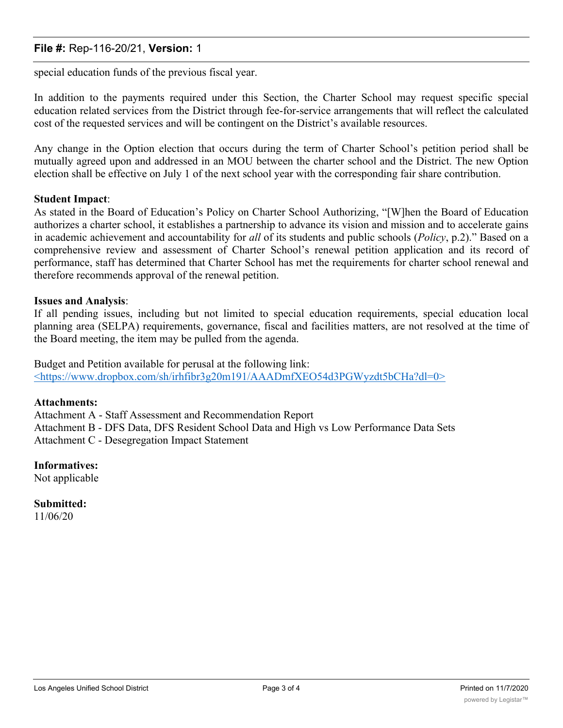## **File #:** Rep-116-20/21, **Version:** 1

special education funds of the previous fiscal year.

In addition to the payments required under this Section, the Charter School may request specific special education related services from the District through fee-for-service arrangements that will reflect the calculated cost of the requested services and will be contingent on the District's available resources.

Any change in the Option election that occurs during the term of Charter School's petition period shall be mutually agreed upon and addressed in an MOU between the charter school and the District. The new Option election shall be effective on July 1 of the next school year with the corresponding fair share contribution.

### **Student Impact**:

As stated in the Board of Education's Policy on Charter School Authorizing, "[W]hen the Board of Education authorizes a charter school, it establishes a partnership to advance its vision and mission and to accelerate gains in academic achievement and accountability for *all* of its students and public schools (*Policy*, p.2)." Based on a comprehensive review and assessment of Charter School's renewal petition application and its record of performance, staff has determined that Charter School has met the requirements for charter school renewal and therefore recommends approval of the renewal petition.

### **Issues and Analysis**:

If all pending issues, including but not limited to special education requirements, special education local planning area (SELPA) requirements, governance, fiscal and facilities matters, are not resolved at the time of the Board meeting, the item may be pulled from the agenda.

Budget and Petition available for perusal at the following link: <https://www.dropbox.com/sh/irhfibr3g20m191/AAADmfXEO54d3PGWyzdt5bCHa?dl=0>

### **Attachments:**

Attachment A - Staff Assessment and Recommendation Report Attachment B - DFS Data, DFS Resident School Data and High vs Low Performance Data Sets Attachment C - Desegregation Impact Statement

## **Informatives:**

Not applicable

**Submitted:** 11/06/20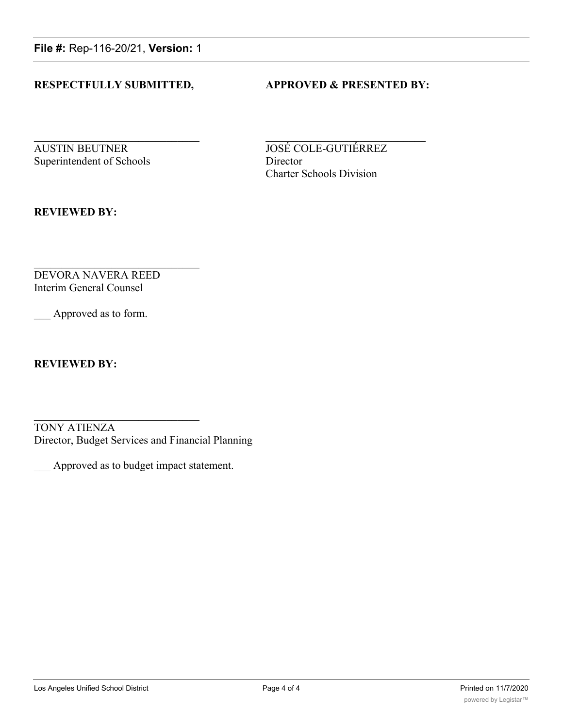**File #:** Rep-116-20/21, **Version:** 1

## **RESPECTFULLY SUBMITTED, APPROVED & PRESENTED BY:**

**AUSTIN BEUTNER JOSÉ COLE-GUTIÉRREZ** Superintendent of Schools Director

Charter Schools Division

**REVIEWED BY:**

DEVORA NAVERA REED Interim General Counsel

Approved as to form.

**REVIEWED BY:**

TONY ATIENZA Director, Budget Services and Financial Planning

\_\_\_ Approved as to budget impact statement.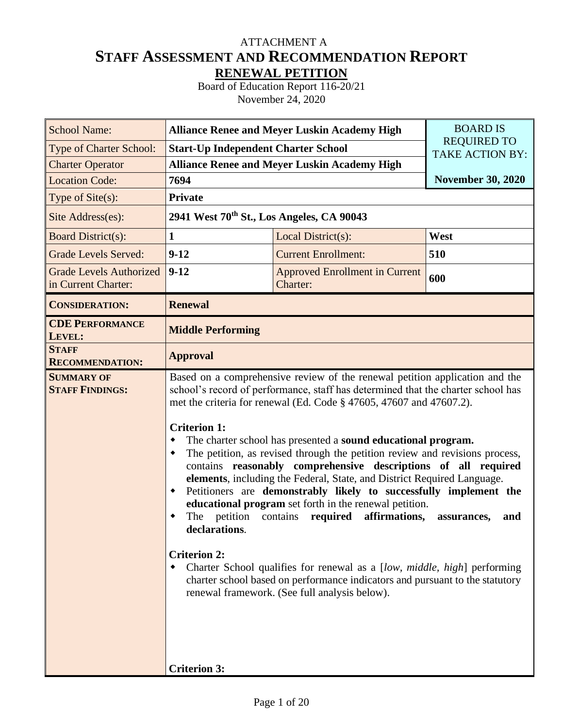# **STAFF ASSESSMENT AND RECOMMENDATION REPORT RENEWAL PETITION** ATTACHMENT A

Board of Education Report 116-20/21 November 24, 2020

| <b>School Name:</b>                                   |                                                                                                                           | <b>Alliance Renee and Meyer Luskin Academy High</b>                                                                                                                                                                                                                                                                                                                                                                                                                                                                                                                                                                                                                                                                                                                                                                                                                                                                      | <b>BOARD IS</b>          |
|-------------------------------------------------------|---------------------------------------------------------------------------------------------------------------------------|--------------------------------------------------------------------------------------------------------------------------------------------------------------------------------------------------------------------------------------------------------------------------------------------------------------------------------------------------------------------------------------------------------------------------------------------------------------------------------------------------------------------------------------------------------------------------------------------------------------------------------------------------------------------------------------------------------------------------------------------------------------------------------------------------------------------------------------------------------------------------------------------------------------------------|--------------------------|
| Type of Charter School:                               | <b>Start-Up Independent Charter School</b>                                                                                | <b>REQUIRED TO</b><br><b>TAKE ACTION BY:</b>                                                                                                                                                                                                                                                                                                                                                                                                                                                                                                                                                                                                                                                                                                                                                                                                                                                                             |                          |
| <b>Charter Operator</b>                               |                                                                                                                           | <b>Alliance Renee and Meyer Luskin Academy High</b>                                                                                                                                                                                                                                                                                                                                                                                                                                                                                                                                                                                                                                                                                                                                                                                                                                                                      |                          |
| <b>Location Code:</b>                                 | 7694                                                                                                                      |                                                                                                                                                                                                                                                                                                                                                                                                                                                                                                                                                                                                                                                                                                                                                                                                                                                                                                                          | <b>November 30, 2020</b> |
| Type of Site(s):                                      | <b>Private</b>                                                                                                            |                                                                                                                                                                                                                                                                                                                                                                                                                                                                                                                                                                                                                                                                                                                                                                                                                                                                                                                          |                          |
| Site Address(es):                                     | 2941 West $70^{th}$ St., Los Angeles, CA 90043                                                                            |                                                                                                                                                                                                                                                                                                                                                                                                                                                                                                                                                                                                                                                                                                                                                                                                                                                                                                                          |                          |
| <b>Board District(s):</b>                             | 1                                                                                                                         | Local District(s):                                                                                                                                                                                                                                                                                                                                                                                                                                                                                                                                                                                                                                                                                                                                                                                                                                                                                                       | West                     |
| <b>Grade Levels Served:</b>                           | $9 - 12$                                                                                                                  | <b>Current Enrollment:</b>                                                                                                                                                                                                                                                                                                                                                                                                                                                                                                                                                                                                                                                                                                                                                                                                                                                                                               | 510                      |
| <b>Grade Levels Authorized</b><br>in Current Charter: | $9 - 12$                                                                                                                  | <b>Approved Enrollment in Current</b><br>Charter:                                                                                                                                                                                                                                                                                                                                                                                                                                                                                                                                                                                                                                                                                                                                                                                                                                                                        | 600                      |
| <b>CONSIDERATION:</b>                                 | <b>Renewal</b>                                                                                                            |                                                                                                                                                                                                                                                                                                                                                                                                                                                                                                                                                                                                                                                                                                                                                                                                                                                                                                                          |                          |
| <b>CDE PERFORMANCE</b><br>LEVEL:                      | <b>Middle Performing</b>                                                                                                  |                                                                                                                                                                                                                                                                                                                                                                                                                                                                                                                                                                                                                                                                                                                                                                                                                                                                                                                          |                          |
| <b>STAFF</b><br><b>RECOMMENDATION:</b>                | <b>Approval</b>                                                                                                           |                                                                                                                                                                                                                                                                                                                                                                                                                                                                                                                                                                                                                                                                                                                                                                                                                                                                                                                          |                          |
| <b>SUMMARY OF</b><br><b>STAFF FINDINGS:</b>           | <b>Criterion 1:</b><br>٠<br>٠<br>٠<br>petition<br>The<br>declarations.<br><b>Criterion 2:</b><br>٠<br><b>Criterion 3:</b> | Based on a comprehensive review of the renewal petition application and the<br>school's record of performance, staff has determined that the charter school has<br>met the criteria for renewal (Ed. Code § 47605, 47607 and 47607.2).<br>The charter school has presented a sound educational program.<br>The petition, as revised through the petition review and revisions process,<br>contains reasonably comprehensive descriptions of all required<br>elements, including the Federal, State, and District Required Language.<br>Petitioners are demonstrably likely to successfully implement the<br>educational program set forth in the renewal petition.<br>affirmations,<br>contains<br>required<br>Charter School qualifies for renewal as a [low, middle, high] performing<br>charter school based on performance indicators and pursuant to the statutory<br>renewal framework. (See full analysis below). | assurances,<br>and       |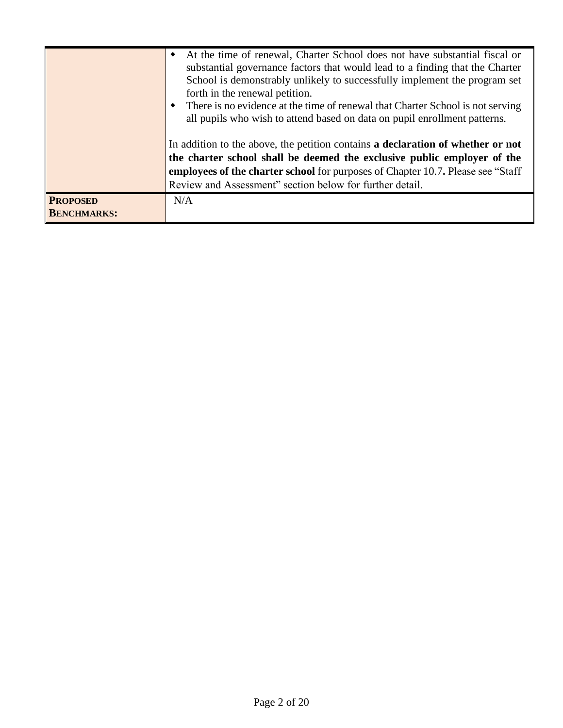|                                       | At the time of renewal, Charter School does not have substantial fiscal or<br>٠<br>substantial governance factors that would lead to a finding that the Charter<br>School is demonstrably unlikely to successfully implement the program set<br>forth in the renewal petition.<br>• There is no evidence at the time of renewal that Charter School is not serving<br>all pupils who wish to attend based on data on pupil enrollment patterns. |
|---------------------------------------|-------------------------------------------------------------------------------------------------------------------------------------------------------------------------------------------------------------------------------------------------------------------------------------------------------------------------------------------------------------------------------------------------------------------------------------------------|
|                                       | In addition to the above, the petition contains a declaration of whether or not<br>the charter school shall be deemed the exclusive public employer of the<br>employees of the charter school for purposes of Chapter 10.7. Please see "Staff"<br>Review and Assessment" section below for further detail.                                                                                                                                      |
| <b>PROPOSED</b><br><b>BENCHMARKS:</b> | N/A                                                                                                                                                                                                                                                                                                                                                                                                                                             |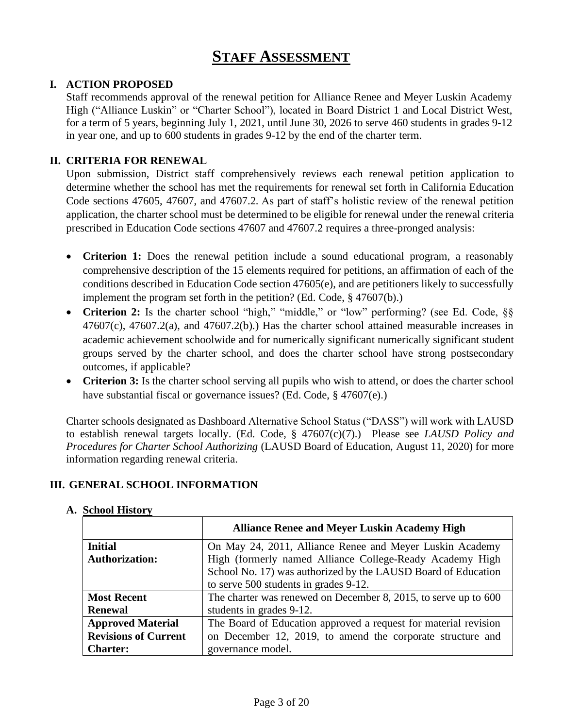# **STAFF ASSESSMENT**

## **I. ACTION PROPOSED**

Staff recommends approval of the renewal petition for Alliance Renee and Meyer Luskin Academy High ("Alliance Luskin" or "Charter School"), located in Board District 1 and Local District West, for a term of 5 years, beginning July 1, 2021, until June 30, 2026 to serve 460 students in grades 9-12 in year one, and up to 600 students in grades 9-12 by the end of the charter term.

## **II. CRITERIA FOR RENEWAL**

Upon submission, District staff comprehensively reviews each renewal petition application to determine whether the school has met the requirements for renewal set forth in California Education Code sections 47605, 47607, and 47607.2. As part of staff's holistic review of the renewal petition application, the charter school must be determined to be eligible for renewal under the renewal criteria prescribed in Education Code sections 47607 and 47607.2 requires a three-pronged analysis:

- **Criterion 1:** Does the renewal petition include a sound educational program, a reasonably comprehensive description of the 15 elements required for petitions, an affirmation of each of the conditions described in Education Code section 47605(e), and are petitioners likely to successfully implement the program set forth in the petition? (Ed. Code, § 47607(b).)
- Criterion 2: Is the charter school "high," "middle," or "low" performing? (see Ed. Code, §§  $47607(c)$ ,  $47607.2(a)$ , and  $47607.2(b)$ . Has the charter school attained measurable increases in academic achievement schoolwide and for numerically significant numerically significant student groups served by the charter school, and does the charter school have strong postsecondary outcomes, if applicable?
- **Criterion 3:** Is the charter school serving all pupils who wish to attend, or does the charter school have substantial fiscal or governance issues? (Ed. Code, § 47607(e).)

Charter schools designated as Dashboard Alternative School Status ("DASS") will work with LAUSD to establish renewal targets locally. (Ed. Code, § 47607(c)(7).) Please see *LAUSD Policy and Procedures for Charter School Authorizing* (LAUSD Board of Education, August 11, 2020) for more information regarding renewal criteria.

## **III. GENERAL SCHOOL INFORMATION**

|                             | <b>Alliance Renee and Meyer Luskin Academy High</b>             |
|-----------------------------|-----------------------------------------------------------------|
| <b>Initial</b>              | On May 24, 2011, Alliance Renee and Meyer Luskin Academy        |
| <b>Authorization:</b>       | High (formerly named Alliance College-Ready Academy High        |
|                             | School No. 17) was authorized by the LAUSD Board of Education   |
|                             | to serve 500 students in grades 9-12.                           |
| <b>Most Recent</b>          | The charter was renewed on December 8, 2015, to serve up to 600 |
| <b>Renewal</b>              | students in grades 9-12.                                        |
| <b>Approved Material</b>    | The Board of Education approved a request for material revision |
| <b>Revisions of Current</b> | on December 12, 2019, to amend the corporate structure and      |
| <b>Charter:</b>             | governance model.                                               |

## **A. School History**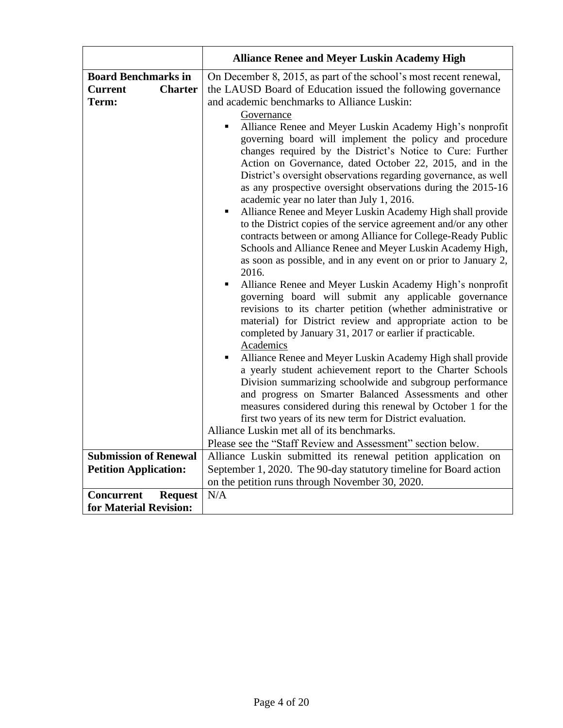|                                                                         | <b>Alliance Renee and Meyer Luskin Academy High</b>                                                                                                                                                                                                                                                                                                                                                                                                                                                                                                                                                                                                                                                                                                                                                                                                                                                                                                                                                                                                                                                                                                                                                                                                                                                                                                                                                                                                                                                                                                                                                                                                                                                                                                                                                                                |
|-------------------------------------------------------------------------|------------------------------------------------------------------------------------------------------------------------------------------------------------------------------------------------------------------------------------------------------------------------------------------------------------------------------------------------------------------------------------------------------------------------------------------------------------------------------------------------------------------------------------------------------------------------------------------------------------------------------------------------------------------------------------------------------------------------------------------------------------------------------------------------------------------------------------------------------------------------------------------------------------------------------------------------------------------------------------------------------------------------------------------------------------------------------------------------------------------------------------------------------------------------------------------------------------------------------------------------------------------------------------------------------------------------------------------------------------------------------------------------------------------------------------------------------------------------------------------------------------------------------------------------------------------------------------------------------------------------------------------------------------------------------------------------------------------------------------------------------------------------------------------------------------------------------------|
| <b>Board Benchmarks in</b><br><b>Charter</b><br><b>Current</b><br>Term: | On December 8, 2015, as part of the school's most recent renewal,<br>the LAUSD Board of Education issued the following governance<br>and academic benchmarks to Alliance Luskin:<br>Governance<br>Alliance Renee and Meyer Luskin Academy High's nonprofit<br>٠<br>governing board will implement the policy and procedure<br>changes required by the District's Notice to Cure: Further<br>Action on Governance, dated October 22, 2015, and in the<br>District's oversight observations regarding governance, as well<br>as any prospective oversight observations during the 2015-16<br>academic year no later than July 1, 2016.<br>Alliance Renee and Meyer Luskin Academy High shall provide<br>٠<br>to the District copies of the service agreement and/or any other<br>contracts between or among Alliance for College-Ready Public<br>Schools and Alliance Renee and Meyer Luskin Academy High,<br>as soon as possible, and in any event on or prior to January 2,<br>2016.<br>Alliance Renee and Meyer Luskin Academy High's nonprofit<br>٠<br>governing board will submit any applicable governance<br>revisions to its charter petition (whether administrative or<br>material) for District review and appropriate action to be<br>completed by January 31, 2017 or earlier if practicable.<br>Academics<br>Alliance Renee and Meyer Luskin Academy High shall provide<br>$\blacksquare$<br>a yearly student achievement report to the Charter Schools<br>Division summarizing schoolwide and subgroup performance<br>and progress on Smarter Balanced Assessments and other<br>measures considered during this renewal by October 1 for the<br>first two years of its new term for District evaluation.<br>Alliance Luskin met all of its benchmarks.<br>Please see the "Staff Review and Assessment" section below. |
| <b>Submission of Renewal</b>                                            | Alliance Luskin submitted its renewal petition application on                                                                                                                                                                                                                                                                                                                                                                                                                                                                                                                                                                                                                                                                                                                                                                                                                                                                                                                                                                                                                                                                                                                                                                                                                                                                                                                                                                                                                                                                                                                                                                                                                                                                                                                                                                      |
| <b>Petition Application:</b>                                            | September 1, 2020. The 90-day statutory timeline for Board action                                                                                                                                                                                                                                                                                                                                                                                                                                                                                                                                                                                                                                                                                                                                                                                                                                                                                                                                                                                                                                                                                                                                                                                                                                                                                                                                                                                                                                                                                                                                                                                                                                                                                                                                                                  |
|                                                                         | on the petition runs through November 30, 2020.                                                                                                                                                                                                                                                                                                                                                                                                                                                                                                                                                                                                                                                                                                                                                                                                                                                                                                                                                                                                                                                                                                                                                                                                                                                                                                                                                                                                                                                                                                                                                                                                                                                                                                                                                                                    |
| <b>Request</b><br><b>Concurrent</b>                                     | N/A                                                                                                                                                                                                                                                                                                                                                                                                                                                                                                                                                                                                                                                                                                                                                                                                                                                                                                                                                                                                                                                                                                                                                                                                                                                                                                                                                                                                                                                                                                                                                                                                                                                                                                                                                                                                                                |
| for Material Revision:                                                  |                                                                                                                                                                                                                                                                                                                                                                                                                                                                                                                                                                                                                                                                                                                                                                                                                                                                                                                                                                                                                                                                                                                                                                                                                                                                                                                                                                                                                                                                                                                                                                                                                                                                                                                                                                                                                                    |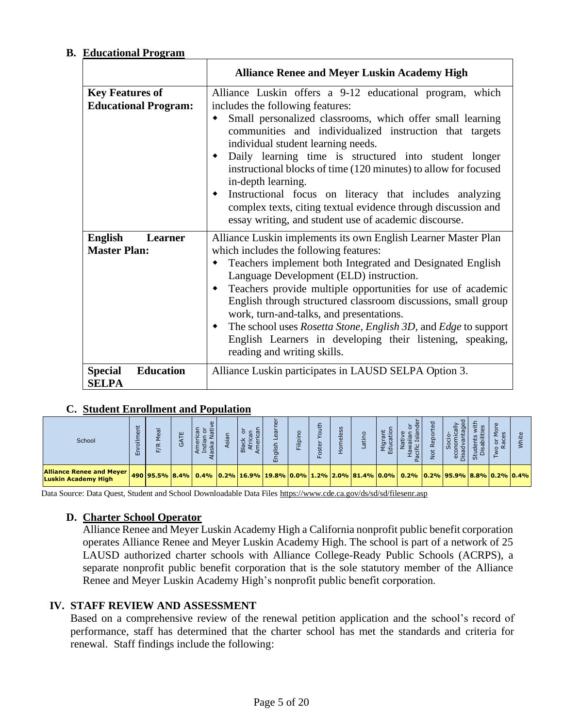## **B. Educational Program**

|                                                       | <b>Alliance Renee and Meyer Luskin Academy High</b>                                                                                                                                                                                                                                                                                                                                                                                                                                                                                                                                               |
|-------------------------------------------------------|---------------------------------------------------------------------------------------------------------------------------------------------------------------------------------------------------------------------------------------------------------------------------------------------------------------------------------------------------------------------------------------------------------------------------------------------------------------------------------------------------------------------------------------------------------------------------------------------------|
| <b>Key Features of</b><br><b>Educational Program:</b> | Alliance Luskin offers a 9-12 educational program, which<br>includes the following features:<br>Small personalized classrooms, which offer small learning<br>communities and individualized instruction that targets<br>individual student learning needs.<br>Daily learning time is structured into student longer<br>instructional blocks of time (120 minutes) to allow for focused<br>in-depth learning.<br>Instructional focus on literacy that includes analyzing<br>complex texts, citing textual evidence through discussion and<br>essay writing, and student use of academic discourse. |
| <b>English</b><br>Learner<br><b>Master Plan:</b>      | Alliance Luskin implements its own English Learner Master Plan<br>which includes the following features:<br>Teachers implement both Integrated and Designated English<br>Language Development (ELD) instruction.<br>Teachers provide multiple opportunities for use of academic<br>English through structured classroom discussions, small group<br>work, turn-and-talks, and presentations.<br>The school uses Rosetta Stone, English 3D, and Edge to support<br>English Learners in developing their listening, speaking,<br>reading and writing skills.                                        |
| <b>Education</b><br><b>Special</b><br><b>SELPA</b>    | Alliance Luskin participates in LAUSD SELPA Option 3.                                                                                                                                                                                                                                                                                                                                                                                                                                                                                                                                             |

## **C. Student Enrollment and Population**

| School                                                        | t<br>$\overline{\phantom{0}}$<br>靣 | $\alpha$ | ш<br>(5) | ത<br>$\checkmark$<br>ŏ<br>$\overline{\phantom{0}}$ | U<br>$\overline{m}$                                                                  | $\mathbf{d}$<br>$\sigma$<br>远<br>-<br>$\sigma$<br>面 | Ē | €<br>$\circ$<br>ster<br>운 | ess<br>$\overline{\mathfrak{a}}$<br>$\overline{a}$ | $\overline{a}$ | ÷<br>호 호<br>ш |  | ഗ<br>$rac{6}{5}$                     | 3 Q | ω<br>ಜ<br>$\alpha$ |  |
|---------------------------------------------------------------|------------------------------------|----------|----------|----------------------------------------------------|--------------------------------------------------------------------------------------|-----------------------------------------------------|---|---------------------------|----------------------------------------------------|----------------|---------------|--|--------------------------------------|-----|--------------------|--|
| <b>Alliance Renee and Meyer</b><br><b>Luskin Academy High</b> |                                    |          |          |                                                    | 490   95.5%   8.4%   0.4%   0.2%   16.9%   19.8%   0.0%   1.2%   2.0%   81.4%   0.0% |                                                     |   |                           |                                                    |                |               |  | $0.2\%$ $0.2\%$ 95.9% 8.8% 0.2% 0.4% |     |                    |  |

Data Source: Data Quest, Student and School Downloadable Data File[s https://www.cde.ca.gov/ds/sd/sd/filesenr.asp](https://www.cde.ca.gov/ds/sd/sd/filesenr.asp)

## **D. Charter School Operator**

Alliance Renee and Meyer Luskin Academy High a California nonprofit public benefit corporation operates Alliance Renee and Meyer Luskin Academy High. The school is part of a network of 25 LAUSD authorized charter schools with Alliance College-Ready Public Schools (ACRPS), a separate nonprofit public benefit corporation that is the sole statutory member of the Alliance Renee and Meyer Luskin Academy High's nonprofit public benefit corporation.

## **IV. STAFF REVIEW AND ASSESSMENT**

Based on a comprehensive review of the renewal petition application and the school's record of performance, staff has determined that the charter school has met the standards and criteria for renewal. Staff findings include the following: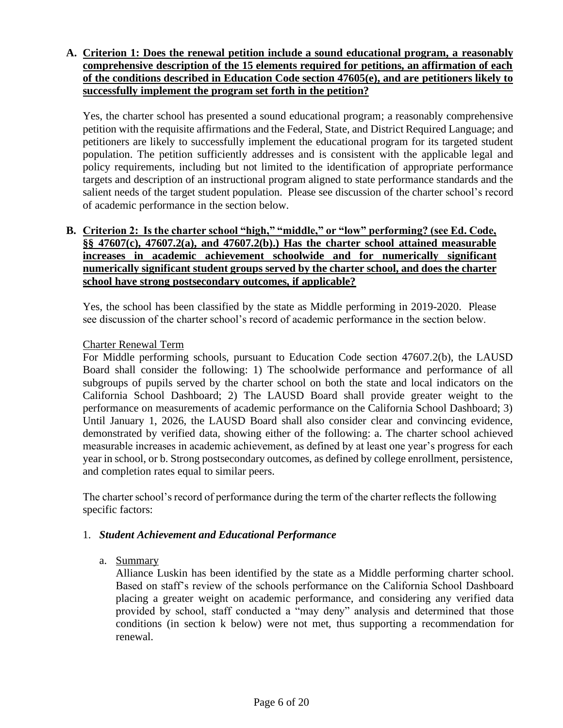## **A. Criterion 1: Does the renewal petition include a sound educational program, a reasonably comprehensive description of the 15 elements required for petitions, an affirmation of each of the conditions described in Education Code section 47605(e), and are petitioners likely to successfully implement the program set forth in the petition?**

Yes, the charter school has presented a sound educational program; a reasonably comprehensive petition with the requisite affirmations and the Federal, State, and District Required Language; and petitioners are likely to successfully implement the educational program for its targeted student population. The petition sufficiently addresses and is consistent with the applicable legal and policy requirements, including but not limited to the identification of appropriate performance targets and description of an instructional program aligned to state performance standards and the salient needs of the target student population. Please see discussion of the charter school's record of academic performance in the section below.

## **B. Criterion 2: Is the charter school "high," "middle," or "low" performing? (see Ed. Code, §§ 47607(c), 47607.2(a), and 47607.2(b).) Has the charter school attained measurable increases in academic achievement schoolwide and for numerically significant numerically significant student groups served by the charter school, and does the charter school have strong postsecondary outcomes, if applicable?**

Yes, the school has been classified by the state as Middle performing in 2019-2020. Please see discussion of the charter school's record of academic performance in the section below.

## Charter Renewal Term

For Middle performing schools, pursuant to Education Code section 47607.2(b), the LAUSD Board shall consider the following: 1) The schoolwide performance and performance of all subgroups of pupils served by the charter school on both the state and local indicators on the California School Dashboard; 2) The LAUSD Board shall provide greater weight to the performance on measurements of academic performance on the California School Dashboard; 3) Until January 1, 2026, the LAUSD Board shall also consider clear and convincing evidence, demonstrated by verified data, showing either of the following: a. The charter school achieved measurable increases in academic achievement, as defined by at least one year's progress for each year in school, or b. Strong postsecondary outcomes, as defined by college enrollment, persistence, and completion rates equal to similar peers.

The charter school's record of performance during the term of the charter reflects the following specific factors:

## 1. *Student Achievement and Educational Performance*

a. Summary

Alliance Luskin has been identified by the state as a Middle performing charter school. Based on staff's review of the schools performance on the California School Dashboard placing a greater weight on academic performance, and considering any verified data provided by school, staff conducted a "may deny" analysis and determined that those conditions (in section k below) were not met, thus supporting a recommendation for renewal.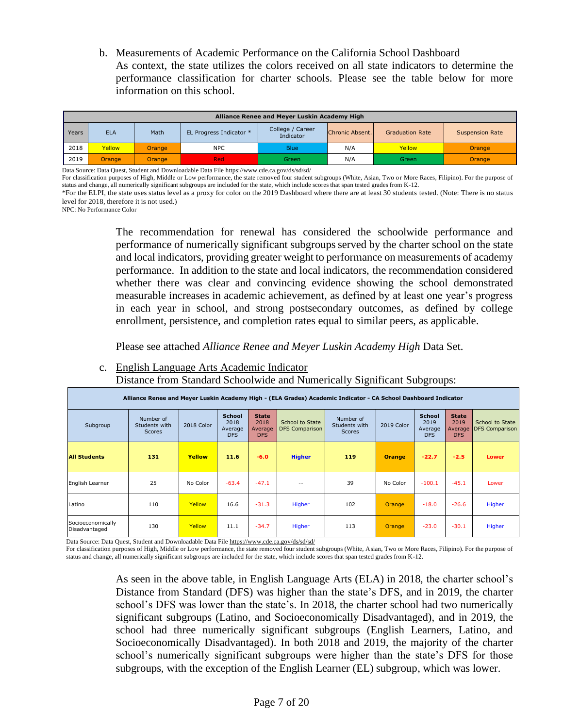b. Measurements of Academic Performance on the California School Dashboard As context, the state utilizes the colors received on all state indicators to determine the performance classification for charter schools. Please see the table below for more information on this school.

|       | Alliance Renee and Meyer Luskin Academy High |               |                         |                               |                 |                        |                        |  |  |  |  |  |  |  |
|-------|----------------------------------------------|---------------|-------------------------|-------------------------------|-----------------|------------------------|------------------------|--|--|--|--|--|--|--|
| Years | <b>ELA</b>                                   | Math          | EL Progress Indicator * | College / Career<br>Indicator | Chronic Absent. | <b>Graduation Rate</b> | <b>Suspension Rate</b> |  |  |  |  |  |  |  |
| 2018  | Yellow                                       | Orange        | <b>NPC</b>              | <b>Blue</b>                   | N/A             | Yellow                 | Orange                 |  |  |  |  |  |  |  |
| 2019  | <b>Orange</b>                                | <b>Orange</b> | Red                     | <b>Green</b>                  | N/A             | Green                  | Orange                 |  |  |  |  |  |  |  |

Data Source: Data Quest, Student and Downloadable Data Fil[e https://www.cde.ca.gov/ds/sd/sd/](https://www.cde.ca.gov/ds/sd/sd/)

For classification purposes of High, Middle or Low performance, the state removed four student subgroups (White, Asian, Two or More Races, Filipino). For the purpose of status and change, all numerically significant subgroups are included for the state, which include scores that span tested grades from K-12.

\*For the ELPI, the state uses status level as a proxy for color on the 2019 Dashboard where there are at least 30 students tested. (Note: There is no status level for 2018, therefore it is not used.)

NPC: No Performance Color

The recommendation for renewal has considered the schoolwide performance and performance of numerically significant subgroups served by the charter school on the state and local indicators, providing greater weight to performance on measurements of academy performance. In addition to the state and local indicators, the recommendation considered whether there was clear and convincing evidence showing the school demonstrated measurable increases in academic achievement, as defined by at least one year's progress in each year in school, and strong postsecondary outcomes, as defined by college enrollment, persistence, and completion rates equal to similar peers, as applicable.

Please see attached *Alliance Renee and Meyer Luskin Academy High* Data Set.

c. English Language Arts Academic Indicator

Distance from Standard Schoolwide and Numerically Significant Subgroups:

| Alliance Renee and Meyer Luskin Academy High - (ELA Grades) Academic Indicator - CA School Dashboard Indicator |                                             |            |                                                |                                               |                                          |                                             |               |                                                |                                               |                                          |  |  |  |
|----------------------------------------------------------------------------------------------------------------|---------------------------------------------|------------|------------------------------------------------|-----------------------------------------------|------------------------------------------|---------------------------------------------|---------------|------------------------------------------------|-----------------------------------------------|------------------------------------------|--|--|--|
| Subgroup                                                                                                       | Number of<br>Students with<br><b>Scores</b> | 2018 Color | <b>School</b><br>2018<br>Average<br><b>DFS</b> | <b>State</b><br>2018<br>Average<br><b>DFS</b> | School to State<br><b>DFS Comparison</b> | Number of<br>Students with<br><b>Scores</b> | 2019 Color    | <b>School</b><br>2019<br>Average<br><b>DFS</b> | <b>State</b><br>2019<br>Average<br><b>DFS</b> | School to State<br><b>DFS Comparison</b> |  |  |  |
| <b>All Students</b>                                                                                            | 131                                         | Yellow     | 11.6                                           | $-6.0$                                        | <b>Higher</b>                            | 119                                         | <b>Orange</b> | $-22.7$                                        | $-2.5$                                        | <b>Lower</b>                             |  |  |  |
| English Learner                                                                                                | 25                                          | No Color   | $-63.4$                                        | $-47.1$                                       | $- -$                                    | 39                                          | No Color      | $-100.1$                                       | $-45.1$                                       | Lower                                    |  |  |  |
| Latino                                                                                                         | 110                                         | Yellow     | 16.6                                           | $-31.3$                                       | Higher                                   | 102                                         | Orange        | $-18.0$                                        | $-26.6$                                       | Higher                                   |  |  |  |
| Socioeconomically<br>Disadvantaged                                                                             | 130                                         | Yellow     | 11.1                                           | $-34.7$                                       | Higher                                   | 113                                         | Orange        | $-23.0$                                        | $-30.1$                                       | Higher                                   |  |  |  |

Data Source: Data Quest, Student and Downloadable Data File<https://www.cde.ca.gov/ds/sd/sd/>

For classification purposes of High, Middle or Low performance, the state removed four student subgroups (White, Asian, Two or More Races, Filipino). For the purpose of status and change, all numerically significant subgroups are included for the state, which include scores that span tested grades from K-12.

> As seen in the above table, in English Language Arts (ELA) in 2018, the charter school's Distance from Standard (DFS) was higher than the state's DFS, and in 2019, the charter school's DFS was lower than the state's. In 2018, the charter school had two numerically significant subgroups (Latino, and Socioeconomically Disadvantaged), and in 2019, the school had three numerically significant subgroups (English Learners, Latino, and Socioeconomically Disadvantaged). In both 2018 and 2019, the majority of the charter school's numerically significant subgroups were higher than the state's DFS for those subgroups, with the exception of the English Learner (EL) subgroup, which was lower.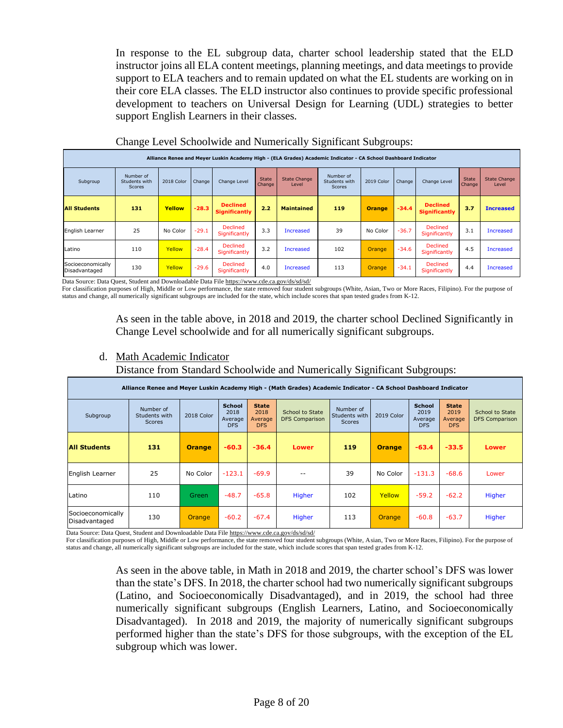In response to the EL subgroup data, charter school leadership stated that the ELD instructor joins all ELA content meetings, planning meetings, and data meetings to provide support to ELA teachers and to remain updated on what the EL students are working on in their core ELA classes. The ELD instructor also continues to provide specific professional development to teachers on Universal Design for Learning (UDL) strategies to better support English Learners in their classes.

|                                    | ັ                                                                                                              |               |         |                                         |                        | $\checkmark$                 | ັ                                           | ີ             | $\mathbf{r}$ |                                         |                        |                              |  |  |
|------------------------------------|----------------------------------------------------------------------------------------------------------------|---------------|---------|-----------------------------------------|------------------------|------------------------------|---------------------------------------------|---------------|--------------|-----------------------------------------|------------------------|------------------------------|--|--|
|                                    | Alliance Renee and Meyer Luskin Academy High - (ELA Grades) Academic Indicator - CA School Dashboard Indicator |               |         |                                         |                        |                              |                                             |               |              |                                         |                        |                              |  |  |
| Subgroup                           | Number of<br>Students with<br><b>Scores</b>                                                                    | 2018 Color    | Change  | Change Level                            | <b>State</b><br>Change | <b>State Change</b><br>Level | Number of<br>Students with<br><b>Scores</b> | 2019 Color    | Change       | Change Level                            | <b>State</b><br>Change | <b>State Change</b><br>Level |  |  |
| <b>All Students</b>                | 131                                                                                                            | Yellow        | $-28.3$ | <b>Declined</b><br><b>Significantly</b> | 2.2                    | <b>Maintained</b>            | 119                                         | <b>Orange</b> | $-34.4$      | <b>Declined</b><br><b>Significantly</b> | 3.7                    | <b>Increased</b>             |  |  |
| English Learner                    | 25                                                                                                             | No Color      | $-29.1$ | <b>Declined</b><br>Significantly        | 3.3                    | <b>Increased</b>             | 39                                          | No Color      | $-36.7$      | <b>Declined</b><br>Significantly        | 3.1                    | Increased                    |  |  |
| Latino                             | 110                                                                                                            | <b>Yellow</b> | $-28.4$ | <b>Declined</b><br>Significantly        | 3.2                    | <b>Increased</b>             | 102                                         | <b>Orange</b> | $-34.6$      | <b>Declined</b><br>Significantly        | 4.5                    | Increased                    |  |  |
| Socioeconomically<br>Disadvantaged | 130                                                                                                            | Yellow        | $-29.6$ | <b>Declined</b><br>Significantly        | 4.0                    | <b>Increased</b>             | 113                                         | <b>Orange</b> | $-34.1$      | <b>Declined</b><br>Significantly        | 4.4                    | Increased                    |  |  |

### Change Level Schoolwide and Numerically Significant Subgroups:

Data Source: Data Quest, Student and Downloadable Data Fil[e https://www.cde.ca.gov/ds/sd/sd/](https://www.cde.ca.gov/ds/sd/sd/)

For classification purposes of High, Middle or Low performance, the state removed four student subgroups (White, Asian, Two or More Races, Filipino). For the purpose of status and change, all numerically significant subgroups are included for the state, which include scores that span tested grades from K-12.

> As seen in the table above, in 2018 and 2019, the charter school Declined Significantly in Change Level schoolwide and for all numerically significant subgroups.

d. Math Academic Indicator

Distance from Standard Schoolwide and Numerically Significant Subgroups:

| Alliance Renee and Meyer Luskin Academy High - (Math Grades) Academic Indicator - CA School Dashboard Indicator |                                             |               |                                                |                                        |                                          |                                             |               |                                                |                                               |                                          |  |  |  |
|-----------------------------------------------------------------------------------------------------------------|---------------------------------------------|---------------|------------------------------------------------|----------------------------------------|------------------------------------------|---------------------------------------------|---------------|------------------------------------------------|-----------------------------------------------|------------------------------------------|--|--|--|
| Subgroup                                                                                                        | Number of<br>Students with<br><b>Scores</b> | 2018 Color    | <b>School</b><br>2018<br>Average<br><b>DFS</b> | <b>State</b><br>2018<br>Average<br>DFS | School to State<br><b>DFS Comparison</b> | Number of<br>Students with<br><b>Scores</b> | 2019 Color    | <b>School</b><br>2019<br>Average<br><b>DFS</b> | <b>State</b><br>2019<br>Average<br><b>DFS</b> | School to State<br><b>DFS Comparison</b> |  |  |  |
| <b>All Students</b>                                                                                             | 131                                         | <b>Orange</b> | $-60.3$                                        | $-36.4$                                | <b>Lower</b>                             | 119                                         | <b>Orange</b> | $-63.4$                                        | $-33.5$                                       | <b>Lower</b>                             |  |  |  |
| English Learner                                                                                                 | 25                                          | No Color      | $-123.1$                                       | $-69.9$                                |                                          | 39                                          | No Color      | $-131.3$                                       | $-68.6$                                       | Lower                                    |  |  |  |
| Latino                                                                                                          | 110                                         | <b>Green</b>  | $-48.7$                                        | $-65.8$                                | Higher                                   | 102                                         | Yellow        | $-59.2$                                        | $-62.2$                                       | Higher                                   |  |  |  |
| Socioeconomically<br>Disadvantaged                                                                              | 130                                         | <b>Orange</b> | $-60.2$                                        | $-67.4$                                | Higher                                   | 113                                         | <b>Orange</b> | $-60.8$                                        | $-63.7$                                       | Higher                                   |  |  |  |

Data Source: Data Quest, Student and Downloadable Data Fil[e https://www.cde.ca.gov/ds/sd/sd/](https://www.cde.ca.gov/ds/sd/sd/)

For classification purposes of High, Middle or Low performance, the state removed four student subgroups (White, Asian, Two or More Races, Filipino). For the purpose of status and change, all numerically significant subgroups are included for the state, which include scores that span tested grades from K-12.

> As seen in the above table, in Math in 2018 and 2019, the charter school's DFS was lower than the state's DFS. In 2018, the charter school had two numerically significant subgroups (Latino, and Socioeconomically Disadvantaged), and in 2019, the school had three numerically significant subgroups (English Learners, Latino, and Socioeconomically Disadvantaged). In 2018 and 2019, the majority of numerically significant subgroups performed higher than the state's DFS for those subgroups, with the exception of the EL subgroup which was lower.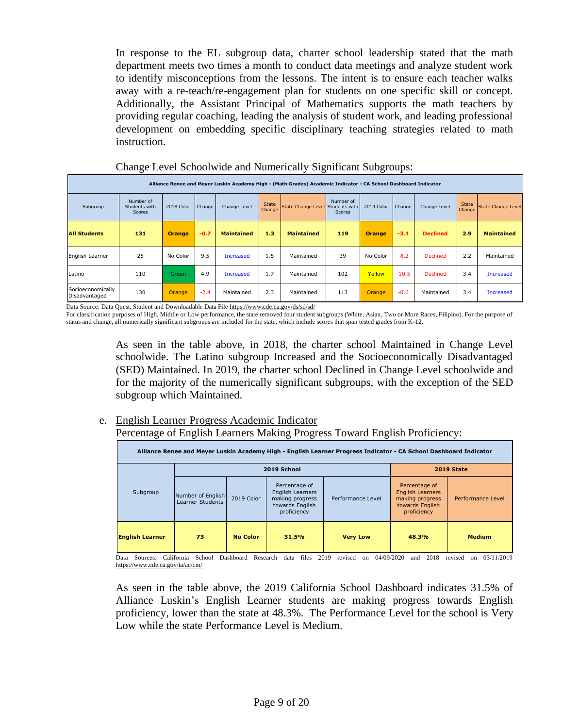In response to the EL subgroup data, charter school leadership stated that the math department meets two times a month to conduct data meetings and analyze student work to identify misconceptions from the lessons. The intent is to ensure each teacher walks away with a re-teach/re-engagement plan for students on one specific skill or concept. Additionally, the Assistant Principal of Mathematics supports the math teachers by providing regular coaching, leading the analysis of student work, and leading professional development on embedding specific disciplinary teaching strategies related to math instruction.

|                                    | Alliance Renee and Meyer Luskin Academy High - (Math Grades) Academic Indicator - CA School Dashboard Indicator |               |        |                   |                        |                                  |                            |               |         |                 |                        |                    |  |  |
|------------------------------------|-----------------------------------------------------------------------------------------------------------------|---------------|--------|-------------------|------------------------|----------------------------------|----------------------------|---------------|---------|-----------------|------------------------|--------------------|--|--|
| Subgroup                           | Number of<br>Students with<br><b>Scores</b>                                                                     | 2018 Color    | Change | Change Level      | <b>State</b><br>Change | State Change Level Students with | Number of<br><b>Scores</b> | 2019 Color    | Change  | Change Level    | <b>State</b><br>Change | State Change Level |  |  |
| <b>All Students</b>                | 131                                                                                                             | <b>Orange</b> | $-0.7$ | <b>Maintained</b> | 1.3                    | <b>Maintained</b>                | 119                        | <b>Orange</b> | $-3.1$  | <b>Declined</b> | 2.9                    | <b>Maintained</b>  |  |  |
| English Learner                    | 25                                                                                                              | No Color      | 9.5    | Increased         | 1.5                    | Maintained                       | 39                         | No Color      | $-8.2$  | <b>Declined</b> | 2.2                    | Maintained         |  |  |
| Latino                             | 110                                                                                                             | <b>Green</b>  | 4.9    | Increased         | 1.7                    | Maintained                       | 102                        | Yellow        | $-10.5$ | <b>Declined</b> | 3.4                    | Increased          |  |  |
| Socioeconomically<br>Disadvantaged | 130                                                                                                             | Orange        | $-2.4$ | Maintained        | 2.3                    | Maintained                       | 113                        | <b>Orange</b> | $-0.6$  | Maintained      | 3.4                    | Increased          |  |  |

Change Level Schoolwide and Numerically Significant Subgroups:

Data Source: Data Quest, Student and Downloadable Data File<https://www.cde.ca.gov/ds/sd/sd/>

For classification purposes of High, Middle or Low performance, the state removed four student subgroups (White, Asian, Two or More Races, Filipino). For the purpose of status and change, all numerically significant subgroups are included for the state, which include scores that span tested grades from K-12.

> As seen in the table above, in 2018, the charter school Maintained in Change Level schoolwide. The Latino subgroup Increased and the Socioeconomically Disadvantaged (SED) Maintained. In 2019, the charter school Declined in Change Level schoolwide and for the majority of the numerically significant subgroups, with the exception of the SED subgroup which Maintained.

e. English Learner Progress Academic Indicator Percentage of English Learners Making Progress Toward English Proficiency:

| Alliance Renee and Meyer Luskin Academy High - English Learner Progress Indicator - CA School Dashboard Indicator |                                       |                 |                                                                                               |                   |                                                                                               |                   |  |  |  |  |  |  |
|-------------------------------------------------------------------------------------------------------------------|---------------------------------------|-----------------|-----------------------------------------------------------------------------------------------|-------------------|-----------------------------------------------------------------------------------------------|-------------------|--|--|--|--|--|--|
|                                                                                                                   |                                       | 2019 School     |                                                                                               | <b>2019 State</b> |                                                                                               |                   |  |  |  |  |  |  |
| Subgroup                                                                                                          | Number of English<br>Learner Students | 2019 Color      | Percentage of<br><b>English Learners</b><br>making progress<br>towards English<br>proficiency | Performance Level | Percentage of<br><b>English Learners</b><br>making progress<br>towards English<br>proficiency | Performance Level |  |  |  |  |  |  |
| <b>English Learner</b>                                                                                            | 73                                    | <b>No Color</b> | 31.5%                                                                                         | <b>Very Low</b>   | 48.3%                                                                                         | <b>Medium</b>     |  |  |  |  |  |  |

Data Sources: California School Dashboard Research data files 2019 revised on 04/09/2020 and 2018 revised on 03/11/2019 <https://www.cde.ca.gov/ta/ac/cm/>

As seen in the table above, the 2019 California School Dashboard indicates 31.5% of Alliance Luskin's English Learner students are making progress towards English proficiency, lower than the state at 48.3%. The Performance Level for the school is Very Low while the state Performance Level is Medium.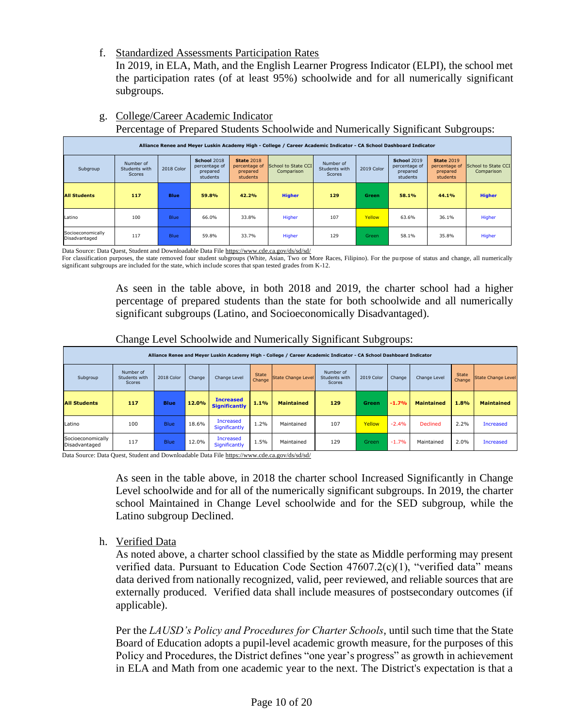f. Standardized Assessments Participation Rates

In 2019, in ELA, Math, and the English Learner Progress Indicator (ELPI), the school met the participation rates (of at least 95%) schoolwide and for all numerically significant subgroups.

|                                    | Alliance Renee and Meyer Luskin Academy High - College / Career Academic Indicator - CA School Dashboard Indicator |             |                                                             |                                                            |                                   |                                             |            |                                                             |                                                            |                                   |  |  |  |  |
|------------------------------------|--------------------------------------------------------------------------------------------------------------------|-------------|-------------------------------------------------------------|------------------------------------------------------------|-----------------------------------|---------------------------------------------|------------|-------------------------------------------------------------|------------------------------------------------------------|-----------------------------------|--|--|--|--|
| Subgroup                           | Number of<br>Students with<br>Scores                                                                               | 2018 Color  | <b>School 2018</b><br>percentage of<br>prepared<br>students | <b>State 2018</b><br>percentage of<br>prepared<br>students | School to State CCI<br>Comparison | Number of<br>Students with<br><b>Scores</b> | 2019 Color | <b>School 2019</b><br>percentage of<br>prepared<br>students | <b>State 2019</b><br>percentage of<br>prepared<br>students | School to State CCI<br>Comparison |  |  |  |  |
| <b>All Students</b>                | 117                                                                                                                | <b>Blue</b> | 59.8%                                                       | 42.2%                                                      | <b>Higher</b>                     | 129                                         | Green      | 58.1%                                                       | 44.1%                                                      | <b>Higher</b>                     |  |  |  |  |
| Latino                             | 100                                                                                                                | <b>Blue</b> | 66.0%                                                       | 33.8%                                                      | Higher                            | 107                                         | Yellow     | 63.6%                                                       | 36.1%                                                      | Higher                            |  |  |  |  |
| Socioeconomically<br>Disadvantaged | 117                                                                                                                | <b>Blue</b> | 59.8%                                                       | 33.7%                                                      | Higher                            | 129                                         | Green      | 58.1%                                                       | 35.8%                                                      | Higher                            |  |  |  |  |

g. College/Career Academic Indicator

Percentage of Prepared Students Schoolwide and Numerically Significant Subgroups:

Data Source: Data Quest, Student and Downloadable Data Fil[e https://www.cde.ca.gov/ds/sd/sd/](https://www.cde.ca.gov/ds/sd/sd/)

For classification purposes, the state removed four student subgroups (White, Asian, Two or More Races, Filipino). For the purpose of status and change, all numerically significant subgroups are included for the state, which include scores that span tested grades from K-12.

> As seen in the table above, in both 2018 and 2019, the charter school had a higher percentage of prepared students than the state for both schoolwide and all numerically significant subgroups (Latino, and Socioeconomically Disadvantaged).

| Alliance Renee and Meyer Luskin Academy High - College / Career Academic Indicator - CA School Dashboard Indicator |                                      |             |        |                                          |                        |                    |                                      |            |         |                   |                        |                    |
|--------------------------------------------------------------------------------------------------------------------|--------------------------------------|-------------|--------|------------------------------------------|------------------------|--------------------|--------------------------------------|------------|---------|-------------------|------------------------|--------------------|
| Subgroup                                                                                                           | Number of<br>Students with<br>Scores | 2018 Color  | Change | Change Level                             | <b>State</b><br>Change | State Change Level | Number of<br>Students with<br>Scores | 2019 Color | Change  | Change Level      | <b>State</b><br>Change | State Change Level |
| <b>All Students</b>                                                                                                | 117                                  | <b>Blue</b> | 12.0%  | <b>Increased</b><br><b>Significantly</b> | 1.1%                   | <b>Maintained</b>  | 129                                  | Green      | $-1.7%$ | <b>Maintained</b> | 1.8%                   | <b>Maintained</b>  |
| Latino                                                                                                             | 100                                  | <b>Blue</b> | 18.6%  | <b>Increased</b><br>Significantly        | 1.2%                   | Maintained         | 107                                  | Yellow     | $-2.4%$ | <b>Declined</b>   | 2.2%                   | <b>Increased</b>   |
| Socioeconomically<br>Disadvantaged                                                                                 | 117                                  | <b>Blue</b> | 12.0%  | <b>Increased</b><br>Significantly        | 1.5%                   | Maintained         | 129                                  | Green      | $-1.7%$ | Maintained        | 2.0%                   | <b>Increased</b>   |

Change Level Schoolwide and Numerically Significant Subgroups:

Data Source: Data Quest, Student and Downloadable Data Fil[e https://www.cde.ca.gov/ds/sd/sd/](https://www.cde.ca.gov/ds/sd/sd/)

As seen in the table above, in 2018 the charter school Increased Significantly in Change Level schoolwide and for all of the numerically significant subgroups. In 2019, the charter school Maintained in Change Level schoolwide and for the SED subgroup, while the Latino subgroup Declined.

h. Verified Data

As noted above, a charter school classified by the state as Middle performing may present verified data. Pursuant to Education Code Section 47607.2(c)(1), "verified data" means data derived from nationally recognized, valid, peer reviewed, and reliable sources that are externally produced. Verified data shall include measures of postsecondary outcomes (if applicable).

Per the *LAUSD's Policy and Procedures for Charter Schools*, until such time that the State Board of Education adopts a pupil-level academic growth measure, for the purposes of this Policy and Procedures, the District defines "one year's progress" as growth in achievement in ELA and Math from one academic year to the next. The District's expectation is that a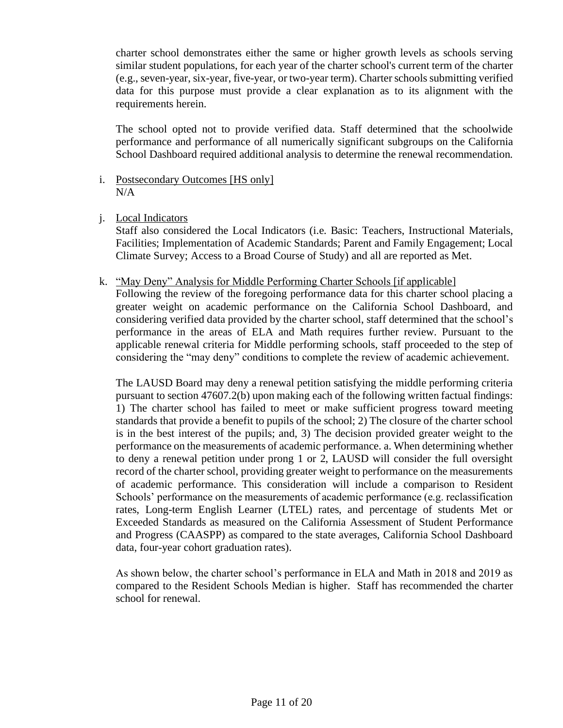charter school demonstrates either the same or higher growth levels as schools serving similar student populations, for each year of the charter school's current term of the charter (e.g., seven-year, six-year, five-year, or two-year term). Charter schools submitting verified data for this purpose must provide a clear explanation as to its alignment with the requirements herein.

The school opted not to provide verified data. Staff determined that the schoolwide performance and performance of all numerically significant subgroups on the California School Dashboard required additional analysis to determine the renewal recommendation.

- i. Postsecondary Outcomes [HS only]  $N/A$
- j. Local Indicators

Staff also considered the Local Indicators (i.e. Basic: Teachers, Instructional Materials, Facilities; Implementation of Academic Standards; Parent and Family Engagement; Local Climate Survey; Access to a Broad Course of Study) and all are reported as Met.

k. "May Deny" Analysis for Middle Performing Charter Schools [if applicable]

Following the review of the foregoing performance data for this charter school placing a greater weight on academic performance on the California School Dashboard, and considering verified data provided by the charter school, staff determined that the school's performance in the areas of ELA and Math requires further review. Pursuant to the applicable renewal criteria for Middle performing schools, staff proceeded to the step of considering the "may deny" conditions to complete the review of academic achievement.

The LAUSD Board may deny a renewal petition satisfying the middle performing criteria pursuant to section 47607.2(b) upon making each of the following written factual findings: 1) The charter school has failed to meet or make sufficient progress toward meeting standards that provide a benefit to pupils of the school; 2) The closure of the charter school is in the best interest of the pupils; and, 3) The decision provided greater weight to the performance on the measurements of academic performance. a. When determining whether to deny a renewal petition under prong 1 or 2, LAUSD will consider the full oversight record of the charter school, providing greater weight to performance on the measurements of academic performance. This consideration will include a comparison to Resident Schools' performance on the measurements of academic performance (e.g. reclassification rates, Long-term English Learner (LTEL) rates, and percentage of students Met or Exceeded Standards as measured on the California Assessment of Student Performance and Progress (CAASPP) as compared to the state averages, California School Dashboard data, four-year cohort graduation rates).

As shown below, the charter school's performance in ELA and Math in 2018 and 2019 as compared to the Resident Schools Median is higher. Staff has recommended the charter school for renewal.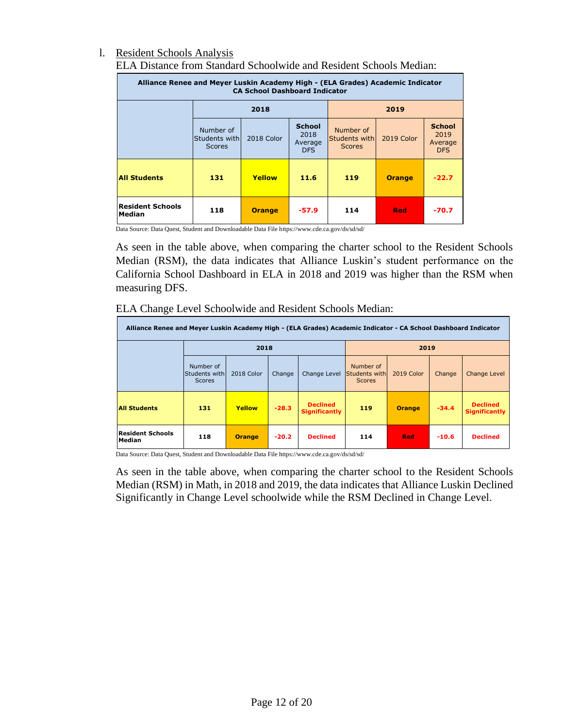### l. Resident Schools Analysis ELA Distance from Standard Schoolwide and Resident Schools Median:

| Alliance Renee and Meyer Luskin Academy High - (ELA Grades) Academic Indicator<br><b>CA School Dashboard Indicator</b> |                                               |               |                                                |                                             |               |                                                |  |  |  |  |
|------------------------------------------------------------------------------------------------------------------------|-----------------------------------------------|---------------|------------------------------------------------|---------------------------------------------|---------------|------------------------------------------------|--|--|--|--|
|                                                                                                                        |                                               |               | 2019                                           |                                             |               |                                                |  |  |  |  |
|                                                                                                                        | Number of<br> Students with <br><b>Scores</b> | 2018 Color    | <b>School</b><br>2018<br>Average<br><b>DFS</b> | Number of<br>Students with<br><b>Scores</b> | 2019 Color    | <b>School</b><br>2019<br>Average<br><b>DFS</b> |  |  |  |  |
| <b>All Students</b>                                                                                                    | 131                                           | Yellow        | 11.6                                           | 119                                         | <b>Orange</b> | $-22.7$                                        |  |  |  |  |
| <b>Resident Schools</b><br><b>Median</b>                                                                               | 118                                           | <b>Orange</b> | -57.9                                          | 114                                         | <b>Red</b>    | $-70.7$                                        |  |  |  |  |

Data Source: Data Quest, Student and Downloadable Data File https://www.cde.ca.gov/ds/sd/sd/

As seen in the table above, when comparing the charter school to the Resident Schools Median (RSM), the data indicates that Alliance Luskin's student performance on the California School Dashboard in ELA in 2018 and 2019 was higher than the RSM when measuring DFS.

| Alliance Renee and Meyer Luskin Academy High - (ELA Grades) Academic Indicator - CA School Dashboard Indicator |                                             |               |         |                                         |                                             |               |         |                                  |  |  |  |  |
|----------------------------------------------------------------------------------------------------------------|---------------------------------------------|---------------|---------|-----------------------------------------|---------------------------------------------|---------------|---------|----------------------------------|--|--|--|--|
|                                                                                                                |                                             | 2018          |         |                                         | 2019                                        |               |         |                                  |  |  |  |  |
|                                                                                                                | Number of<br>Students with<br><b>Scores</b> | 2018 Color    | Change  | Change Level                            | Number of<br>Students with<br><b>Scores</b> | 2019 Color    | Change  | Change Level                     |  |  |  |  |
| <b>All Students</b>                                                                                            | 131                                         | Yellow        | $-28.3$ | <b>Declined</b><br><b>Significantly</b> | 119                                         | <b>Orange</b> | $-34.4$ | <b>Declined</b><br>Significantly |  |  |  |  |
| <b>Resident Schools</b><br>Median                                                                              | 118                                         | <b>Orange</b> | $-20.2$ | <b>Declined</b>                         | 114                                         | <b>Red</b>    | $-10.6$ | <b>Declined</b>                  |  |  |  |  |

### ELA Change Level Schoolwide and Resident Schools Median:

Data Source: Data Quest, Student and Downloadable Data File https://www.cde.ca.gov/ds/sd/sd/

As seen in the table above, when comparing the charter school to the Resident Schools Median (RSM) in Math, in 2018 and 2019, the data indicates that Alliance Luskin Declined Significantly in Change Level schoolwide while the RSM Declined in Change Level.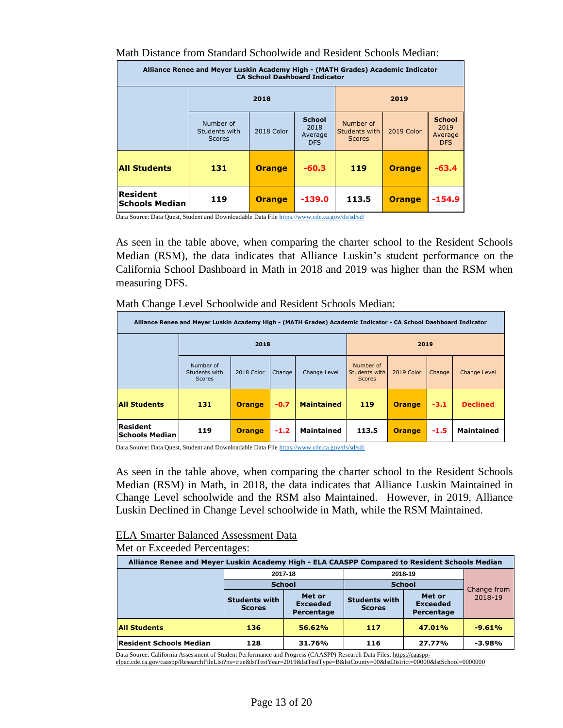Math Distance from Standard Schoolwide and Resident Schools Median:

| Alliance Renee and Meyer Luskin Academy High - (MATH Grades) Academic Indicator<br><b>CA School Dashboard Indicator</b> |                                             |               |                                                |                                             |               |                                                |  |  |  |  |  |
|-------------------------------------------------------------------------------------------------------------------------|---------------------------------------------|---------------|------------------------------------------------|---------------------------------------------|---------------|------------------------------------------------|--|--|--|--|--|
|                                                                                                                         |                                             | 2018          | 2019                                           |                                             |               |                                                |  |  |  |  |  |
|                                                                                                                         | Number of<br>Students with<br><b>Scores</b> | 2018 Color    | <b>School</b><br>2018<br>Average<br><b>DFS</b> | Number of<br>Students with<br><b>Scores</b> | 2019 Color    | <b>School</b><br>2019<br>Average<br><b>DFS</b> |  |  |  |  |  |
| <b>All Students</b>                                                                                                     | 131                                         | <b>Orange</b> | $-60.3$                                        | 119                                         | <b>Orange</b> | $-63.4$                                        |  |  |  |  |  |
| <b>Resident</b><br><b>Schools Median</b>                                                                                | 119                                         | <b>Orange</b> | $-139.0$                                       | 113.5                                       | <b>Orange</b> | $-154.9$                                       |  |  |  |  |  |

Data Source: Data Quest, Student and Downloadable Data Fil[e https://www.cde.ca.gov/ds/sd/sd/](https://www.cde.ca.gov/ds/sd/sd/)

As seen in the table above, when comparing the charter school to the Resident Schools Median (RSM), the data indicates that Alliance Luskin's student performance on the California School Dashboard in Math in 2018 and 2019 was higher than the RSM when measuring DFS.

Math Change Level Schoolwide and Resident Schools Median:

|                                   | Alliance Renee and Meyer Luskin Academy High - (MATH Grades) Academic Indicator - CA School Dashboard Indicator |               |        |                   |                                             |               |        |                     |  |  |
|-----------------------------------|-----------------------------------------------------------------------------------------------------------------|---------------|--------|-------------------|---------------------------------------------|---------------|--------|---------------------|--|--|
|                                   |                                                                                                                 | 2018          |        |                   | 2019                                        |               |        |                     |  |  |
|                                   | Number of<br>Students with<br><b>Scores</b>                                                                     | 2018 Color    | Change | Change Level      | Number of<br>Students with<br><b>Scores</b> | 2019 Color    | Change | <b>Change Level</b> |  |  |
| <b>All Students</b>               | 131                                                                                                             | <b>Orange</b> | $-0.7$ | <b>Maintained</b> | 119                                         | <b>Orange</b> | $-3.1$ | <b>Declined</b>     |  |  |
| Resident<br><b>Schools Median</b> | 119                                                                                                             | <b>Orange</b> | $-1.2$ | <b>Maintained</b> | 113.5                                       | <b>Orange</b> | $-1.5$ | <b>Maintained</b>   |  |  |

Data Source: Data Quest, Student and Downloadable Data File<https://www.cde.ca.gov/ds/sd/sd/>

As seen in the table above, when comparing the charter school to the Resident Schools Median (RSM) in Math, in 2018, the data indicates that Alliance Luskin Maintained in Change Level schoolwide and the RSM also Maintained. However, in 2019, Alliance Luskin Declined in Change Level schoolwide in Math, while the RSM Maintained.

## ELA Smarter Balanced Assessment Data

### Met or Exceeded Percentages:

| Alliance Renee and Meyer Luskin Academy High - ELA CAASPP Compared to Resident Schools Median |                                       |                                         |                                       |                                         |                        |  |  |  |  |  |  |
|-----------------------------------------------------------------------------------------------|---------------------------------------|-----------------------------------------|---------------------------------------|-----------------------------------------|------------------------|--|--|--|--|--|--|
|                                                                                               |                                       | 2017-18                                 |                                       | 2018-19                                 |                        |  |  |  |  |  |  |
|                                                                                               | <b>School</b>                         |                                         | <b>School</b>                         |                                         | Change from<br>2018-19 |  |  |  |  |  |  |
|                                                                                               | <b>Students with</b><br><b>Scores</b> | Met or<br><b>Exceeded</b><br>Percentage | <b>Students with</b><br><b>Scores</b> | Met or<br><b>Exceeded</b><br>Percentage |                        |  |  |  |  |  |  |
| <b>All Students</b>                                                                           | 136                                   | 56.62%                                  | 117                                   | 47.01%                                  | $-9.61%$               |  |  |  |  |  |  |
| <b>Resident Schools Median</b>                                                                | 128                                   | 31.76%                                  | 116                                   | 27.77%                                  | $-3.98%$               |  |  |  |  |  |  |

Data Source: California Assessment of Student Performance and Progress (CAASPP) Research Data Files. <u>https://caaspp-</u><br>elpac.cde.ca.gov/caaspp/ResearchFileList?ps=true&lstTestYear=2019&lstTestType=B&lstCounty=00&lstDistric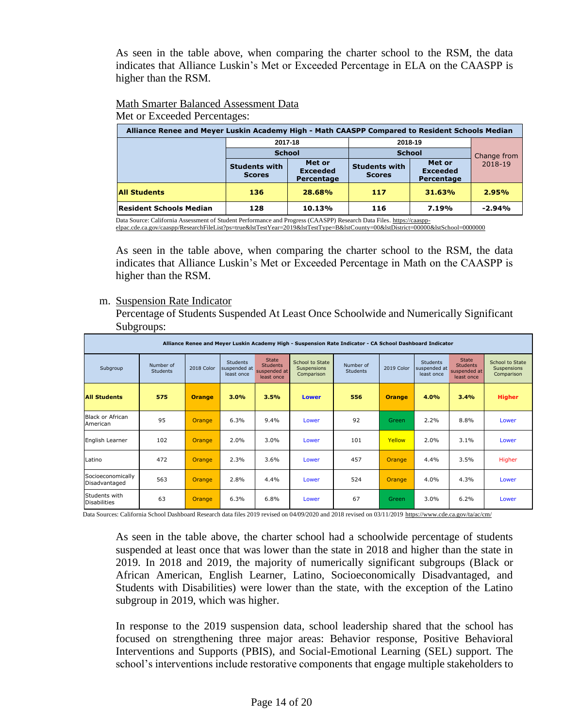As seen in the table above, when comparing the charter school to the RSM, the data indicates that Alliance Luskin's Met or Exceeded Percentage in ELA on the CAASPP is higher than the RSM.

# Math Smarter Balanced Assessment Data

Met or Exceeded Percentages:

| Alliance Renee and Meyer Luskin Academy High - Math CAASPP Compared to Resident Schools Median |                                       |                                         |                                       |                                         |             |  |  |  |  |  |  |
|------------------------------------------------------------------------------------------------|---------------------------------------|-----------------------------------------|---------------------------------------|-----------------------------------------|-------------|--|--|--|--|--|--|
|                                                                                                |                                       | 2017-18                                 | 2018-19                               |                                         |             |  |  |  |  |  |  |
|                                                                                                | <b>School</b>                         |                                         | <b>School</b>                         |                                         | Change from |  |  |  |  |  |  |
|                                                                                                | <b>Students with</b><br><b>Scores</b> | Met or<br><b>Exceeded</b><br>Percentage | <b>Students with</b><br><b>Scores</b> | Met or<br><b>Exceeded</b><br>Percentage | 2018-19     |  |  |  |  |  |  |
| <b>All Students</b>                                                                            | 136                                   | 28.68%                                  | 117                                   | 31.63%                                  | 2.95%       |  |  |  |  |  |  |
| <b>Resident Schools Median</b>                                                                 | 128                                   | 10.13%                                  | 116                                   | 7.19%                                   | $-2.94%$    |  |  |  |  |  |  |

Data Source: California Assessment of Student Performance and Progress (CAASPP) Research Data Files[. https://caaspp](https://caaspp-elpac.cde.ca.gov/caaspp/ResearchFileList?ps=true&lstTestYear=2019&lstTestType=B&lstCounty=00&lstDistrict=00000&lstSchool=0000000)elpac.cde.ca.gov/caaspp/ResearchFileList?ps=true&lstTestYear=2019&lstTestType=B&lstCounty=00&lstDis

As seen in the table above, when comparing the charter school to the RSM, the data indicates that Alliance Luskin's Met or Exceeded Percentage in Math on the CAASPP is higher than the RSM.

m. Suspension Rate Indicator

Percentage of Students Suspended At Least Once Schoolwide and Numerically Significant Subgroups:

|                                      | Alliance Renee and Meyer Luskin Academy High - Suspension Rate Indicator - CA School Dashboard Indicator |               |                                               |                                                               |                                              |                              |               |                                               |                                                               |                                              |  |  |  |  |
|--------------------------------------|----------------------------------------------------------------------------------------------------------|---------------|-----------------------------------------------|---------------------------------------------------------------|----------------------------------------------|------------------------------|---------------|-----------------------------------------------|---------------------------------------------------------------|----------------------------------------------|--|--|--|--|
| Subgroup                             | Number of<br><b>Students</b>                                                                             | 2018 Color    | <b>Students</b><br>suspended at<br>least once | <b>State</b><br><b>Students</b><br>suspended at<br>least once | School to State<br>Suspensions<br>Comparison | Number of<br><b>Students</b> | 2019 Color    | <b>Students</b><br>suspended at<br>least once | <b>State</b><br><b>Students</b><br>suspended at<br>least once | School to State<br>Suspensions<br>Comparison |  |  |  |  |
| <b>All Students</b>                  | 575                                                                                                      | <b>Orange</b> | 3.0%                                          | 3.5%                                                          | Lower                                        | 556                          | <b>Orange</b> | 4.0%                                          | 3.4%                                                          | <b>Higher</b>                                |  |  |  |  |
| <b>Black or African</b><br>American  | 95                                                                                                       | <b>Orange</b> | 6.3%                                          | 9.4%                                                          | Lower                                        | 92                           | <b>Green</b>  | 2.2%                                          | 8.8%                                                          | Lower                                        |  |  |  |  |
| English Learner                      | 102                                                                                                      | Orange        | 2.0%                                          | 3.0%                                                          | Lower                                        | 101                          | Yellow        | 2.0%                                          | 3.1%                                                          | Lower                                        |  |  |  |  |
| Latino                               | 472                                                                                                      | Orange        | 2.3%                                          | 3.6%                                                          | Lower                                        | 457                          | Orange        | 4.4%                                          | 3.5%                                                          | Higher                                       |  |  |  |  |
| Socioeconomically<br>Disadvantaged   | 563                                                                                                      | Orange        | 2.8%                                          | 4.4%                                                          | Lower                                        | 524                          | Orange        | 4.0%                                          | 4.3%                                                          | Lower                                        |  |  |  |  |
| Students with<br><b>Disabilities</b> | 63                                                                                                       | Orange        | 6.3%                                          | 6.8%                                                          | Lower                                        | 67                           | Green         | 3.0%                                          | 6.2%                                                          | Lower                                        |  |  |  |  |

Data Sources: California School Dashboard Research data files 2019 revised on 04/09/2020 and 2018 revised on 03/11/2019<https://www.cde.ca.gov/ta/ac/cm/>

As seen in the table above, the charter school had a schoolwide percentage of students suspended at least once that was lower than the state in 2018 and higher than the state in 2019. In 2018 and 2019, the majority of numerically significant subgroups (Black or African American, English Learner, Latino, Socioeconomically Disadvantaged, and Students with Disabilities) were lower than the state, with the exception of the Latino subgroup in 2019, which was higher.

In response to the 2019 suspension data, school leadership shared that the school has focused on strengthening three major areas: Behavior response, Positive Behavioral Interventions and Supports (PBIS), and Social-Emotional Learning (SEL) support. The school's interventions include restorative components that engage multiple stakeholders to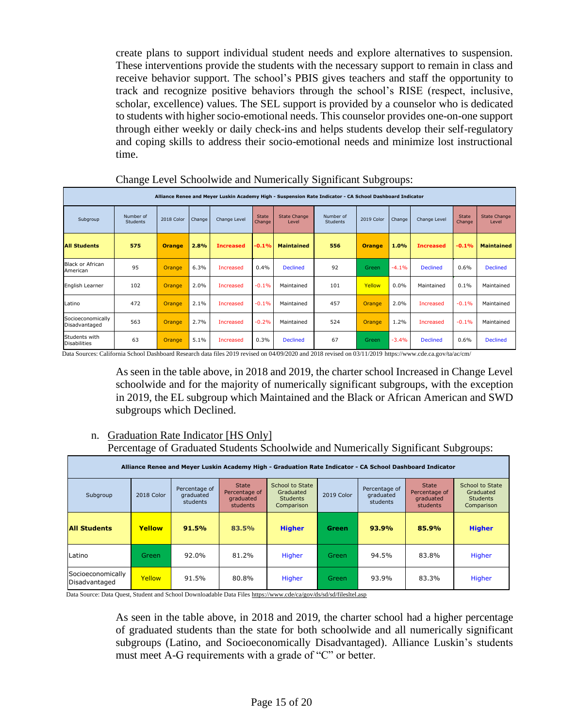create plans to support individual student needs and explore alternatives to suspension. These interventions provide the students with the necessary support to remain in class and receive behavior support. The school's PBIS gives teachers and staff the opportunity to track and recognize positive behaviors through the school's RISE (respect, inclusive, scholar, excellence) values. The SEL support is provided by a counselor who is dedicated to students with higher socio-emotional needs. This counselor provides one-on-one support through either weekly or daily check-ins and helps students develop their self-regulatory and coping skills to address their socio-emotional needs and minimize lost instructional time.

|                                      | Alliance Renee and Meyer Luskin Academy High - Suspension Rate Indicator - CA School Dashboard Indicator |               |        |                  |                 |                              |                              |               |         |                  |                        |                              |  |
|--------------------------------------|----------------------------------------------------------------------------------------------------------|---------------|--------|------------------|-----------------|------------------------------|------------------------------|---------------|---------|------------------|------------------------|------------------------------|--|
| Subgroup                             | Number of<br><b>Students</b>                                                                             | 2018 Color    | Change | Change Level     | State<br>Change | <b>State Change</b><br>Level | Number of<br><b>Students</b> | 2019 Color    | Change  | Change Level     | <b>State</b><br>Change | <b>State Change</b><br>Level |  |
| <b>All Students</b>                  | 575                                                                                                      | <b>Orange</b> | 2.8%   | <b>Increased</b> | $-0.1%$         | <b>Maintained</b>            | 556                          | <b>Orange</b> | 1.0%    | <b>Increased</b> | $-0.1%$                | <b>Maintained</b>            |  |
| Black or African<br>American         | 95                                                                                                       | Orange        | 6.3%   | Increased        | 0.4%            | <b>Declined</b>              | 92                           | Green         | $-4.1%$ | <b>Declined</b>  | 0.6%                   | <b>Declined</b>              |  |
| English Learner                      | 102                                                                                                      | Orange        | 2.0%   | Increased        | $-0.1%$         | Maintained                   | 101                          | Yellow        | 0.0%    | Maintained       | 0.1%                   | Maintained                   |  |
| Latino                               | 472                                                                                                      | <b>Orange</b> | 2.1%   | Increased        | $-0.1%$         | Maintained                   | 457                          | Orange        | 2.0%    | <b>Increased</b> | $-0.1%$                | Maintained                   |  |
| Socioeconomically<br>Disadvantaged   | 563                                                                                                      | Orange        | 2.7%   | Increased        | $-0.2%$         | Maintained                   | 524                          | Orange        | 1.2%    | Increased        | $-0.1%$                | Maintained                   |  |
| Students with<br><b>Disabilities</b> | 63                                                                                                       | <b>Orange</b> | 5.1%   | Increased        | 0.3%            | <b>Declined</b>              | 67                           | Green         | $-3.4%$ | <b>Declined</b>  | 0.6%                   | <b>Declined</b>              |  |

Change Level Schoolwide and Numerically Significant Subgroups:

Data Sources: California School Dashboard Research data files 2019 revised on 04/09/2020 and 2018 revised on 03/11/2019<https://www.cde.ca.gov/ta/ac/cm/>

As seen in the table above, in 2018 and 2019, the charter school Increased in Change Level schoolwide and for the majority of numerically significant subgroups, with the exception in 2019, the EL subgroup which Maintained and the Black or African American and SWD subgroups which Declined.

n. Graduation Rate Indicator [HS Only]

Percentage of Graduated Students Schoolwide and Numerically Significant Subgroups:

| Alliance Renee and Meyer Luskin Academy High - Graduation Rate Indicator - CA School Dashboard Indicator |               |                                        |                                                        |                                                               |              |                                        |                                                               |                                                                      |  |  |  |  |
|----------------------------------------------------------------------------------------------------------|---------------|----------------------------------------|--------------------------------------------------------|---------------------------------------------------------------|--------------|----------------------------------------|---------------------------------------------------------------|----------------------------------------------------------------------|--|--|--|--|
| Subgroup                                                                                                 | 2018 Color    | Percentage of<br>graduated<br>students | <b>State</b><br>Percentage of<br>graduated<br>students | School to State<br>Graduated<br><b>Students</b><br>Comparison | 2019 Color   | Percentage of<br>graduated<br>students | <b>State</b><br>Percentage of<br>graduated<br><b>students</b> | <b>School to State</b><br>Graduated<br><b>Students</b><br>Comparison |  |  |  |  |
| <b>All Students</b>                                                                                      | <b>Yellow</b> | 91.5%                                  | 83.5%                                                  | <b>Higher</b>                                                 | <b>Green</b> | 93.9%                                  | 85.9%                                                         | <b>Higher</b>                                                        |  |  |  |  |
| Latino                                                                                                   | <b>Green</b>  | 92.0%                                  | 81.2%                                                  | Higher                                                        | Green        | 94.5%                                  | 83.8%                                                         | Higher                                                               |  |  |  |  |
| Socioeconomically<br>Disadvantaged                                                                       | Yellow        | 91.5%                                  | 80.8%                                                  | Higher                                                        | Green        | 93.9%                                  | 83.3%                                                         | Higher                                                               |  |  |  |  |

Data Source: Data Quest, Student and School Downloadable Data File[s https://www.cde/ca/gov/ds/sd/sd/filesltel.asp](https://www.cde/ca/gov/ds/sd/sd/filesltel.asp)

As seen in the table above, in 2018 and 2019, the charter school had a higher percentage of graduated students than the state for both schoolwide and all numerically significant subgroups (Latino, and Socioeconomically Disadvantaged). Alliance Luskin's students must meet A-G requirements with a grade of "C" or better.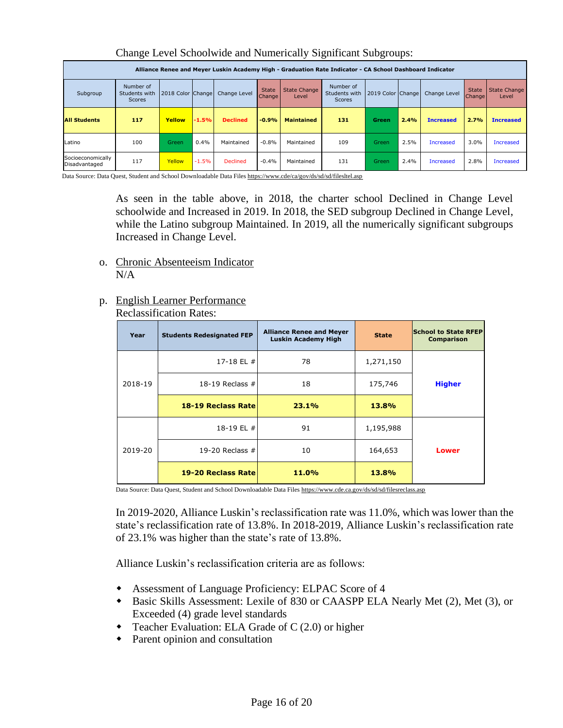| Alliance Renee and Meyer Luskin Academy High - Graduation Rate Indicator - CA School Dashboard Indicator |                                      |                   |         |                 |                                     |                              |                                             |                   |      |                  |                                     |                              |
|----------------------------------------------------------------------------------------------------------|--------------------------------------|-------------------|---------|-----------------|-------------------------------------|------------------------------|---------------------------------------------|-------------------|------|------------------|-------------------------------------|------------------------------|
| Subgroup                                                                                                 | Number of<br>Students with<br>Scores | 2018 Color Change |         | Change Level    | <b>State</b><br>Change <sup>l</sup> | <b>State Change</b><br>Level | Number of<br>Students with<br><b>Scores</b> | 2019 Color Change |      | Change Level     | <b>State</b><br>Change <sup>1</sup> | <b>State Change</b><br>Level |
| <b>All Students</b>                                                                                      | 117                                  | Yellow            | $-1.5%$ | <b>Declined</b> | $-0.9%$                             | <b>Maintained</b>            | 131                                         | Green             | 2.4% | <b>Increased</b> | 2.7%                                | <b>Increased</b>             |
| Latino                                                                                                   | 100                                  | Green             | 0.4%    | Maintained      | $-0.8%$                             | Maintained                   | 109                                         | Green             | 2.5% | Increased        | 3.0%                                | <b>Increased</b>             |
| Socioeconomically<br>Disadvantaged                                                                       | 117                                  | Yellow            | $-1.5%$ | <b>Declined</b> | $-0.4%$                             | Maintained                   | 131                                         | Green             | 2.4% | Increased        | 2.8%                                | <b>Increased</b>             |

Change Level Schoolwide and Numerically Significant Subgroups:

Data Source: Data Quest, Student and School Downloadable Data File[s https://www.cde/ca/gov/ds/sd/sd/filesltel.asp](https://www.cde/ca/gov/ds/sd/sd/filesltel.asp)

As seen in the table above, in 2018, the charter school Declined in Change Level schoolwide and Increased in 2019. In 2018, the SED subgroup Declined in Change Level, while the Latino subgroup Maintained. In 2019, all the numerically significant subgroups Increased in Change Level.

- o. Chronic Absenteeism Indicator  $N/A$
- p. English Learner Performance Reclassification Rates:

| Year    | <b>Students Redesignated FEP</b> | <b>Alliance Renee and Meyer</b><br>Luskin Academy High | <b>State</b> | <b>School to State RFEP</b><br><b>Comparison</b> |
|---------|----------------------------------|--------------------------------------------------------|--------------|--------------------------------------------------|
|         | 17-18 EL #                       | 78                                                     | 1,271,150    |                                                  |
| 2018-19 | 18-19 Reclass $#$                | 18                                                     | 175,746      | <b>Higher</b>                                    |
|         | <b>18-19 Reclass Rate</b>        | 23.1%                                                  | 13.8%        |                                                  |
|         | 18-19 EL #                       | 91                                                     | 1,195,988    |                                                  |
| 2019-20 | 19-20 Reclass $#$                | 10                                                     | 164,653      | <b>Lower</b>                                     |
|         | 19-20 Reclass Rate               | 11.0%                                                  | 13.8%        |                                                  |

Data Source: Data Quest, Student and School Downloadable Data File[s https://www.cde.ca.gov/ds/sd/sd/filesreclass.asp](https://www.cde.ca.gov/ds/sd/sd/filesreclass.asp)

In 2019-2020, Alliance Luskin's reclassification rate was 11.0%, which was lower than the state's reclassification rate of 13.8%. In 2018-2019, Alliance Luskin's reclassification rate of 23.1% was higher than the state's rate of 13.8%.

Alliance Luskin's reclassification criteria are as follows:

- Assessment of Language Proficiency: ELPAC Score of 4
- Basic Skills Assessment: Lexile of 830 or CAASPP ELA Nearly Met (2), Met (3), or Exceeded (4) grade level standards
- Teacher Evaluation: ELA Grade of C (2.0) or higher
- Parent opinion and consultation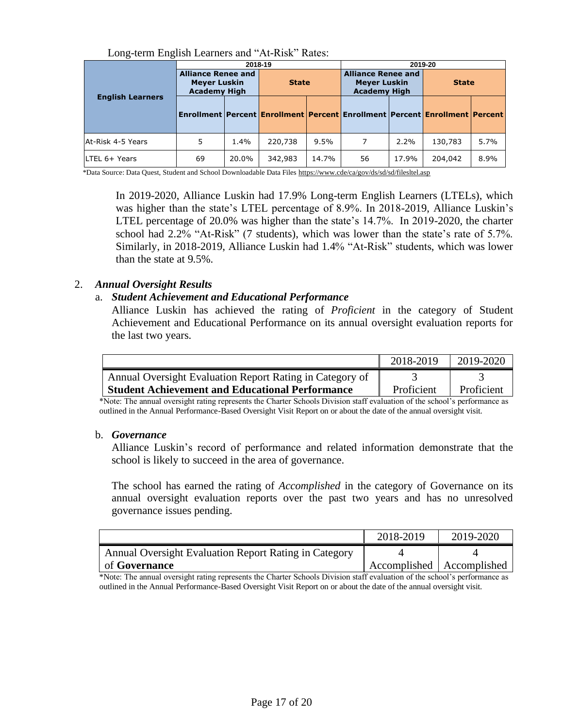| LONG-WITH LITERISH LOGITIONS GIRL TWINDING NOWS. |                                                                         |       |              |       |                                                                                           |         |              |      |  |
|--------------------------------------------------|-------------------------------------------------------------------------|-------|--------------|-------|-------------------------------------------------------------------------------------------|---------|--------------|------|--|
|                                                  |                                                                         |       | 2018-19      |       |                                                                                           | 2019-20 |              |      |  |
|                                                  | <b>Alliance Renee and</b><br><b>Meyer Luskin</b><br><b>Academy High</b> |       | <b>State</b> |       | <b>Alliance Renee and</b><br><b>Meyer Luskin</b><br><b>Academy High</b>                   |         | <b>State</b> |      |  |
| <b>English Learners</b>                          |                                                                         |       |              |       | Enrollment   Percent   Enrollment   Percent   Enrollment   Percent   Enrollment   Percent |         |              |      |  |
| At-Risk 4-5 Years                                | 5                                                                       | 1.4%  | 220,738      | 9.5%  |                                                                                           | 2.2%    | 130,783      | 5.7% |  |
| LTEL 6+ Years                                    | 69                                                                      | 20.0% | 342,983      | 14.7% | 56                                                                                        | 17.9%   | 204,042      | 8.9% |  |

Long-term English Learners and "At-Risk" Rates:

\*Data Source: Data Quest, Student and School Downloadable Data Files<https://www.cde/ca/gov/ds/sd/sd/filesltel.asp>

In 2019-2020, Alliance Luskin had 17.9% Long-term English Learners (LTELs), which was higher than the state's LTEL percentage of 8.9%. In 2018-2019, Alliance Luskin's LTEL percentage of 20.0% was higher than the state's 14.7%. In 2019-2020, the charter school had 2.2% "At-Risk" (7 students), which was lower than the state's rate of 5.7%. Similarly, in 2018-2019, Alliance Luskin had 1.4% "At-Risk" students, which was lower than the state at 9.5%.

### 2. *Annual Oversight Results*

### a. *Student Achievement and Educational Performance*

Alliance Luskin has achieved the rating of *Proficient* in the category of Student Achievement and Educational Performance on its annual oversight evaluation reports for the last two years.

|                                                          | 2018-2019  | 2019-2020  |
|----------------------------------------------------------|------------|------------|
| Annual Oversight Evaluation Report Rating in Category of |            |            |
| <b>Student Achievement and Educational Performance</b>   | Proficient | Proficient |

\*Note: The annual oversight rating represents the Charter Schools Division staff evaluation of the school's performance as outlined in the Annual Performance-Based Oversight Visit Report on or about the date of the annual oversight visit.

### b. *Governance*

Alliance Luskin's record of performance and related information demonstrate that the school is likely to succeed in the area of governance.

The school has earned the rating of *Accomplished* in the category of Governance on its annual oversight evaluation reports over the past two years and has no unresolved governance issues pending.

|                                                       | 2018-2019                   | 2019-2020 |
|-------------------------------------------------------|-----------------------------|-----------|
| Annual Oversight Evaluation Report Rating in Category |                             |           |
| of <b>Governance</b>                                  | Accomplished   Accomplished |           |

\*Note: The annual oversight rating represents the Charter Schools Division staff evaluation of the school's performance as outlined in the Annual Performance-Based Oversight Visit Report on or about the date of the annual oversight visit.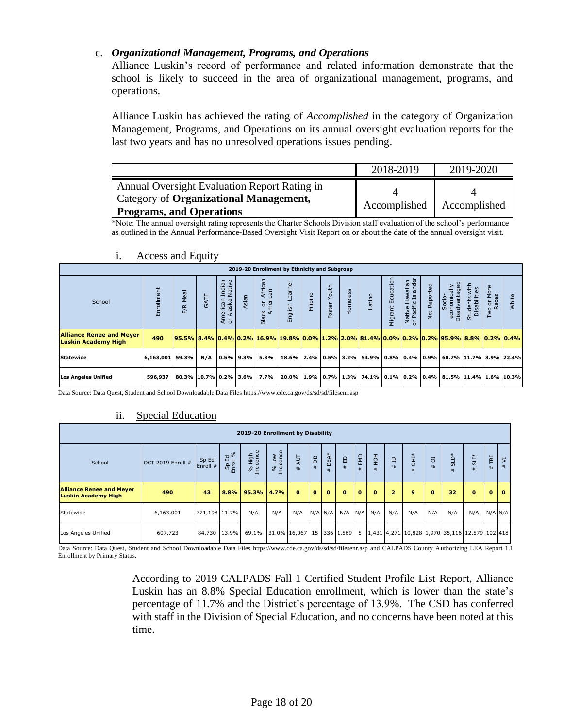## c. *Organizational Management, Programs, and Operations*

Alliance Luskin's record of performance and related information demonstrate that the school is likely to succeed in the area of organizational management, programs, and operations.

Alliance Luskin has achieved the rating of *Accomplished* in the category of Organization Management, Programs, and Operations on its annual oversight evaluation reports for the last two years and has no unresolved operations issues pending.

|                                                                           | 2018-2019    | 2019-2020    |
|---------------------------------------------------------------------------|--------------|--------------|
| Annual Oversight Evaluation Report Rating in                              |              |              |
| Category of Organizational Management,<br><b>Programs, and Operations</b> | Accomplished | Accomplished |

\*Note: The annual oversight rating represents the Charter Schools Division staff evaluation of the school's performance as outlined in the Annual Performance-Based Oversight Visit Report on or about the date of the annual oversight visit.

| 2019-20 Enrollment by Ethnicity and Subgroup                  |            |                                                                                                                                    |              |                                           |       |                                                       |                    |          |                   |          |                                                                                                                                         |                      |                                        |                             |                                         |                               |                                                      |       |
|---------------------------------------------------------------|------------|------------------------------------------------------------------------------------------------------------------------------------|--------------|-------------------------------------------|-------|-------------------------------------------------------|--------------------|----------|-------------------|----------|-----------------------------------------------------------------------------------------------------------------------------------------|----------------------|----------------------------------------|-----------------------------|-----------------------------------------|-------------------------------|------------------------------------------------------|-------|
| School                                                        | Enrollment | Meal<br>F/R                                                                                                                        | GATE         | Indian<br>Native<br>American<br>or Alaska | Asian | African<br>can<br>ŏ<br>$\overline{e}$<br><b>Black</b> | Learner<br>English | Filipino | Youth<br>oster    | Homeless | Latino                                                                                                                                  | Education<br>Migrant | Native Hawaiian<br>or Pacific Islander | Reported<br>N <sub>ot</sub> | Socio-<br>economically<br>Disadvantaged | Students with<br>Disabilities | More<br>Races<br>$\overleftarrow{\mathrm{o}}$<br>Two | White |
| <b>Alliance Renee and Meyer</b><br><b>Luskin Academy High</b> | 490        | <u> 95.5%   8.4%   0.4%   0.2%   16.9%   19.8%   0.0%   1.2%   2.0%   81.4%   0.0%   0.2%   0.2%   95.9%   8.8%   0.2%   0.4% </u> |              |                                           |       |                                                       |                    |          |                   |          |                                                                                                                                         |                      |                                        |                             |                                         |                               |                                                      |       |
| Statewide                                                     | 6,163,001  |                                                                                                                                    | N/A<br>59.3% | $0.5\%$ 9.3%                              |       | 5.3%                                                  | 18.6%              |          |                   |          | $\mid$ 2.4% $\mid$ 0.5% $\mid$ 3.2% $\mid$ 54.9% $\mid$ 0.8% $\mid$ 0.4% $\mid$ 0.9% $\mid$ 60.7% $\mid$ 11.7% $\mid$ 3.9% $\mid$ 22.4% |                      |                                        |                             |                                         |                               |                                                      |       |
| <b>Los Angeles Unified</b>                                    | 596,937    | 80.3% 10.7% 0.2% 3.6%                                                                                                              |              |                                           |       | 7.7%                                                  | 20.0%              |          | $1.9\%$ 0.7% 1.3% |          | $1.4\%$ 0.1% 0.2% 0.4% 81.5% 11.4% 1.6% 10.3%                                                                                           |                      |                                        |                             |                                         |                               |                                                      |       |

### i. Access and Equity

Data Source: Data Quest, Student and School Downloadable Data Files https://www.cde.ca.gov/ds/sd/sd/filesenr.asp

## ii. Special Education

|                                                                                                                                                      | 2019-20 Enrollment by Disability |                   |                   |                     |                    |                     |              |             |                   |                  |                        |                       |                     |          |                            |           |                             |                                        |
|------------------------------------------------------------------------------------------------------------------------------------------------------|----------------------------------|-------------------|-------------------|---------------------|--------------------|---------------------|--------------|-------------|-------------------|------------------|------------------------|-----------------------|---------------------|----------|----------------------------|-----------|-----------------------------|----------------------------------------|
| School                                                                                                                                               | OCT 2019 Enroll #                | Sp Ed<br>Enroll # | Sp Ed<br>Enroll % | % High<br>Incidence | % Low<br>Incidence | <b>AUT</b><br>$\pm$ | ЪB<br>$\ast$ | DEAF<br>#   | $\Omega$<br>$\pm$ | EMD<br>$\ddot{}$ | $\frac{1}{2}$<br>$\pm$ | $\mathbf{a}$<br>$\pm$ | <b>İHD</b><br>$\pm$ | ō<br>#   | ۇ<br>$\Omega$<br>$\ddot{}$ | *LI3<br># | ТBI<br>$\ddot{\phantom{1}}$ | $\overline{5}$<br>$\ddot{\phantom{1}}$ |
| <b>Alliance Renee and Meyer</b><br><b>Luskin Academy High</b>                                                                                        | 490                              | 43                |                   | $8.8\%$ 95.3%       | 4.7%               | $\mathbf{o}$        | $\mathbf{o}$ | $\bf{0}$    | $\mathbf{0}$      | $\mathbf{0}$     | $\bf{0}$               | $\overline{2}$        | 9                   | $\bf{0}$ | 32                         | $\bf{0}$  | $\mathbf{o}$                | $\mathbf{o}$                           |
| Statewide                                                                                                                                            | 6,163,001                        |                   | 721,198 11.7%     | N/A                 | N/A                | N/A                 |              | $N/A$ $N/A$ | $N/A$ $N/A$       |                  | N/A                    | N/A                   | N/A                 | N/A      | N/A                        | N/A       |                             | $N/A$ $N/A$                            |
| 15<br>336 1,569<br>1,431 4,271 10,828 1,970 35,116 12,579 102 418<br>31.0% 16,067<br>5<br>84,730<br>13.9%<br>69.1%<br>607,723<br>Los Angeles Unified |                                  |                   |                   |                     |                    |                     |              |             |                   |                  |                        |                       |                     |          |                            |           |                             |                                        |

Data Source: Data Quest, Student and School Downloadable Data Files https://www.cde.ca.gov/ds/sd/sd/filesenr.asp and CALPADS County Authorizing LEA Report 1.1 Enrollment by Primary Status.

> According to 2019 CALPADS Fall 1 Certified Student Profile List Report, Alliance Luskin has an 8.8% Special Education enrollment, which is lower than the state's percentage of 11.7% and the District's percentage of 13.9%. The CSD has conferred with staff in the Division of Special Education, and no concerns have been noted at this time.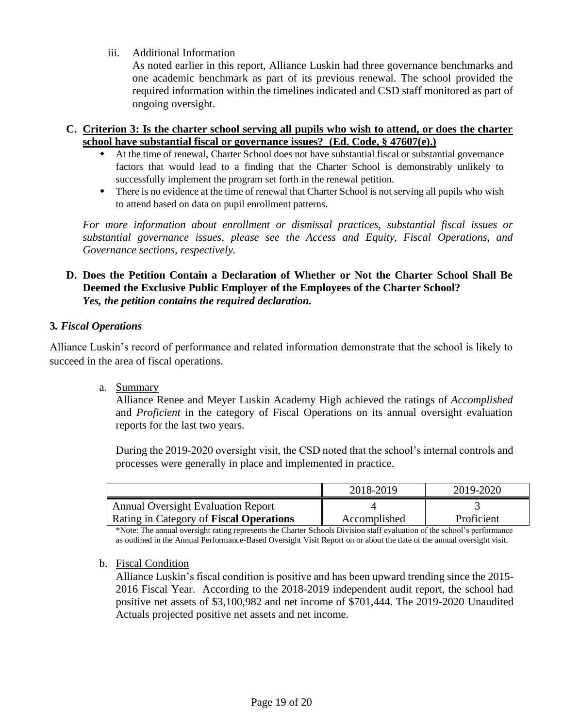iii. Additional Information

As noted earlier in this report, Alliance Luskin had three governance benchmarks and one academic benchmark as part of its previous renewal. The school provided the required information within the timelines indicated and CSD staff monitored as part of ongoing oversight.

- **C. Criterion 3: Is the charter school serving all pupils who wish to attend, or does the charter school have substantial fiscal or governance issues? (Ed. Code, § 47607(e).)**
	- At the time of renewal, Charter School does not have substantial fiscal or substantial governance factors that would lead to a finding that the Charter School is demonstrably unlikely to successfully implement the program set forth in the renewal petition.
	- There is no evidence at the time of renewal that Charter School is not serving all pupils who wish to attend based on data on pupil enrollment patterns.

*For more information about enrollment or dismissal practices, substantial fiscal issues or substantial governance issues, please see the Access and Equity, Fiscal Operations, and Governance sections, respectively.* 

## **D. Does the Petition Contain a Declaration of Whether or Not the Charter School Shall Be Deemed the Exclusive Public Employer of the Employees of the Charter School?**  *Yes, the petition contains the required declaration.*

## **3***. Fiscal Operations*

Alliance Luskin's record of performance and related information demonstrate that the school is likely to succeed in the area of fiscal operations.

a. Summary

Alliance Renee and Meyer Luskin Academy High achieved the ratings of *Accomplished*  and *Proficient* in the category of Fiscal Operations on its annual oversight evaluation reports for the last two years.

During the 2019-2020 oversight visit, the CSD noted that the school's internal controls and processes were generally in place and implemented in practice.

|                                           | 2018-2019    | 2019-2020  |
|-------------------------------------------|--------------|------------|
| <b>Annual Oversight Evaluation Report</b> |              |            |
| Rating in Category of Fiscal Operations   | Accomplished | Proficient |

\*Note: The annual oversight rating represents the Charter Schools Division staff evaluation of the school's performance as outlined in the Annual Performance-Based Oversight Visit Report on or about the date of the annual oversight visit.

## b. Fiscal Condition

Alliance Luskin's fiscal condition is positive and has been upward trending since the 2015- 2016 Fiscal Year. According to the 2018-2019 independent audit report, the school had positive net assets of \$3,100,982 and net income of \$701,444. The 2019-2020 Unaudited Actuals projected positive net assets and net income.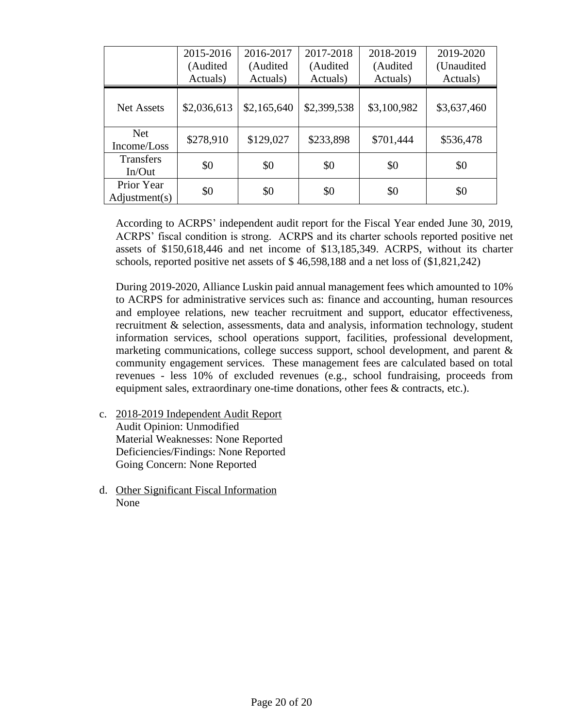|                             | 2015-2016<br>(Audited<br>Actuals) | 2016-2017<br>(Audited)<br>Actuals) | 2017-2018<br>(Audited<br>Actuals) | 2018-2019<br>(Audited<br>Actuals) | 2019-2020<br>(Unaudited<br>Actuals) |
|-----------------------------|-----------------------------------|------------------------------------|-----------------------------------|-----------------------------------|-------------------------------------|
| <b>Net Assets</b>           | \$2,036,613                       | \$2,165,640                        | \$2,399,538                       | \$3,100,982                       | \$3,637,460                         |
| <b>Net</b><br>Income/Loss   | \$278,910                         | \$129,027                          | \$233,898                         | \$701,444                         | \$536,478                           |
| <b>Transfers</b><br>In/Out  | \$0                               | \$0                                | \$0                               | \$0                               | \$0                                 |
| Prior Year<br>Adjustment(s) | \$0                               | \$0                                | \$0                               | \$0                               | \$0                                 |

According to ACRPS' independent audit report for the Fiscal Year ended June 30, 2019, ACRPS' fiscal condition is strong. ACRPS and its charter schools reported positive net assets of \$150,618,446 and net income of \$13,185,349. ACRPS, without its charter schools, reported positive net assets of \$ 46,598,188 and a net loss of (\$1,821,242)

During 2019-2020, Alliance Luskin paid annual management fees which amounted to 10% to ACRPS for administrative services such as: finance and accounting, human resources and employee relations, new teacher recruitment and support, educator effectiveness, recruitment & selection, assessments, data and analysis, information technology, student information services, school operations support, facilities, professional development, marketing communications, college success support, school development, and parent & community engagement services. These management fees are calculated based on total revenues - less 10% of excluded revenues (e.g., school fundraising, proceeds from equipment sales, extraordinary one-time donations, other fees & contracts, etc.).

- c. 2018-2019 Independent Audit Report Audit Opinion: Unmodified Material Weaknesses: None Reported Deficiencies/Findings: None Reported Going Concern: None Reported
- d. Other Significant Fiscal Information None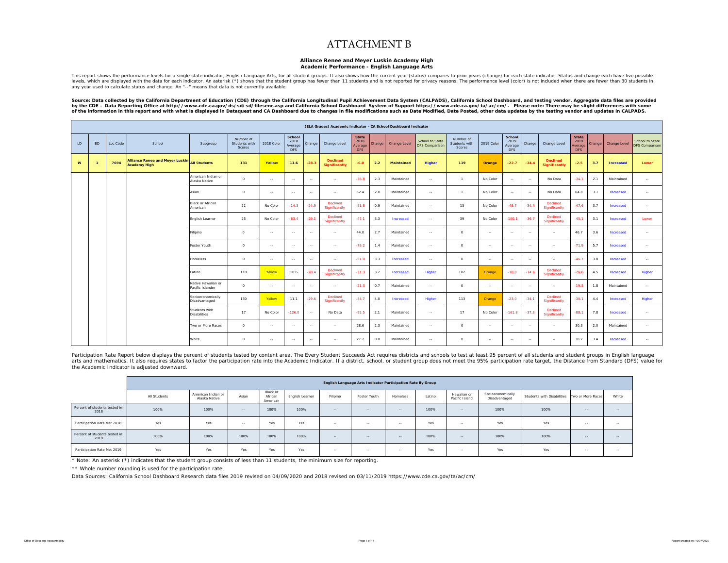### ATTACHMENT B

### **Alliance Renee and Meyer Luskin Academy High**

#### **Academic Performance - English Language Arts**

This report shows the performance levels for a single state indicator, English Language Arts, for all student groups. It also shows how the current year (status) compares to prior years (change) for each state indicator. S any year used to calculate status and change. An "--" means that data is not currently available.

Source: Data collected by the California Department of Education (CDE) through the California Longitudinal Pupil Achievement Data System (CALPADS), California School Dashboard, and testing vendor. Aggregate data files are

|     |                |          |                                                                     |                                        |                                      |               |                                         |         | (ELA Grades) Academic Indicator - CA School Dashboard Indicator |                                 |        |                   |                                          |                                      |            |                                         |               |                                  |                                               |        |                     |                                                 |
|-----|----------------|----------|---------------------------------------------------------------------|----------------------------------------|--------------------------------------|---------------|-----------------------------------------|---------|-----------------------------------------------------------------|---------------------------------|--------|-------------------|------------------------------------------|--------------------------------------|------------|-----------------------------------------|---------------|----------------------------------|-----------------------------------------------|--------|---------------------|-------------------------------------------------|
| LD. | <b>BD</b>      | Loc Code | School                                                              | Subgroup                               | Number of<br>Students with<br>Scores | 2018 Color    | School<br>2018<br>Average<br><b>DFS</b> | Change  | Change Level                                                    | State<br>2018<br>Average<br>DFS | Change | Change Level      | School to State<br><b>DFS Comparison</b> | Number of<br>Students with<br>Scores | 2019 Color | School<br>2019<br>Average<br><b>DFS</b> | Change        | Change Level                     | <b>State</b><br>2019<br>Average<br><b>DFS</b> | Change | <b>Change Level</b> | <b>School to State</b><br><b>DFS Comparison</b> |
| W   | $\overline{1}$ | 7694     | Alliance Renee and Meyer Luskin All Students<br><b>Academy High</b> |                                        | 131                                  | Yellow        | 11.6                                    | $-28.3$ | <b>Declined</b><br><b>Significantly</b>                         | $-6.0$                          | 2.2    | <b>Maintained</b> | <b>Higher</b>                            | 119                                  | Orange     | $-22.7$                                 | $-34.4$       | <b>Declined</b><br>Significantly | $-2.5$                                        | 3.7    | Increased           | Lower                                           |
|     |                |          |                                                                     | American Indian or<br>Alaska Native    | $\circ$                              | $\sim$ $\sim$ | $\sim$                                  | $\sim$  | $\sim$                                                          | $-36.8$                         | 2.3    | Maintained        | $\sim$                                   | $\overline{1}$                       | No Color   | $\sim$ $\sim$                           | $\sim$        | No Data                          | $-34.1$                                       | 2.1    | Maintained          | $\sim$                                          |
|     |                |          |                                                                     | Asian                                  | $\circ$                              | $\sim$        | $\sim$                                  | $\sim$  | $\sim$                                                          | 62.4                            | 2.0    | Maintained        | $\sim$                                   | $\overline{1}$                       | No Color   | $\sim$                                  | $\sim$        | No Data                          | 64.8                                          | 3.1    | Increased           | $\sim$                                          |
|     |                |          |                                                                     | <b>Black or African</b><br>American    | 21                                   | No Color      | $-14.3$                                 | $-24.9$ | Declined<br>Significantly                                       | $-51.8$                         | 0.9    | Maintained        | $\sim$                                   | 15                                   | No Color   | $-48.7$                                 | $-34.4$       | <b>Declined</b><br>Significantly | $-47.6$                                       | 3.7    | Increased           | $\sim$                                          |
|     |                |          |                                                                     | English Learner                        | 25                                   | No Color      | $-63.4$                                 | $-29.1$ | Declined<br>Significantly                                       | $-47.1$                         | 3.3    | Increased         | $\sim$                                   | 39                                   | No Color   | $-100.1$                                | $-36.7$       | <b>Declined</b><br>Significantly | $-45.1$                                       | 3.1    | Increased           | Lower                                           |
|     |                |          |                                                                     | Filipino                               | $\circ$                              | $\sim$ $\sim$ | $\sim$                                  | $\sim$  | $\sim$                                                          | 44.0                            | 2.7    | Maintained        | $\sim$                                   | $\circ$                              | $\sim$     | $\sim$                                  | $\sim$        | $\sim$ $\sim$                    | 46.7                                          | 3.6    | Increased           | $\sim$                                          |
|     |                |          |                                                                     | Foster Youth                           | $\circ$                              | $\sim$        | $\sim$                                  | $\sim$  | $\sim$                                                          | $-79.2$                         | 1.4    | Maintained        | $\sim$                                   | $\circ$                              | $\sim$     | $\sim$                                  | $\sim$        | $\sim$ $\sim$                    | $-71.9$                                       | 5.7    | Increased           | $\sim$                                          |
|     |                |          |                                                                     | <b>Homeless</b>                        | $\circ$                              | $\sim$        | $\sim$                                  | $\sim$  | $\sim$                                                          | $-51.0$                         | 3.3    | Increased         | $\sim$                                   | $\circ$                              | $\sim$     | $\sim$                                  | $\sim$ $\sim$ | $\sim$                           | $-46.7$                                       | 3.8    | Increased           | $\sim$                                          |
|     |                |          |                                                                     | Latino                                 | 110                                  | Yellow        | 16.6                                    | $-28.4$ | Declined<br>Significantly                                       | $-31.3$                         | 3.2    | Increased         | Higher                                   | 102                                  | Orange     | $-18.0$                                 | $-34.6$       | <b>Declined</b><br>Significantly | $-26.6$                                       | 4.5    | Increased           | Higher                                          |
|     |                |          |                                                                     | Native Hawaiian or<br>Pacific Islander | $^{\circ}$                           | $\sim$ $\sim$ | $\sim$                                  | $\sim$  | $\sim$ $\sim$                                                   | $-21.3$                         | 0.7    | Maintained        | $\sim$                                   | $^{\circ}$                           | $\sim$     | $\sim$                                  | $\sim$        | $\sim$ $\sim$                    | $-19.5$                                       | 1.8    | Maintained          | $\sim$                                          |
|     |                |          |                                                                     | Socioeconomically<br>Disadvantaged     | 130                                  | Yellow        | 11.1                                    | $-29.6$ | Declined<br>Significantly                                       | $-34.7$                         | 4.0    | Increased         | Higher                                   | 113                                  | Orange     | $-23.0$                                 | $-34.1$       | <b>Declined</b><br>Significantly | $-30.1$                                       | 4.4    | Increased           | Higher                                          |
|     |                |          |                                                                     | Students with<br><b>Disabilities</b>   | 17                                   | No Color      | $-126.0$                                | $\sim$  | No Data                                                         | $-95.5$                         | 2.1    | Maintained        | $\sim$                                   | 17                                   | No Color   | $-161.8$                                | $-37.3$       | <b>Declined</b><br>Significantly | $-88.1$                                       | 7.8    | Increased           | $\sim$                                          |
|     |                |          |                                                                     | Two or More Races                      | $^{\circ}$                           | $\sim$        | $\sim$                                  | $\sim$  | $\sim$                                                          | 28.6                            | 2.3    | Maintained        | $\overline{a}$                           | $\circ$                              | $\sim$     | $\sim$                                  | $\sim$        | $\sim$ $\sim$                    | 30.3                                          | 2.0    | Maintained          | $\sim$ $\sim$                                   |
|     |                |          |                                                                     | White                                  | $^{\circ}$                           | $\sim$        | $\sim$                                  | $\sim$  | $\sim$                                                          | 27.7                            | 0.8    | Maintained        | $\sim$                                   | $\circ$                              | $\sim$     | $\sim$                                  | $\sim$        | $\sim$                           | 30.7                                          | 3.4    | Increased           | $\sim$                                          |

Participation Rate Report below displays the percent of students tested by content area. The Every Student Succeeds Act requires districts and schools to test at least 95 percent of all students and student groups in Engli arts and mathematics. It also requires states to factor the participation rate into the Academic Indicator. If a district, school, or student group does not meet the 95% participation rate target, the Distance from Standar the Academic Indicator is adjusted downward.

|                                       |              |                                     |               |                                 |                 |          | English Language Arts Indicator Participation Rate By Group |               |        |                               |                                    |                            |                   |        |
|---------------------------------------|--------------|-------------------------------------|---------------|---------------------------------|-----------------|----------|-------------------------------------------------------------|---------------|--------|-------------------------------|------------------------------------|----------------------------|-------------------|--------|
|                                       | All Students | American Indian or<br>Alaska Native | Asian         | Black or<br>African<br>American | English Learner | Filipino | Foster Youth                                                | Homeless      | Latino | Hawaiian or<br>Pacific Island | Socioeconomically<br>Disadvantaged | Students with Disabilities | Two or More Races | White  |
| Percent of students tested in<br>2018 | 100%         | 100%                                | $\sim$ $\sim$ | 100%                            | 100%            | $-$      | $\sim$ $\sim$                                               | $\sim$ $\sim$ | 100%   | $\sim$ $\sim$                 | 100%                               | 100%                       | $\sim$            | $\sim$ |
| Participation Rate Met 2018           | Yes          | Yes                                 | $\sim$        | Yes                             | Yes             | $-1$     | $\sim$                                                      | $\sim$        | Yes    | $\sim$                        | Yes                                | Yes                        | $\sim$            | $\sim$ |
| Percent of students tested in<br>2019 | 100%         | 100%                                | 100%          | 100%                            | 100%            | $-$      | $\sim$                                                      | $-1$          | 100%   | $-1$                          | 100%                               | 100%                       | $\sim$            | $\sim$ |
| Participation Rate Met 2019           | Yes          | Yes                                 | Yes           | Yes                             | Yes             | $\sim$   | $\sim$                                                      | $\sim$ $\sim$ | Yes    | $\sim$ $-$                    | Yes                                | Yes                        | $-$               | $\sim$ |

\* Note: An asterisk (\*) indicates that the student group consists of less than 11 students, the minimum size for reporting.

\*\* Whole number rounding is used for the participation rate.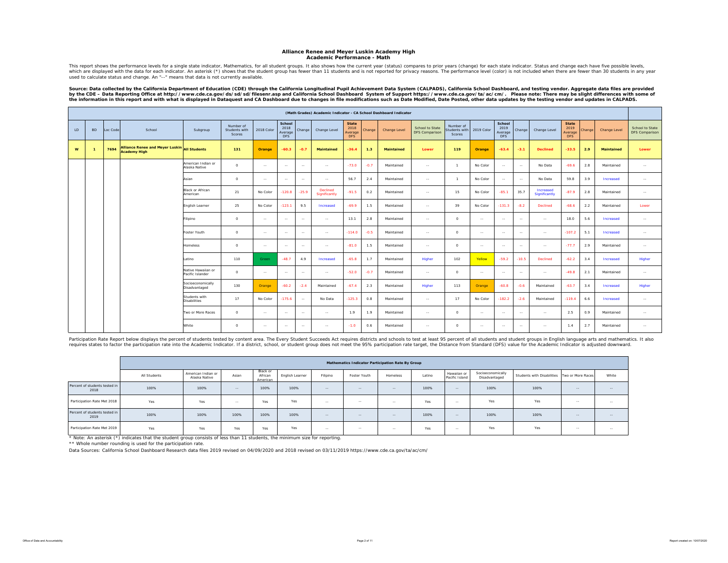#### **Alliance Renee and Meyer Luskin Academy High Academic Performance - Math**

This report shows the performance levels for a single state indicator, Mathematics, for all student groups. It also shows how the current year (status) compares to prior years (change) for each state indicator. Status and which are displayed with the data for each indicator. An asterisk (\*) shows that the student group has fewer than 11 students and is not reported for privacy reasons. The performance level (color) is not included when ther used to calculate status and change. An "--" means that data is not currently available.

Source: Data collected by the California Department of Education (CDE) through the California Longitudinal Pupil Achievement Data System (CALPADS), California School Dashboard, and testing vendor. Aggregate data files are by the CDE – Data Reporting Office at http://www.cde.ca.gov/ds/sd/filesenr.asp and California School Dashboard System of Support https://www.cde.ca.gov/ta/ac/cm/. Please note: There may be slight differences with some of<br>t

|              | (Math Grades) Academic Indicator - CA School Dashboard Indicator<br>School<br>School<br><b>State</b><br><b>State</b> |          |                                                                     |                                        |                                      |               |                               |         |                           |                               |        |                   |                                          |                                      |            |                        |               |                                   |                        |        |                     |                                   |
|--------------|----------------------------------------------------------------------------------------------------------------------|----------|---------------------------------------------------------------------|----------------------------------------|--------------------------------------|---------------|-------------------------------|---------|---------------------------|-------------------------------|--------|-------------------|------------------------------------------|--------------------------------------|------------|------------------------|---------------|-----------------------------------|------------------------|--------|---------------------|-----------------------------------|
| LD           | <b>BD</b>                                                                                                            | Loc Code | School                                                              | Subgroup                               | Number of<br>Students with<br>Scores | 2018 Color    | 2018<br>Average<br><b>DFS</b> | Change  | Change Level              | 2018<br>Average<br><b>DFS</b> | Change | Change Level      | School to State<br><b>DFS Comparison</b> | Number of<br>Students with<br>Scores | 2019 Color | 2019<br>Average<br>DFS | Change        | Change Level                      | 2019<br>Average<br>DFS | Change | <b>Change Level</b> | School to State<br>DFS Comparison |
| $\mathbf{w}$ | $\overline{1}$                                                                                                       | 7694     | Alliance Renee and Meyer Luskin All Students<br><b>Academy High</b> |                                        | 131                                  | Orange        | $-60.3$                       | $-0.7$  | <b>Maintained</b>         | $-36.4$                       | 1.3    | <b>Maintained</b> | Lower                                    | 119                                  | Orange     | $-63.4$                | $-3.1$        | <b>Declined</b>                   | $-33.5$                | 2.9    | <b>Maintained</b>   | Lower                             |
|              |                                                                                                                      |          |                                                                     | American Indian or<br>Alaska Native    | $\circ$                              | $\sim$ $\sim$ | $\sim$                        | $\sim$  | $\sim$                    | $-73.0$                       | $-0.7$ | Maintained        | $\sim$                                   | $\overline{1}$                       | No Color   | $\sim$                 | $\sim$        | No Data                           | $-69.6$                | 2.8    | Maintained          | $\sim$                            |
|              |                                                                                                                      |          |                                                                     | Asian                                  | $\circ$                              | $\sim$ $\sim$ | $\sim$                        | $\sim$  | $\sim$                    | 56.7                          | 2.4    | Maintained        | $\sim$                                   | $\overline{1}$                       | No Color   | $\sim$ $\sim$          | $\sim$        | No Data                           | 59.8                   | 3.9    | Increased           | $\sim$                            |
|              |                                                                                                                      |          |                                                                     | <b>Black or African</b><br>American    | 21                                   | No Color      | $-120.8$                      | $-25.9$ | Declined<br>Significantly | $-91.5$                       | 0.2    | Maintained        | $\sim$                                   | 15                                   | No Color   | $-85.1$                | 35.7          | Increased<br><b>Significantly</b> | $-87.9$                | 2.8    | Maintained          | $\cdots$                          |
|              |                                                                                                                      |          |                                                                     | English Learner                        | 25                                   | No Color      | $-123.1$                      | 9.5     | Increased                 | $-69.9$                       | 1.5    | Maintained        | $\sim$                                   | 39                                   | No Color   | $-131.3$               | $-8.2$        | Declined                          | $-68.6$                | 2.2    | Maintained          | Lower                             |
|              |                                                                                                                      |          |                                                                     | Filipino                               | $\circ$                              | $\sim$ $-$    | $\sim$                        | $\sim$  | $\sim$ $\sim$             | 13.1                          | 2.8    | Maintained        | $\sim$                                   | $\circ$                              | $\sim$     | $\sim$                 | $\sim$ $\sim$ | $\sim$ $\sim$                     | 18.0                   | 5.6    | Increased           | $\sim$                            |
|              |                                                                                                                      |          |                                                                     | Foster Youth                           | $\circ$                              | $\sim$ $\sim$ | $\sim$                        | $\sim$  | $\sim$                    | $-114.0$                      | $-0.5$ | Maintained        | $\sim$                                   | $\circ$                              | $\sim$     | $\sim$                 | $\sim$        | $\sim$                            | $-107.2$               | 5.1    | Increased           | $\sim$                            |
|              |                                                                                                                      |          |                                                                     | Homeless                               | $\circ$                              | $\sim$ $-$    | $\sim$                        | $\sim$  | $\sim$ $\sim$             | $-81.0$                       | 1.5    | Maintained        | $\sim$                                   | $\circ$                              | $\sim$     | $\sim$                 | $\sim$        | $\sim$                            | $-77.7$                | 2.9    | Maintained          | $\sim$                            |
|              |                                                                                                                      |          |                                                                     | Latino                                 | 110                                  | Green         | $-48.7$                       | 4.9     | Increased                 | $-65.8$                       | 1.7    | Maintained        | Higher                                   | 102                                  | Yellow     | $-59.2$                | $-10.5$       | Declined                          | $-62.2$                | 3.4    | Increased           | Higher                            |
|              |                                                                                                                      |          |                                                                     | Native Hawaiian or<br>Pacific Islander | $\circ$                              | $\sim$ $\sim$ | $\sim$                        | $\sim$  | $\sim$                    | $-52.0$                       | $-0.7$ | Maintained        | $\sim$                                   | $\circ$                              | $\sim$     | $\sim$                 | $\sim$ $\sim$ | $\sim$                            | $-49.8$                | 2.1    | Maintained          | $\sim$                            |
|              |                                                                                                                      |          |                                                                     | Socioeconomically<br>Disadvantaged     | 130                                  | Orange        | $-60.2$                       | $-2.4$  | Maintained                | $-67.4$                       | 2.3    | Maintained        | Higher                                   | 113                                  | Orange     | $-60.8$                | $-0.6$        | Maintained                        | $-63.7$                | 3.4    | Increased           | Higher                            |
|              |                                                                                                                      |          |                                                                     | Students with<br><b>Disabilities</b>   | 17                                   | No Color      | $-175.6$                      | $\sim$  | No Data                   | $-125.3$                      | 0.8    | Maintained        | $\sim$                                   | 17                                   | No Color   | $-182.2$               | $-2.6$        | Maintained                        | $-119.4$               | 6.6    | Increased           | $\sim$                            |
|              |                                                                                                                      |          |                                                                     | Two or More Races                      | $\circ$                              | $\sim$        | $\sim$                        | $\sim$  | $\sim$                    | 1.9                           | 1.9    | Maintained        | $\sim$                                   | $\circ$                              | $\sim$     | $\sim$ $\sim$          | $\sim$ $\sim$ | $\sim$                            | 2.5                    | 0.9    | Maintained          | $\sim$                            |
|              |                                                                                                                      |          |                                                                     | White                                  | $\Omega$                             | $\sim$        | $\sim$                        | $\sim$  | $\sim$ $\sim$             | $-1.0$                        | 0.6    | Maintained        | $\sim$                                   | $\Omega$                             | $\sim$     | $\sim$                 | $\sim$ $\sim$ | $\sim$ $\sim$                     | 1.4                    | 2.7    | Maintained          | $\sim$                            |

Participation Rate Report below displays the percent of students tested by content area. The Every Student Succeeds Act requires districts, ethe 95% participation rate target, the Distance from Standard (DFS) value for the

|                                       |              |                                     |        |                                 |                 |          | Mathematics Indicator Participation Rate By Group |          |        |                               |                                    |                                              |        |        |
|---------------------------------------|--------------|-------------------------------------|--------|---------------------------------|-----------------|----------|---------------------------------------------------|----------|--------|-------------------------------|------------------------------------|----------------------------------------------|--------|--------|
|                                       | All Students | American Indian or<br>Alaska Native | Asian  | Black or<br>African<br>American | English Learner | Filipino | Foster Youth                                      | Homeless | Latino | Hawaiian or<br>Pacific Island | Socioeconomically<br>Disadvantaged | Students with Disabilities Two or More Races |        | White  |
| Percent of students tested in<br>2018 | 100%         | 100%                                | $-$    | 100%                            | 100%            | $-$      | $-1$                                              | $-$      | 100%   | $-$                           | 100%                               | 100%                                         | $- -$  | $\sim$ |
| Participation Rate Met 2018           | Yes          | Yes                                 | $\sim$ | Yes                             | Yes             | $\sim$   | $\sim$                                            | $\sim$   | Yes    | $\sim$ $-$                    | Yes                                | Yes                                          | $\sim$ | $\sim$ |
| Percent of students tested in<br>2019 | 100%         | 100%                                | 100%   | 100%                            | 100%            | $-$      | $\sim$ $\sim$                                     | $-$      | 100%   | $\sim$ $-$                    | 100%                               | 100%                                         | $-$    | $\sim$ |
| Participation Rate Met 2019           | Yes          | Yes                                 | Yes    | Yes                             | Yes             | $\sim$   | $\sim$ $\sim$                                     | $\sim$   | Yes    | $\sim$ $\sim$                 | Yes                                | Yes                                          | $\sim$ | $\sim$ |

\* Note: An asterisk (\*) indicates that the student group consists of less than 11 students, the minimum size for reporting.

\*\* Whole number rounding is used for the participation rate.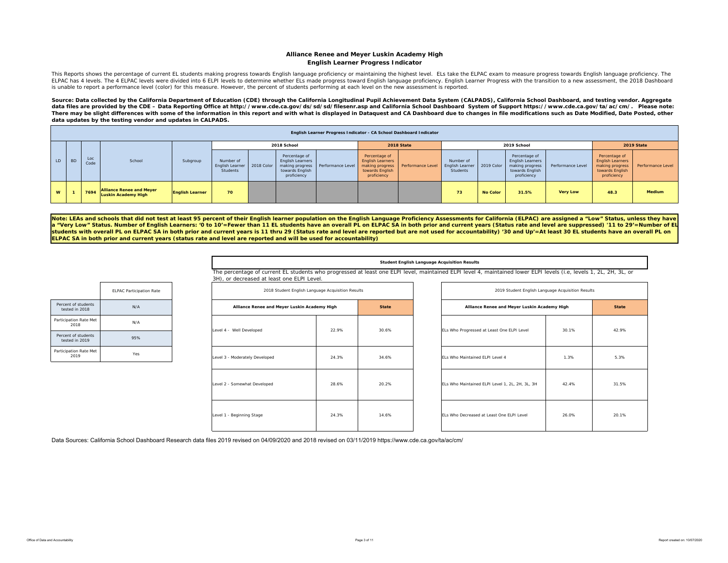#### **Alliance Renee and Meyer Luskin Academy High English Learner Progress Indicator**

This Reports shows the percentage of current EL students making progress towards English language proficiency or maintaining the highest level. ELs take the ELPAC exam to measure progress towards English language proficien ELPAC has 4 levels. The 4 ELPAC levels were divided into 6 ELPI levels to determine whether ELS made progress toward English language proficiency. English Learner Progress with the transition to a new assessment, the 2018 is unable to report a performance level (color) for this measure. However, the percent of students performing at each level on the new assessment is reported.

Source: Data collected by the California Department of Education (CDE) through the California Longitudinal Pupil Achievement Data System (CALPADS), California School Dashboard, and testing vendor. Aggregate data files are provided by the CDE – Data Reporting Office at http://www.cde.ca.gov/ds/sd/sd/filesenr.asp and California School Dashboard System of Support https://www.cde.ca.gov/ta/ac/cm/. Please note: There may be slight differences with some of the information in this report and with what is displayed in Dataquest and CA Dashboard due to changes in file modifications such as Date Modified, Date Posted, other *data updates by the testing vendor and updates in CALPADS.* 

|    |           |             |                                                        |                        |                                                            |                                                                                               |                   |                                                                                               | English Learner Progress Indicator - CA School Dashboard Indicator |                                          |                 |                                                                                               |                   |                                                                                               |                   |
|----|-----------|-------------|--------------------------------------------------------|------------------------|------------------------------------------------------------|-----------------------------------------------------------------------------------------------|-------------------|-----------------------------------------------------------------------------------------------|--------------------------------------------------------------------|------------------------------------------|-----------------|-----------------------------------------------------------------------------------------------|-------------------|-----------------------------------------------------------------------------------------------|-------------------|
|    |           |             |                                                        |                        |                                                            | 2018 School                                                                                   |                   |                                                                                               | 2018 State                                                         |                                          |                 | 2019 School                                                                                   |                   |                                                                                               | 2019 State        |
| LD | <b>BD</b> | Loc<br>Code | School                                                 | Subgroup               | Number of<br>English Learner 2018 Color<br><b>Students</b> | Percentage of<br><b>English Learners</b><br>making progress<br>towards English<br>proficiency | Performance Level | Percentage of<br><b>English Learners</b><br>making progress<br>towards English<br>proficiency | Performance Level                                                  | Number of<br>English Learner<br>Students | 2019 Color      | Percentage of<br><b>English Learners</b><br>making progress<br>towards English<br>proficiency | Performance Level | Percentage of<br><b>English Learners</b><br>making progress<br>towards English<br>proficiency | Performance Level |
| W  |           | 7694        | <b>Alliance Renee and Meyer</b><br>Luskin Academy High | <b>English Learner</b> | 70                                                         |                                                                                               |                   |                                                                                               |                                                                    | 73                                       | <b>No Color</b> | 31.5%                                                                                         | <b>Very Low</b>   | 48.3                                                                                          | <b>Medium</b>     |

Note: LEAs and schools that did not test at least 95 percent of their English learner population on the English Language Proficiency Assessments for California (ELPAC) are assigned a "Low" Status, unless they have **<sup>a</sup>"Very Low" Status. Number of English Learners: '0 to 10'=Fewer than 11 EL students have an overall PL on ELPAC SA in both prior and current years (Status rate and level are suppressed) '11 to 29'=Number of EL students with overall PL on ELPAC SA in both prior and current years is 11 thru 29 (Status rate and level are reported but are not used for accountability) '30 and Up'=At least 30 EL students have an overall PL on ELPAC SA in both prior and current years (status rate and level are reported and will be used for accountability)** 

#### **Student English Language Acquisition Results**

The percentage of current EL students who progressed at least one ELPI level, maintained ELPI level 4, maintained lower ELPI levels (i.e, levels 1, 2L, 2H, 3L, or 3H), or decreased at least one ELPI Level.

| 2018 Student English Language Acquisition Results |       |              | 2019 Student English Language Acquisition Results |       |              |
|---------------------------------------------------|-------|--------------|---------------------------------------------------|-------|--------------|
| Alliance Renee and Meyer Luskin Academy High      |       | <b>State</b> | Alliance Renee and Meyer Luskin Academy High      |       | <b>State</b> |
| Level 4 - Well Developed                          | 22.9% | 30.6%        | ELs Who Progressed at Least One ELPI Level        | 30.1% | 42.9%        |
| Level 3 - Moderately Developed                    | 24.3% | 34.6%        | ELs Who Maintained ELPI Level 4                   | 1.3%  | 5.3%         |
| Level 2 - Somewhat Developed                      | 28.6% | 20.2%        | ELs Who Maintained ELPI Level 1, 2L, 2H, 3L, 3H   | 42.4% | 31.5%        |
| Level 1 - Beginning Stage                         | 24.3% | 14.6%        | ELs Who Decreased at Least One ELPI Level         | 26.0% | 20.1%        |

|                                       | <b>ELPAC Participation Rate</b> |
|---------------------------------------|---------------------------------|
| Percent of students<br>tested in 2018 | N/A                             |
| Participation Rate Met<br>2018        | N/A                             |
| Percent of students<br>tested in 2019 | 95%                             |
| Participation Rate Met<br>2019        | Yes                             |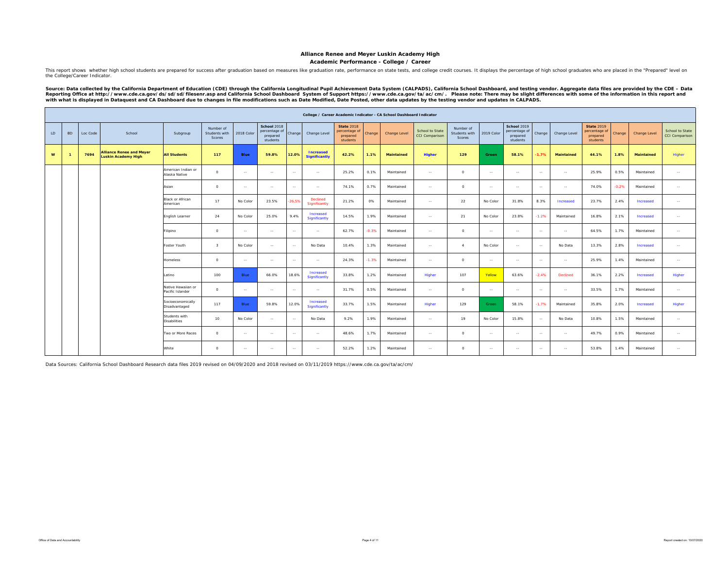**Academic Performance - College / Career**

This report shows whether high school students are prepared for success after graduation based on measures like graduation rate, performance on state tests, and college credit courses. It displays the percentage of high sc the College/Career Indicator.

Source: Data collected by the California Department of Education (CDE) through the California Longitudinal Pupil Achievement Data System (CALPADS), California School Dashboard, and testing vendor. Aggregate data files are

|    |           |          |                                                        |                                        |                                      |             |                                                      |               |                                          |                                                            |         | College / Career Academic Indicator - CA School Dashboard Indicator |                                   |                                      |                |                                                      |               |                   |                                                            |         |                   |                                          |
|----|-----------|----------|--------------------------------------------------------|----------------------------------------|--------------------------------------|-------------|------------------------------------------------------|---------------|------------------------------------------|------------------------------------------------------------|---------|---------------------------------------------------------------------|-----------------------------------|--------------------------------------|----------------|------------------------------------------------------|---------------|-------------------|------------------------------------------------------------|---------|-------------------|------------------------------------------|
| LD | <b>BD</b> | Loc Code | School                                                 | Subgroup                               | Number of<br>Students with<br>Scores | 2018 Color  | School 2018<br>percentage of<br>prepared<br>students | Change        | Change Level                             | <b>State 2018</b><br>percentage of<br>prepared<br>students | Change  | Change Level                                                        | School to State<br>CCI Comparison | Number of<br>Students with<br>Scores | 2019 Color     | School 2019<br>percentage of<br>prepared<br>students | Change        | Change Level      | <b>State 2019</b><br>percentage of<br>prepared<br>students | Change  | Change Level      | School to State<br><b>CCI Comparison</b> |
| W  |           | 7694     | <b>Alliance Renee and Meyer</b><br>Luskin Academy High | <b>All Students</b>                    | 117                                  | <b>Blue</b> | 59.8%                                                | 12.0%         | <b>Increased</b><br><b>Significantly</b> | 42.2%                                                      | 1.1%    | <b>Maintained</b>                                                   | <b>Higher</b>                     | 129                                  | Green          | 58.1%                                                | $-1.7%$       | <b>Maintained</b> | 44.1%                                                      | 1.8%    | <b>Maintained</b> | Higher                                   |
|    |           |          |                                                        | American Indian or<br>Alaska Native    | $\Omega$                             | $\sim$      | $\sim$                                               | $\sim$        | $\sim$                                   | 25.2%                                                      | 0.1%    | Maintained                                                          | $\sim$                            | $\circ$                              | $\sim$         | $\sim$                                               | $\sim$        | $\sim$            | 25.9%                                                      | 0.5%    | Maintained        | $\sim$                                   |
|    |           |          |                                                        | Asian                                  | $\Omega$                             | $\sim$      | $\sim$                                               | $\sim$        | $\sim$                                   | 74.1%                                                      | 0.7%    | Maintained                                                          | $\sim$                            | $\circ$                              | $\sim$         | $\sim$                                               | $\sim$        | $\sim$            | 74.0%                                                      | $-0.2%$ | Maintained        | $\sim$                                   |
|    |           |          |                                                        | <b>Black or African</b><br>American    | 17                                   | No Color    | 23.5%                                                | $-26.5%$      | Declined<br>Significantly                | 21.2%                                                      | 0%      | Maintained                                                          | $\sim$                            | 22                                   | No Color       | 31.8%                                                | 8.3%          | <b>Increased</b>  | 23.7%                                                      | 2.4%    | Increased         | $\sim$                                   |
|    |           |          |                                                        | English Learner                        | 24                                   | No Color    | 25.0%                                                | 9.4%          | Increased<br>Significantly               | 14.5%                                                      | 1.9%    | Maintained                                                          | $\sim$                            | 21                                   | No Color       | 23.8%                                                | $-1.2%$       | Maintained        | 16.8%                                                      | 2.1%    | Increased         | $\sim$                                   |
|    |           |          |                                                        | Filipino                               | $\Omega$                             | $\sim$      | $\sim$                                               | $\sim$        | $\sim$                                   | 62.7%                                                      | $-0.3%$ | Maintained                                                          | $\sim$                            | $\Omega$                             | $\sim$         | $\sim$                                               | $\sim$        | $\sim$            | 64.5%                                                      | 1.7%    | Maintained        | $\sim$ $\sim$                            |
|    |           |          |                                                        | Foster Youth                           | $\mathbf{R}$                         | No Color    | $\sim$                                               | $\sim$        | No Data                                  | 10.4%                                                      | 1.3%    | Maintained                                                          | $\sim$                            | $\sim$                               | No Color       | $\sim$                                               | $\sim$        | No Data           | 13.3%                                                      | 2.8%    | Increased         | $\sim$                                   |
|    |           |          |                                                        | <b>Homeless</b>                        | $\circ$                              | $\sim$      | $\sim$                                               | $\sim$        | $\sim$                                   | 24.3%                                                      | $-1.3%$ | Maintained                                                          | $\sim$                            | $\circ$                              | $\sim$         | $\sim$ $\sim$                                        | $\sim$        | $\sim$            | 25.9%                                                      | 1.4%    | Maintained        | $\sim$                                   |
|    |           |          |                                                        | Latino                                 | 100                                  | Blue        | 66.0%                                                | 18.6%         | Increased<br>Significantly               | 33.8%                                                      | 1.2%    | Maintained                                                          | Higher                            | 107                                  | Yellow         | 63.6%                                                | $-2.4%$       | Declined          | 36.1%                                                      | 2.2%    | Increased         | Higher                                   |
|    |           |          |                                                        | Native Hawaiian or<br>Pacific Islander | $\circ$                              | $\sim$      | $\sim$                                               | $\sim$ $\sim$ | $\sim$                                   | 31.7%                                                      | 0.5%    | Maintained                                                          | $\sim$                            | $\circ$                              | $\sim$         | $\sim$                                               | $\sim$        | $\sim$ $-$        | 33.5%                                                      | 1.7%    | Maintained        | $\sim$                                   |
|    |           |          |                                                        | Socioeconomically<br>Disadvantaged     | 117                                  | Blue        | 59.8%                                                | 12.0%         | Increased<br>Significantly               | 33.7%                                                      | 1.5%    | Maintained                                                          | Higher                            | 129                                  | Green          | 58.1%                                                | $-1.7%$       | Maintained        | 35.8%                                                      | 2.0%    | Increased         | Higher                                   |
|    |           |          |                                                        | Students with<br><b>Disabilities</b>   | 10                                   | No Color    | $\sim$                                               | $\sim$ $\sim$ | No Data                                  | 9.2%                                                       | 1.9%    | Maintained                                                          | $\sim$                            | 19                                   | No Color       | 15.8%                                                | $\sim$ $\sim$ | No Data           | 10.8%                                                      | 1.5%    | Maintained        | $\sim$ $\sim$                            |
|    |           |          |                                                        | Two or More Races                      | $\Omega$                             | $\sim$      | $\sim$                                               | $\sim$        | $\sim$                                   | 48.6%                                                      | 1.7%    | Maintained                                                          | $\sim$ $\sim$                     | $\circ$                              | $\sim$         | $\sim$                                               | $\sim$        | $\sim$            | 49.7%                                                      | 0.9%    | Maintained        | $\sim$                                   |
|    |           |          |                                                        | White                                  | $\circ$                              | $\sim$      | $\sim$                                               | $\sim$ $\sim$ | $\sim$                                   | 52.2%                                                      | 1.2%    | Maintained                                                          | $\sim$                            | $^{\circ}$                           | <b>Section</b> | $\sim$                                               | $\sim$        | $\sim$ $-$        | 53.8%                                                      | 1.4%    | Maintained        | $\sim$                                   |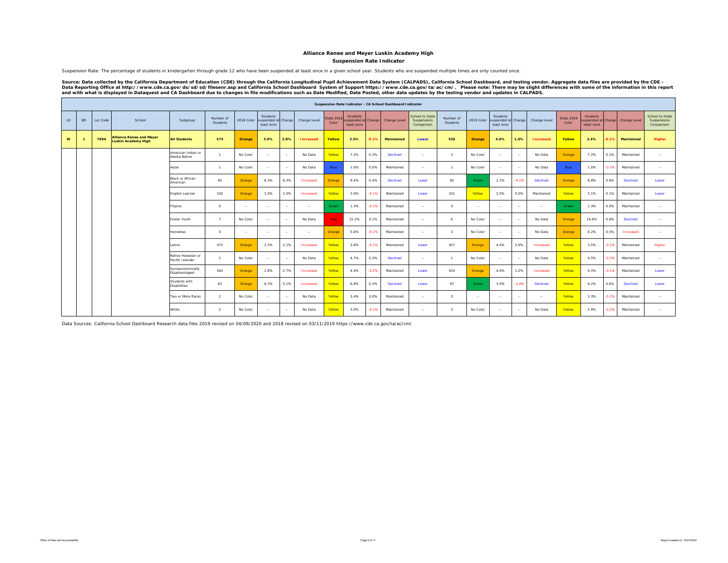#### **Suspension Rate Indicator**

Suspension Rate: The percentage of students in kindergarten through grade 12 who have been suspended at least once in a given school year. Students who are suspended multiple times are only counted once.

Source: Data collected by the California Department of Education (CDE) through the California Longitudinal Pupil Achievement Data System (CALPADS), California School Dashboard, and testing vendor. Aggregate data files are

|    |           |          |                                                        |                                        |                       |            |                                               |        |                  |                            |                                                     |         | Suspension Rate Indicator - CA School Dashboard Indicator |                                              |                       |            |                                               |         |                  |                            |                                                     |         |                   |                                              |
|----|-----------|----------|--------------------------------------------------------|----------------------------------------|-----------------------|------------|-----------------------------------------------|--------|------------------|----------------------------|-----------------------------------------------------|---------|-----------------------------------------------------------|----------------------------------------------|-----------------------|------------|-----------------------------------------------|---------|------------------|----------------------------|-----------------------------------------------------|---------|-------------------|----------------------------------------------|
| LD | <b>BD</b> | Loc Code | School                                                 | Subgroup                               | Number of<br>Students | 2018 Color | Students<br>suspended at Change<br>least once |        | Change Level     | <b>State 2018</b><br>Color | <b>Students</b><br>uspended at Change<br>least once |         | Change Level                                              | School to State<br>Suspensions<br>Comparison | Number of<br>Students | 2019 Color | Students<br>suspended at Change<br>least once |         | Change Level     | <b>State 2019</b><br>Color | <b>Students</b><br>uspended at Change<br>least once |         | Change Level      | School to State<br>Suspensions<br>Comparison |
| W  |           | 7694     | <b>Alliance Renee and Meyer</b><br>Luskin Academy High | <b>All Students</b>                    | 575                   | Orange     | 3.0%                                          | 2.8%   | <b>Increased</b> | Yellow                     | 3.5%                                                | 0.1%    | <b>Maintained</b>                                         | Lower                                        | 556                   | Orange     | 4.0%                                          | 1.0%    | <b>Increased</b> | Yellow                     | 3.4%                                                | 0.1%    | <b>Maintained</b> | Higher                                       |
|    |           |          |                                                        | American Indian or<br>Alaska Native    | $\mathbf{1}$          | No Color   | $\sim$                                        | $\sim$ | No Data          | Yellow                     | 7.2%                                                | 0.3%    | Declined                                                  | $\sim$                                       | $\mathcal{R}$         | No Color   | $\sim$                                        | $\sim$  | No Data          | Orange                     | 7.2%                                                | 0.1%    | Maintained        | $\sim$                                       |
|    |           |          |                                                        | Asian                                  | $\overline{1}$        | No Color   | $\sim$                                        | $\sim$ | No Data          | Blue                       | 1.0%                                                | 0.0%    | Maintained                                                | $\sim$                                       | $\mathbf{1}$          | No Color   | $\sim$                                        | $\sim$  | No Data          | Blue                       | 1.0%                                                | $-0.1%$ | Maintained        | $\sim$                                       |
|    |           |          |                                                        | Black or African<br>American           | 95                    | Orange     | 6.3%                                          | 6.3%   | Increased        | Orange                     | 9.4%                                                | 0.4%    | Declined                                                  | Lower                                        | 92                    | Green      | 2.2%                                          | $-4.1%$ | Declined         | Orange                     | 8.8%                                                | 0.6%    | Declined          | Lower                                        |
|    |           |          |                                                        | English Learner                        | 102                   | Orange     | 2.0%                                          | 2.0%   | Increased        | Yellow                     | 3.0%                                                | $-0.1%$ | Maintained                                                | Lower                                        | 101                   | Yellow     | 2.0%                                          | 0.0%    | Maintained       | Yellow                     | 3.1%                                                | 0.1%    | Maintained        | Lower                                        |
|    |           |          |                                                        | Filipino                               | $\circ$               | $\sim$     | $\sim$                                        | $\sim$ | $\sim$           | Green                      | 1.3%                                                | $-0.1%$ | Maintained                                                | $\sim$                                       | $\Omega$              | $\sim$     | $\sim$                                        | $\sim$  | $\sim$           | Green                      | 1.3%                                                | 0.0%    | Maintained        | $\sim$                                       |
|    |           |          |                                                        | Foster Youth                           | $\overline{7}$        | No Color   | $\sim$                                        | $\sim$ | No Data          | Red                        | 15.2%                                               | 0.1%    | Maintained                                                | $\sim$                                       | 6                     | No Color   | $\overline{\phantom{a}}$                      | $\sim$  | No Data          | Orange                     | 14.6%                                               | 0.6%    | <b>Declined</b>   | $\sim$                                       |
|    |           |          |                                                        | Homeless                               | $\Omega$              | $\sim$     | $\sim$                                        | $\sim$ | $\sim$           | Orange                     | 5.6%                                                | $-0.1%$ | Maintained                                                | $\cdots$                                     | $\mathcal{R}$         | No Color   | $\cdots$                                      | $\sim$  | No Data          | Orange                     | 6.2%                                                | 0.5%    | Increased         | $\sim$                                       |
|    |           |          |                                                        | Latino                                 | 472                   | Orange     | 2.3%                                          | 2.1%   | Increased        | Yellow                     | 3.6%                                                | $-0.1%$ | Maintained                                                | Lower                                        | 457                   | Orange     | 4.4%                                          | 2.0%    | Increased        | Yellow                     | 3.5%                                                | $-0.1%$ | Maintained        | Higher                                       |
|    |           |          |                                                        | Native Hawaiian or<br>Pacific Islander | $\mathfrak{D}$        | No Color   | $\sim$                                        | $\sim$ | No Data          | Yellow                     | 4.7%                                                | 0.3%    | Declined                                                  | $\sim$                                       | п.                    | No Color   | $\sim$                                        | $\sim$  | No Data          | Yellow                     | 4.5%                                                | $-0.2%$ | Maintained        | $\sim$                                       |
|    |           |          |                                                        | Socioeconomically<br>Disadvantaged     | 563                   | Orange     | 2.8%                                          | 2.7%   | Increased        | Yellow                     | 4.4%                                                | $-0.2%$ | Maintained                                                | Lower                                        | 524                   | Orange     | 4.0%                                          | 1.2%    | Increased        | Yellow                     | 4.3%                                                | $-0.1%$ | Maintained        | Lower                                        |
|    |           |          |                                                        | Students with<br><b>Disabilities</b>   | 63                    | Orange     | 6.3%                                          | 5.1%   | Increased        | Yellow                     | 6.8%                                                | 0.3%    | <b>Declined</b>                                           | Lower                                        | 67                    | Green      | 3.0%                                          | $-3.4%$ | Declined         | Yellow                     | 6.2%                                                | 0.6%    | <b>Declined</b>   | Lower                                        |
|    |           |          |                                                        | Two or More Races                      | $\mathcal{L}$         | No Color   | $\sim$                                        | $\sim$ | No Data          | Yellow                     | 3.4%                                                | 0.0%    | Maintained                                                | $\sim$                                       | $\circ$               | $\sim$     | $\sim$                                        | $\sim$  | $\sim$           | Yellow                     | 3.3%                                                | $-0.1%$ | Maintained        | <b>Section</b>                               |
|    |           |          |                                                        | White                                  | $\overline{2}$        | No Color   | $\sim$                                        | $\sim$ | No Data          | Yellow                     | 3.0%                                                | $-0.1%$ | Maintained                                                | $\sim$                                       | $\overline{2}$        | No Color   | $\sim$                                        | $\sim$  | No Data          | Yellow                     | 2.9%                                                | $-0.2%$ | Maintained        | $\sim$                                       |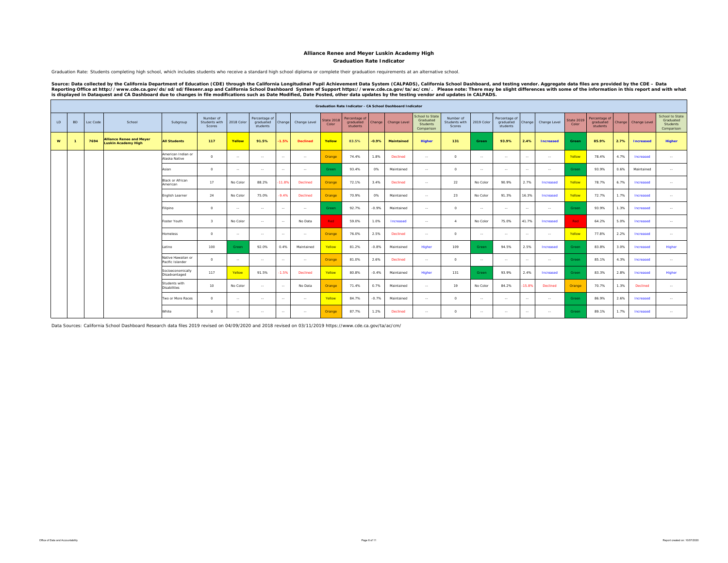#### **Graduation Rate Indicator Alliance Renee and Meyer Luskin Academy High**

Graduation Rate: Students completing high school, which includes students who receive a standard high school diploma or complete their graduation requirements at an alternative school.

Source: Data collected by the California Department of Education (CDE) through the California Longitudinal Pupil Achievement Data System (CALPADS), California School Dashboard, and testing vendor. Aggregate data files are

|    |           |          |                                                               |                                        |                                             |               |                                        |         |                 |                            |                                        |         | Graduation Rate Indicator - CA School Dashboard Indicator |                                                               |                                      |               |                                        |        |                  |                            |                                        |        |                  |                                                               |
|----|-----------|----------|---------------------------------------------------------------|----------------------------------------|---------------------------------------------|---------------|----------------------------------------|---------|-----------------|----------------------------|----------------------------------------|---------|-----------------------------------------------------------|---------------------------------------------------------------|--------------------------------------|---------------|----------------------------------------|--------|------------------|----------------------------|----------------------------------------|--------|------------------|---------------------------------------------------------------|
| LD | <b>BD</b> | Loc Code | School                                                        | Subgroup                               | Number of<br>Students with<br><b>Scores</b> | 2018 Color    | Percentage of<br>graduated<br>students | Change  | Change Level    | <b>State 2018</b><br>Color | Percentage of<br>graduated<br>students | Change  | Change Level                                              | <b>School to State</b><br>Graduated<br>Students<br>Comparison | Number of<br>Students with<br>Scores | 2019 Color    | Percentage of<br>graduated<br>students | Change | Change Level     | <b>State 2019</b><br>Color | Percentage of<br>graduated<br>students | Change | Change Level     | School to State<br>Graduated<br><b>Students</b><br>Comparison |
| W  |           | 7694     | <b>Alliance Renee and Meyer</b><br><b>Luskin Academy High</b> | <b>All Students</b>                    | 117                                         | Yellow        | 91.5%                                  | $-1.5%$ | <b>Declined</b> | Yellow                     | 83.5%                                  | $-0.9%$ | <b>Maintained</b>                                         | Higher                                                        | 131                                  | Green         | 93.9%                                  | 2.4%   | <b>Increased</b> | Green                      | 85.9%                                  | 2.7%   | <b>Increased</b> | Higher                                                        |
|    |           |          |                                                               | American Indian or<br>Alaska Native    | $\Omega$                                    | $\sim$        | $\sim$                                 | $\sim$  | $\sim$ $\sim$   | Orange                     | 74.4%                                  | 1.8%    | Declined                                                  | $\sim$                                                        | $\circ$                              | $\sim$        | $\sim$                                 | $\sim$ | $\sim$           | Yellow                     | 78.4%                                  | 4.7%   | Increased        | $\sim$                                                        |
|    |           |          |                                                               | Asian                                  | $\Omega$                                    | $\sim$        | $\sim$                                 | $\sim$  | $\sim$ $\sim$   | Green                      | 93.4%                                  | 0%      | Maintained                                                | $\sim$                                                        | $\circ$                              | $\sim$        | $\sim$                                 | $\sim$ | $\sim$           | Green                      | 93.9%                                  | 0.6%   | Maintained       | $\sim$                                                        |
|    |           |          |                                                               | <b>Black or African</b><br>American    | 17                                          | No Color      | 88.2%                                  | 11.8%   | Declined        | Orange                     | 72.1%                                  | 3.4%    | Declined                                                  | $\sim$                                                        | 22                                   | No Color      | 90.9%                                  | 2.7%   | Increased        | Yellow                     | 78.7%                                  | 6.7%   | Increased        | $\sim$                                                        |
|    |           |          |                                                               | English Learner                        | 24                                          | No Color      | 75.0%                                  | $-9.4%$ | Declined        | Orange                     | 70.9%                                  | 0%      | Maintained                                                | $\sim$                                                        | 23                                   | No Color      | 91.3%                                  | 16.3%  | Increased        | Yellow                     | 72.7%                                  | 1.7%   | Increased        | $\sim$                                                        |
|    |           |          |                                                               | Filipino                               | $\Omega$                                    | $\sim$        | $\sim$                                 | $\sim$  | $\sim$ $\sim$   | Green                      | 92.7%                                  | $-0.9%$ | Maintained                                                | $\sim$                                                        | $\circ$                              | $\sim$ $\sim$ | $\sim$                                 | $\sim$ | <b>Section</b>   | Green                      | 93.9%                                  | 1.3%   | Increased        | $\sim$                                                        |
|    |           |          |                                                               | Foster Youth                           | $\mathcal{R}$                               | No Color      | $\sim$                                 | $\sim$  | No Data         | <b>Red</b>                 | 59.0%                                  | 1.0%    | Increased                                                 | $\sim$                                                        | $\mathbf{A}$                         | No Color      | 75.0%                                  | 41.7%  | Increased        | Red                        | 64.2%                                  | 5.0%   | Increased        | $\sim$                                                        |
|    |           |          |                                                               | Homeless                               | $\Omega$                                    | $\sim$        | $\sim$                                 | $\sim$  | $\sim$ $\sim$   | Orange                     | 76.0%                                  | 2.5%    | Declined                                                  | $\sim$                                                        | $\circ$                              | $\sim$        | $\sim$                                 | $\sim$ | $\sim$           | Yellow                     | 77.8%                                  | 2.2%   | Increased        | $\sim$                                                        |
|    |           |          |                                                               | atino                                  | 100                                         | Green         | 92.0%                                  | 0.4%    | Maintained      | Yellow                     | 81.2%                                  | $-0.8%$ | Maintained                                                | Higher                                                        | 109                                  | Green         | 94.5%                                  | 2.5%   | Increased        | Green                      | 83.8%                                  | 3.0%   | Increased        | Higher                                                        |
|    |           |          |                                                               | Native Hawaiian or<br>Pacific Islander | $\Omega$                                    | <b>100</b>    | $\sim$                                 | $\sim$  | $\sim$ $\sim$   | Orange                     | 81.0%                                  | 2.6%    | Declined                                                  | $\sim$                                                        | $\circ$                              | $\sim$        | $\sim$                                 | $\sim$ | $\sim$           | Green                      | 85.1%                                  | 4.3%   | Increased        | $\sim$                                                        |
|    |           |          |                                                               | Socioeconomically<br>Disadvantaged     | 117                                         | Yellow        | 91.5%                                  | $-1.5%$ | Declined        | Yellow                     | 80.8%                                  | $-0.4%$ | Maintained                                                | Higher                                                        | 131                                  | Green         | 93.9%                                  | 2.4%   | Increased        | Green                      | 83.3%                                  | 2.8%   | Increased        | Higher                                                        |
|    |           |          |                                                               | Students with<br><b>Disabilities</b>   | 10                                          | No Color      | $\sim$                                 | $\sim$  | No Data         | Orange                     | 71.4%                                  | 0.7%    | Maintained                                                | $\sim$                                                        | 19                                   | No Color      | 84.2%                                  | 15.8%  | Declined         | Orange                     | 70.7%                                  | 1.3%   | Declined         | $\sim$                                                        |
|    |           |          |                                                               | Two or More Races                      | $\Omega$                                    | $\sim$        | $\sim$                                 | $\sim$  | $\sim$ $\sim$   | Yellow                     | 84.7%                                  | $-0.7%$ | Maintained                                                | $\sim$                                                        | $\circ$                              | $\sim$ $\sim$ | $\sim$                                 | $\sim$ | <b>Section</b>   | Green                      | 86.9%                                  | 2.6%   | Increased        | $\sim$                                                        |
|    |           |          |                                                               | White                                  | $\Omega$                                    | $\sim$ $\sim$ | $\sim$                                 | $\sim$  | $\sim$ $\sim$   | Orange                     | 87.7%                                  | 1.2%    | Declined                                                  | $\sim$                                                        | $^{\circ}$                           | $\sim$        | $\sim$ $\sim$                          | $\sim$ | $\sim$           | Green                      | 89.1%                                  | 1.7%   | Increased        | $\sim$                                                        |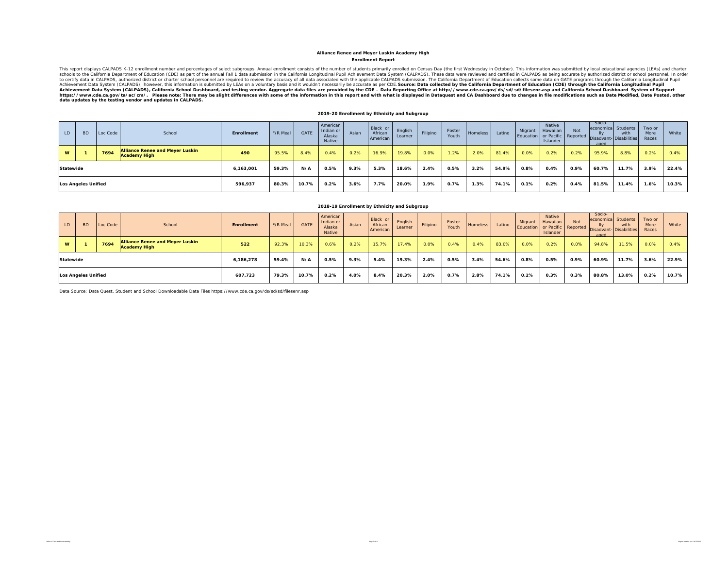#### **Enrollment Report Alliance Renee and Meyer Luskin Academy High**

This report displays CALPADS K-12 enrollment number and percentages of select subgroups. Annual enrollment consists of the number of students primarily enrolled on Census Day (the first Wednesday in October). This informat Achievement Data System (CALPADS), California School Dashboard, and testing vendor. Aggregate data files are provided by the CDE – Data Reporting Office at http://www.cde.ca.gov/ds/sd/filesenr.asp and California School Das

#### **2019-20 Enrollment by Ethnicity and Subgroup**

| LD.       | <b>BD</b>                  | Loc Code | School                                                        | <b>Enrollment</b> | F/R Meal | <b>GATE</b> | American<br>Indian or<br>Alaska<br>Native | Asian | Black or<br>African<br>American | English<br>Learner | Filipino | Foster<br>Youth | Homeless | Latino | Migrant | Native<br>Hawaiian<br>Islander | Not  | Socio-<br>economica Students<br>IIv<br>aged | with<br>Education or Pacific Reported Disadvant- Disabilities | Two or<br>More<br>Races | White |
|-----------|----------------------------|----------|---------------------------------------------------------------|-------------------|----------|-------------|-------------------------------------------|-------|---------------------------------|--------------------|----------|-----------------|----------|--------|---------|--------------------------------|------|---------------------------------------------|---------------------------------------------------------------|-------------------------|-------|
| W         |                            | 7694     | <b>Alliance Renee and Meyer Luskin</b><br><b>Academy High</b> | 490               | 95.5%    | 8.4%        | 0.4%                                      | 0.2%  | 16.9%                           | 19.8%              | 0.0%     | 1.2%            | 2.0%     | 81.4%  | 0.0%    | 0.2%                           | 0.2% | 95.9%                                       | 8.8%                                                          | 0.2%                    | 0.4%  |
| Statewide |                            |          |                                                               | 6,163,001         | 59.3%    | N/A         | 0.5%                                      | 9.3%  | 5.3%                            | 18.6%              | 2.4%     | 0.5%            | 3.2%     | 54.9%  | 0.8%    | 0.4%                           | 0.9% | 60.7%                                       | 11.7%                                                         | 3.9%                    | 22.4% |
|           | <b>Los Angeles Unified</b> |          |                                                               | 596,937           | 80.3%    | 10.7%       | 0.2%                                      | 3.6%  | 7.7%                            | 20.0%              | 1.9%     | $0.7\%$         | 1.3%     | 74.1%  | 0.1%    | 0.2%                           | 0.4% | 81.5%                                       | 11.4%                                                         | 1.6%                    | 10.3% |

|          |                            |          |                                                               |                   |          |             | 2018-19 Enrollment by Ethnicity and Subgroup |       |                                 |                    |          |                 |          |        |         |                                                                        |            |                                            |                                                      |                         |       |
|----------|----------------------------|----------|---------------------------------------------------------------|-------------------|----------|-------------|----------------------------------------------|-------|---------------------------------|--------------------|----------|-----------------|----------|--------|---------|------------------------------------------------------------------------|------------|--------------------------------------------|------------------------------------------------------|-------------------------|-------|
| LD       | <b>BD</b>                  | Loc Code | School                                                        | <b>Enrollment</b> | F/R Meal | <b>GATE</b> | American<br>Indian or<br>Alaska<br>Native    | Asian | Black or<br>African<br>American | English<br>Learner | Filipino | Foster<br>Youth | Homeless | Latino | Migrant | <b>Native</b><br>Hawaiian<br>Education or Pacific Reported<br>Islander | <b>Not</b> | Socio-<br>$\mathsf{II} \mathsf{v}$<br>aged | economica Students<br>with<br>Disadvant-Disabilities | Two or<br>More<br>Races | White |
| <b>W</b> |                            | 7694     | <b>Alliance Renee and Meyer Luskin</b><br><b>Academy High</b> | 522               | 92.3%    | 10.3%       | 0.6%                                         | 0.2%  | 15.7%                           | 17.4%              | 0.0%     | 0.4%            | 0.4%     | 83.0%  | 0.0%    | 0.2%                                                                   | 0.0%       | 94.8%                                      | 11.5%                                                | 0.0%                    | 0.4%  |
|          | Statewide                  |          |                                                               | 6,186,278         | 59.4%    | N/A         | 0.5%                                         | 9.3%  | 5.4%                            | 19.3%              | 2.4%     | 0.5%            | 3.4%     | 54.6%  | 0.8%    | 0.5%                                                                   | 0.9%       | 60.9%                                      | 11.7%                                                | 3.6%                    | 22.9% |
|          | <b>Los Angeles Unified</b> |          |                                                               | 607.723           | 79.3%    | 10.7%       | 0.2%                                         | 4.0%  | 8.4%                            | 20.3%              | 2.0%     | 0.7%            | 2.8%     | 74.1%  | 0.1%    | 0.3%                                                                   | 0.3%       | 80.8%                                      | 13.0%                                                | 0.2%                    | 10.7% |

Data Source: Data Quest, Student and School Downloadable Data Files https://www.cde.ca.gov/ds/sd/sd/filesenr.asp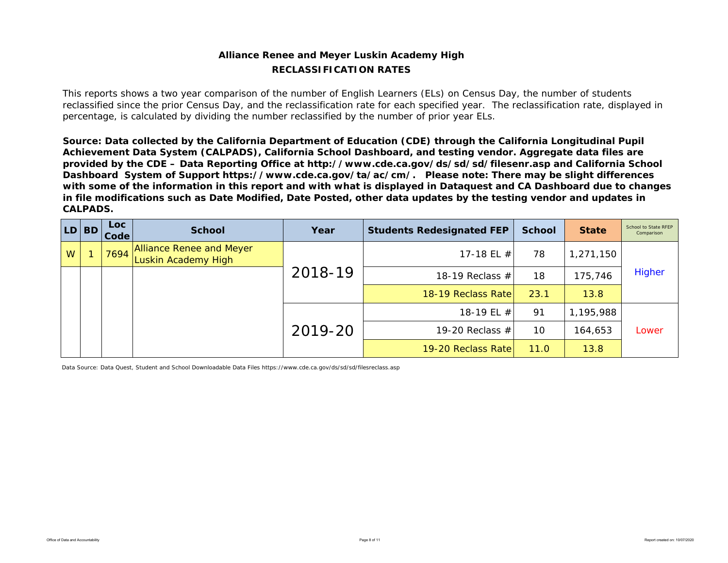## **Alliance Renee and Meyer Luskin Academy High RECLASSIFICATION RATES**

This reports shows a two year comparison of the number of English Learners (ELs) on Census Day, the number of students reclassified since the prior Census Day, and the reclassification rate for each specified year. The reclassification rate, displayed in percentage, is calculated by dividing the number reclassified by the number of prior year ELs.

*Source: Data collected by the California Department of Education (CDE) through the California Longitudinal Pupil Achievement Data System (CALPADS), California School Dashboard, and testing vendor. Aggregate data files are provided by the CDE – Data Reporting Office at http://www.cde.ca.gov/ds/sd/sd/filesenr.asp and California School Dashboard System of Support https://www.cde.ca.gov/ta/ac/cm/. Please note: There may be slight differences with some of the information in this report and with what is displayed in Dataquest and CA Dashboard due to changes in file modifications such as Date Modified, Date Posted, other data updates by the testing vendor and updates in CALPADS.* 

| LD | <b>BD</b> | Loc<br>Code | <b>School</b>                                   | Year    | <b>Students Redesignated FEP</b> | <b>School</b> | <b>State</b> | School to State RFEP<br>Comparison |
|----|-----------|-------------|-------------------------------------------------|---------|----------------------------------|---------------|--------------|------------------------------------|
| W  |           | 7694        | Alliance Renee and Meyer<br>Luskin Academy High |         | 17-18 EL $#$                     | 78            | 1,271,150    |                                    |
|    |           |             |                                                 | 2018-19 | 18-19 Reclass $#$                | 18            | 175,746      | <b>Higher</b>                      |
|    |           |             |                                                 |         | 18-19 Reclass Rate               | 23.1          | 13.8         |                                    |
|    |           |             |                                                 |         | 18-19 EL $#$                     | 91            | 1,195,988    |                                    |
|    |           |             |                                                 | 2019-20 | 19-20 Reclass $#$                | 10            | 164,653      | Lower                              |
|    |           |             |                                                 |         | 19-20 Reclass Rate               | 11.0          | 13.8         |                                    |

Data Source: Data Quest, Student and School Downloadable Data Files https://www.cde.ca.gov/ds/sd/sd/filesreclass.asp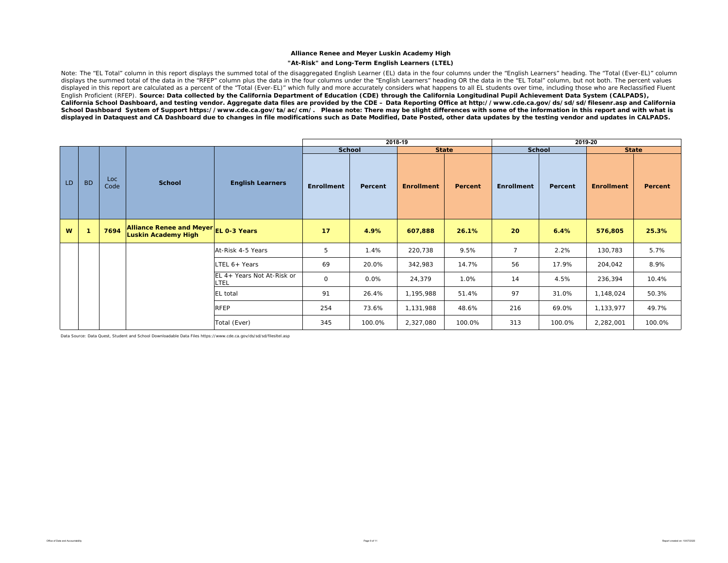#### **"At-Risk" and Long-Term English Learners (LTEL)**

Note: The "EL Total" column in this report displays the summed total of the disaggregated English Learner (EL) data in the four columns under the "English Learners" heading. The "Total (Ever-EL)" column displays the summed total of the data in the "RFEP" column plus the data in the four columns under the "English Learners" heading OR the data in the "EL Total" column, but not both. The percent values displayed in this report are calculated as a percent of the "Total (Ever-EL)" which fully and more accurately considers what happens to all EL students over time, including those who are Reclassified Fluent English Proficient (RFEP). *Source: Data collected by the California Department of Education (CDE) through the California Longitudinal Pupil Achievement Data System (CALPADS), California School Dashboard, and testing vendor. Aggregate data files are provided by the CDE – Data Reporting Office at http://www.cde.ca.gov/ds/sd/sd/filesenr.asp and California School Dashboard System of Support https://www.cde.ca.gov/ta/ac/cm/. Please note: There may be slight differences with some of the information in this report and with what is displayed in Dataquest and CA Dashboard due to changes in file modifications such as Date Modified, Date Posted, other data updates by the testing vendor and updates in CALPADS.* 

|    |                |             |                                                                     |                                           |                   | 2018-19 |                   |                |                   | 2019-20 |                   |         |
|----|----------------|-------------|---------------------------------------------------------------------|-------------------------------------------|-------------------|---------|-------------------|----------------|-------------------|---------|-------------------|---------|
|    |                |             |                                                                     |                                           | <b>School</b>     |         |                   | <b>State</b>   | School            |         | <b>State</b>      |         |
| LD | <b>BD</b>      | Loc<br>Code | <b>School</b>                                                       | <b>English Learners</b>                   | <b>Enrollment</b> | Percent | <b>Enrollment</b> | <b>Percent</b> | <b>Enrollment</b> | Percent | <b>Enrollment</b> | Percent |
| W  | $\overline{1}$ | 7694        | Alliance Renee and Meyer EL 0-3 Years<br><b>Luskin Academy High</b> |                                           | 17                | 4.9%    | 607,888           | 26.1%          | 20                | 6.4%    | 576,805           | 25.3%   |
|    |                |             |                                                                     | At-Risk 4-5 Years                         | 5                 | 1.4%    | 220,738           | 9.5%           | $\overline{7}$    | 2.2%    | 130,783           | 5.7%    |
|    |                |             |                                                                     | LTEL 6+ Years                             | 69                | 20.0%   | 342,983           | 14.7%          | 56                | 17.9%   | 204,042           | 8.9%    |
|    |                |             |                                                                     | EL 4+ Years Not At-Risk or<br><b>LTEL</b> | 0                 | 0.0%    | 24,379            | 1.0%           | 14                | 4.5%    | 236,394           | 10.4%   |
|    |                |             |                                                                     | <b>EL</b> total                           | 91                | 26.4%   | 1,195,988         | 51.4%          | 97                | 31.0%   | 1,148,024         | 50.3%   |
|    |                |             |                                                                     | <b>RFEP</b>                               | 254               | 73.6%   | 1,131,988         | 48.6%          | 216               | 69.0%   | 1,133,977         | 49.7%   |
|    |                |             |                                                                     | Total (Ever)                              | 345               | 100.0%  | 2,327,080         | 100.0%         | 313               | 100.0%  | 2,282,001         | 100.0%  |

Data Source: Data Quest, Student and School Downloadable Data Files https://www.cde.ca.gov/ds/sd/sd/filesltel.asp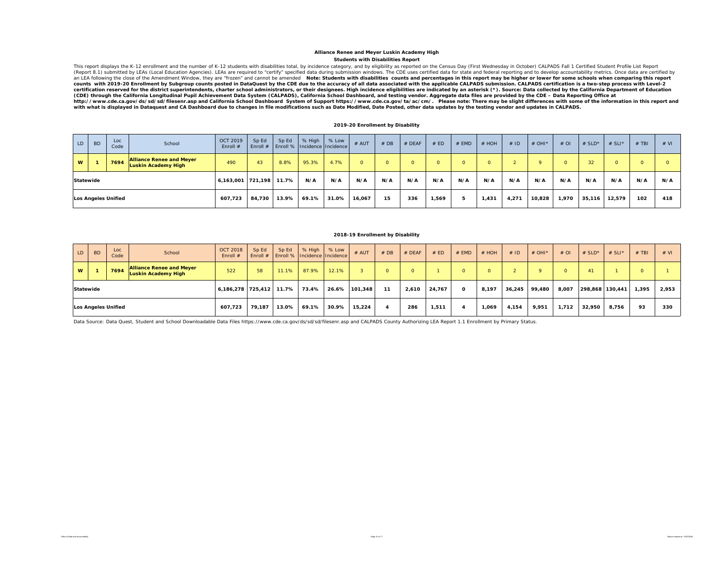#### **Students with Disabilities Report Alliance Renee and Meyer Luskin Academy High**

This report displays the K-12 enrollment and the number of K-12 students with disabilities total, by incidence category, and by eligibility as reported on the Census Day (First Wednesday in October) CALPADS Fall 1 Certifie certification reserved for the district superintendents, charter school administrators, or their designees. High incidence eligibilities are indicated by an asterisk (\*). Source: Data collected by the California Department *(CDE) through the California Longitudinal Pupil Achievement Data System (CALPADS), California School Dashboard, and testing vendor. Aggregate data files are provided by the CDE – Data Reporting Office at*  http://www.cde.ca.gov/ds/sd/sd/filesenr.asp and California School Dashboard System of Support https://www.cde.ca.gov/ta/ac/cm/. Please note: There may be slight differences with some of the information in this report an

#### **2019-20 Enrollment by Disability**

| LD.      | <b>BD</b>                        | Loc<br>Code | School                                                        | OCT 2019<br>Enroll # | Sp Ed<br>Enroll $#$ | Sp Ed | % High | % Low<br>Enroll %   Incidence   Incidence | # AUT  | #DB | # DEAF | # ED  | # EMD | # HOH    | #ID   | # OHI* | $#$ OI | # $SLD^*$ | $# SLI^*$ | $#$ TBI | # VI |
|----------|----------------------------------|-------------|---------------------------------------------------------------|----------------------|---------------------|-------|--------|-------------------------------------------|--------|-----|--------|-------|-------|----------|-------|--------|--------|-----------|-----------|---------|------|
| <b>W</b> |                                  | 7694        | <b>Alliance Renee and Meyer</b><br><b>Luskin Academy High</b> | 490                  | 43                  | 8.8%  | 95.3%  | 4.7%                                      |        |     |        |       |       | $\Omega$ |       |        |        | 32        |           | $\circ$ |      |
|          |                                  |             |                                                               | 6,163,001 721,198    |                     | 11.7% | N/A    | N/A                                       | N/A    | N/A | N/A    | N/A   | N/A   | N/A      | N/A   | N/A    | N/A    | N/A       | N/A       | N/A     | N/A  |
|          | Statewide<br>Los Angeles Unified |             |                                                               | 607,723              | 84.730              | 13.9% | 69.1%  | 31.0%                                     | 16,067 | 15  | 336    | 1.569 |       | 1.431    | 4,271 | 10,828 | 1,970  | 35,116    | 12,579    | 102     | 418  |

#### **2018-19 Enrollment by Disability**

| LD.       | <b>BD</b> | Loc<br>Code         | School                                                        | <b>OCT 2018</b><br>Enroll $#$ | Sp Ed<br>Enroll $#$ | Sp Ed | % High | % Low<br>Enroll %   Incidence   Incidence | $#$ AUT | #DB | $#$ DEAF     | # ED   | $#$ EMD      | $#$ HOH  | #ID    | $#$ OHI <sup>*</sup> | $#$ OI   | # $SLD^*$ | # SLI*          | $#$ TBI | # VI  |
|-----------|-----------|---------------------|---------------------------------------------------------------|-------------------------------|---------------------|-------|--------|-------------------------------------------|---------|-----|--------------|--------|--------------|----------|--------|----------------------|----------|-----------|-----------------|---------|-------|
| W         |           | 7694                | <b>Alliance Renee and Meyer</b><br><b>Luskin Academy High</b> | 522                           | 58                  | 11.1% | 87.9%  | 12.1%                                     |         |     | <sup>n</sup> |        | $\Omega$     | $\Omega$ |        |                      | $\Omega$ | 41        |                 | 0       |       |
| Statewide |           |                     |                                                               | 6,186,278 725,412             |                     | 11.7% | 73.4%  | 26.6%                                     | 101.348 | 11  | 2,610        | 24,767 | $\mathbf{o}$ | 8,197    | 36,245 | 99.480               | 8,007    |           | 298,868 130,441 | 1,395   | 2,953 |
|           |           | Los Angeles Unified |                                                               | 607,723                       | 79,187              | 13.0% | 69.1%  | 30.9%                                     | 15.224  |     | 286          | 1,511  |              | 1,069    | 4,154  | 9,951                | 1,712    | 32,950    | 8,756           | 93      | 330   |

Data Source: Data Quest, Student and School Downloadable Data Files https://www.cde.ca.gov/ds/sd/sd/filesenr.asp and CALPADS County Authorizing LEA Report 1.1 Enrollment by Primary Status.

Office of Data and Accountability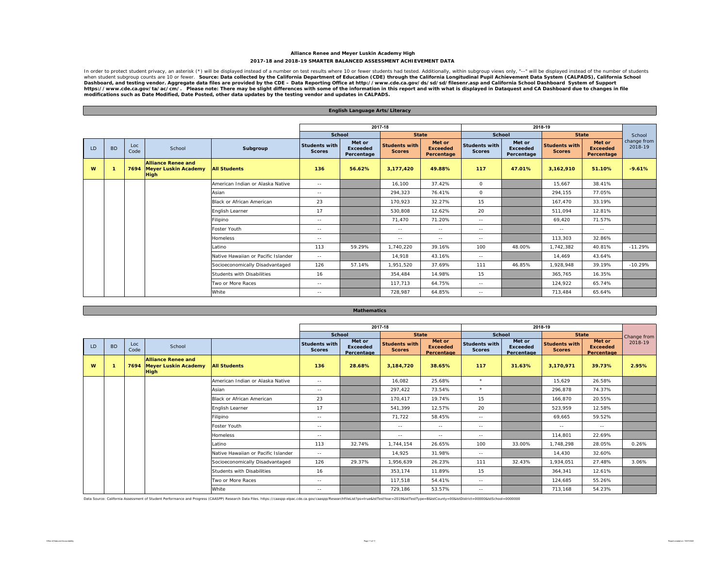#### **Alliance Renee and Meyer Luskin Academy High 2017-18 and 2018-19 SMARTER BALANCED ASSESSMENT ACHIEVEMENT DATA**

In order to protect student privacy, an asterisk (\*) will be displayed instead of a number on test results where 10 or fewer students had tested. Additionally, within subgroup views only, "--" will be displayed instead of Dashboard, and testing vendor. Aggregate data files are provided by the CDE – Data Reporting Office at http://www.cde.ca.gov/ds/sd/sd/filesenr.asp and California School Dashboard System of Support<br>https://www.cde.ca.gov/ta

**English Language Arts/Literacy**

|    |           |             |                                                                       |                                     |                                       |                                         | 2017-18                               |                                         |                                       |                                         | 2018-19                               |                                         |                        |
|----|-----------|-------------|-----------------------------------------------------------------------|-------------------------------------|---------------------------------------|-----------------------------------------|---------------------------------------|-----------------------------------------|---------------------------------------|-----------------------------------------|---------------------------------------|-----------------------------------------|------------------------|
|    |           |             |                                                                       |                                     | School                                |                                         | <b>State</b>                          |                                         | School                                |                                         | <b>State</b>                          |                                         | School                 |
| LD | <b>BD</b> | Loc<br>Code | School                                                                | Subgroup                            | <b>Students with</b><br><b>Scores</b> | Met or<br><b>Exceeded</b><br>Percentage | <b>Students with</b><br><b>Scores</b> | Met or<br><b>Exceeded</b><br>Percentage | <b>Students with</b><br><b>Scores</b> | Met or<br><b>Exceeded</b><br>Percentage | <b>Students with</b><br><b>Scores</b> | Met or<br><b>Exceeded</b><br>Percentage | change from<br>2018-19 |
| W  |           |             | <b>Alliance Renee and</b><br>7694 Meyer Luskin Academy<br><b>High</b> | <b>All Students</b>                 | 136                                   | 56.62%                                  | 3,177,420                             | 49.88%                                  | 117                                   | 47.01%                                  | 3,162,910                             | 51.10%                                  | $-9.61%$               |
|    |           |             |                                                                       | American Indian or Alaska Native    | $\sim$ $-$                            |                                         | 16,100                                | 37.42%                                  | $\circ$                               |                                         | 15,667                                | 38.41%                                  |                        |
|    |           |             |                                                                       | Asian                               | $\sim$ $-$                            |                                         | 294,323                               | 76.41%                                  | $\circ$                               |                                         | 294.155                               | 77.05%                                  |                        |
|    |           |             |                                                                       | <b>Black or African American</b>    | 23                                    |                                         | 170,923                               | 32.27%                                  | 15                                    |                                         | 167.470                               | 33.19%                                  |                        |
|    |           |             |                                                                       | English Learner                     | 17                                    |                                         | 530,808                               | 12.62%                                  | 20                                    |                                         | 511,094                               | 12.81%                                  |                        |
|    |           |             |                                                                       | Filipino                            | $\sim$ $-$                            |                                         | 71,470                                | 71.20%                                  | $\sim$ $-$                            |                                         | 69,420                                | 71.57%                                  |                        |
|    |           |             |                                                                       | Foster Youth                        | $\sim$ $-$                            |                                         | $\sim$ $-$                            | $\sim$ $-$                              | $\sim$ $-$                            |                                         | $\sim$ $-$                            | $\sim$ $-$                              |                        |
|    |           |             |                                                                       | <b>Homeless</b>                     | $\sim$ $-$                            |                                         | $\sim$ $\sim$                         | $\sim$ $-$                              | $\sim$ $-$                            |                                         | 113,303                               | 32.86%                                  |                        |
|    |           |             |                                                                       | Latino                              | 113                                   | 59.29%                                  | 1,740,220                             | 39.16%                                  | 100                                   | 48.00%                                  | 1,742,382                             | 40.81%                                  | $-11.29%$              |
|    |           |             |                                                                       | Native Hawaiian or Pacific Islander | $\sim$ $-$                            |                                         | 14,918                                | 43.16%                                  | $\sim$ $-$                            |                                         | 14,469                                | 43.64%                                  |                        |
|    |           |             |                                                                       | Socioeconomically Disadvantaged     | 126                                   | 57.14%                                  | 1,951,520                             | 37.69%                                  | 111                                   | 46.85%                                  | 1,928,948                             | 39.19%                                  | $-10.29%$              |
|    |           |             |                                                                       | <b>Students with Disabilities</b>   | 16                                    |                                         | 354.484                               | 14.98%                                  | 15                                    |                                         | 365.765                               | 16.35%                                  |                        |
|    |           |             |                                                                       | Two or More Races                   | $\sim$ $-$                            |                                         | 117,713                               | 64.75%                                  | $\sim$ $-$                            |                                         | 124,922                               | 65.74%                                  |                        |
|    |           |             |                                                                       | White                               | $\sim$ $-$                            |                                         | 728.987                               | 64.85%                                  | $\sim$ $-$                            |                                         | 713.484                               | 65.64%                                  |                        |

|  | Mathematics |  |
|--|-------------|--|
|  |             |  |

|    |           |             |                                                                       |                                     |                                       |                                         | 2017-18                               |                                         |                                       |                                         | 2018-19                               |                                         |             |
|----|-----------|-------------|-----------------------------------------------------------------------|-------------------------------------|---------------------------------------|-----------------------------------------|---------------------------------------|-----------------------------------------|---------------------------------------|-----------------------------------------|---------------------------------------|-----------------------------------------|-------------|
|    |           |             |                                                                       |                                     | School                                |                                         | <b>State</b>                          |                                         | <b>School</b>                         |                                         | <b>State</b>                          |                                         | Change from |
| LD | <b>BD</b> | Loc<br>Code | School                                                                |                                     | <b>Students with</b><br><b>Scores</b> | Met or<br><b>Exceeded</b><br>Percentage | <b>Students with</b><br><b>Scores</b> | Met or<br><b>Exceeded</b><br>Percentage | <b>Students with</b><br><b>Scores</b> | Met or<br><b>Exceeded</b><br>Percentage | <b>Students with</b><br><b>Scores</b> | Met or<br><b>Exceeded</b><br>Percentage | 2018-19     |
| W  |           |             | <b>Alliance Renee and</b><br>7694 Meyer Luskin Academy<br><b>High</b> | <b>All Students</b>                 | 136                                   | 28.68%                                  | 3,184,720                             | 38.65%                                  | 117                                   | 31.63%                                  | 3,170,971                             | 39.73%                                  | 2.95%       |
|    |           |             |                                                                       | American Indian or Alaska Native    | $\sim$ $-$                            |                                         | 16,082                                | 25.68%                                  | $\star$                               |                                         | 15,629                                | 26.58%                                  |             |
|    |           |             |                                                                       | Asian                               | $\sim$ $-$                            |                                         | 297,422                               | 73.54%                                  | $\star$                               |                                         | 296,878                               | 74.37%                                  |             |
|    |           |             |                                                                       | <b>Black or African American</b>    | 23                                    |                                         | 170,417                               | 19.74%                                  | 15                                    |                                         | 166.870                               | 20.55%                                  |             |
|    |           |             |                                                                       | English Learner                     | 17                                    |                                         | 541,399                               | 12.57%                                  | 20                                    |                                         | 523,959                               | 12.58%                                  |             |
|    |           |             |                                                                       | Filipino                            | $\sim$ $\sim$                         |                                         | 71,722                                | 58.45%                                  | $\sim$ $-$                            |                                         | 69,665                                | 59.52%                                  |             |
|    |           |             |                                                                       | Foster Youth                        | $\sim$ $\sim$                         |                                         | $\sim$ $-$                            | $\sim$ $-$                              | $\sim$ $-$                            |                                         | $\sim$ $-$                            | $\sim$ $-$                              |             |
|    |           |             |                                                                       | Homeless                            | $\sim$ $-$                            |                                         | $\sim$ $-$                            | $\sim$ $-$                              | $\sim$ $-$                            |                                         | 114,801                               | 22.69%                                  |             |
|    |           |             |                                                                       | Latino                              | 113                                   | 32.74%                                  | 1.744.154                             | 26.65%                                  | 100                                   | 33.00%                                  | 1.748.298                             | 28.05%                                  | 0.26%       |
|    |           |             |                                                                       | Native Hawaiian or Pacific Islander | $\sim$ $-$                            |                                         | 14,925                                | 31.98%                                  | $\sim$ $-$                            |                                         | 14.430                                | 32.60%                                  |             |
|    |           |             |                                                                       | Socioeconomically Disadvantaged     | 126                                   | 29.37%                                  | 1,956,639                             | 26.23%                                  | 111                                   | 32.43%                                  | 1.934.051                             | 27.48%                                  | 3.06%       |
|    |           |             |                                                                       | <b>Students with Disabilities</b>   | 16                                    |                                         | 353,174                               | 11.89%                                  | 15                                    |                                         | 364.341                               | 12.61%                                  |             |
|    |           |             |                                                                       | Two or More Races                   | $\sim$ $-$                            |                                         | 117,518                               | 54.41%                                  | $\sim$ $-$                            |                                         | 124,685                               | 55.26%                                  |             |
|    |           |             |                                                                       | White                               | $\sim$ $\sim$                         |                                         | 729,186                               | 53.57%                                  | $\sim$ $-$                            |                                         | 713,168                               | 54.23%                                  |             |

Data Source: California Assessment of Student Performance and Progress (CAASPP) Research Data Files. https://caaspp-elpac.cde.ca.gov/caaspp/ResearchFileList?ps=true&istTestYear=2019&istTestType=B&istCounty=00&istDistrict=0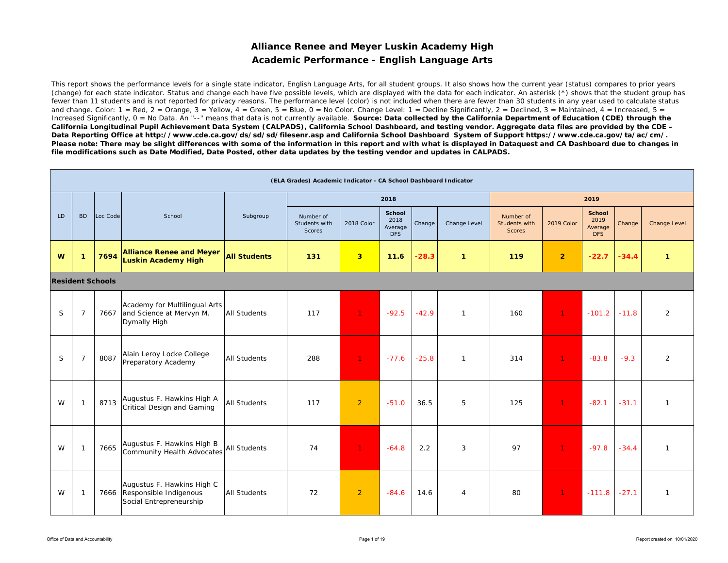## **Alliance Renee and Meyer Luskin Academy High Academic Performance - English Language Arts**

This report shows the performance levels for a single state indicator, English Language Arts, for all student groups. It also shows how the current year (status) compares to prior years (change) for each state indicator. Status and change each have five possible levels, which are displayed with the data for each indicator. An asterisk (\*) shows that the student group has fewer than 11 students and is not reported for privacy reasons. The performance level (color) is not included when there are fewer than 30 students in any year used to calculate status and change. Color:  $1 = \text{Red}$ ,  $2 = \text{Orange}$ ,  $3 = \text{Yellow}$ ,  $4 = \text{Green}$ ,  $5 = \text{Blue}$ ,  $0 = \text{No Color}$ . Change Level:  $1 = \text{Decline Significantly}$ ,  $2 = \text{Declined}$ ,  $3 = \text{Maintained}$ ,  $4 = \text{Increased}$ ,  $5 = \text{Red}$ Increased Significantly, 0 = No Data. An "--" means that data is not currently available. Source: Data collected by the California Department of Education (CDE) through the *California Longitudinal Pupil Achievement Data System (CALPADS), California School Dashboard, and testing vendor. Aggregate data files are provided by the CDE – Data Reporting Office at http://www.cde.ca.gov/ds/sd/sd/filesenr.asp and California School Dashboard System of Support https://www.cde.ca.gov/ta/ac/cm/. Please note: There may be slight differences with some of the information in this report and with what is displayed in Dataquest and CA Dashboard due to changes in file modifications such as Date Modified, Date Posted, other data updates by the testing vendor and updates in CALPADS.* 

|    |                |                         |                                                                                      |                     | (ELA Grades) Academic Indicator - CA School Dashboard Indicator |                |                                         |         |                |                                             |                |                                                |         |                     |
|----|----------------|-------------------------|--------------------------------------------------------------------------------------|---------------------|-----------------------------------------------------------------|----------------|-----------------------------------------|---------|----------------|---------------------------------------------|----------------|------------------------------------------------|---------|---------------------|
|    |                |                         |                                                                                      |                     |                                                                 |                | 2018                                    |         |                |                                             |                | 2019                                           |         |                     |
| LD | <b>BD</b>      | Loc Code                | School                                                                               | Subgroup            | Number of<br>Students with<br><b>Scores</b>                     | 2018 Color     | School<br>2018<br>Average<br><b>DFS</b> | Change  | Change Level   | Number of<br>Students with<br><b>Scores</b> | 2019 Color     | <b>School</b><br>2019<br>Average<br><b>DFS</b> | Change  | <b>Change Level</b> |
| W  | $\mathbf{1}$   | 7694                    | <b>Alliance Renee and Meyer</b><br><b>Luskin Academy High</b>                        | <b>All Students</b> | 131                                                             | 3 <sup>2</sup> | 11.6                                    | $-28.3$ | $\mathbf{1}$   | 119                                         | $\overline{2}$ | $-22.7$                                        | $-34.4$ | $\mathbf{1}$        |
|    |                | <b>Resident Schools</b> |                                                                                      |                     |                                                                 |                |                                         |         |                |                                             |                |                                                |         |                     |
| S  | $\overline{7}$ | 7667                    | Academy for Multilingual Arts<br>and Science at Mervyn M.<br>Dymally High            | <b>All Students</b> | 117                                                             | $\mathbf{1}$   | $-92.5$                                 | $-42.9$ | $\mathbf{1}$   | 160                                         | $\mathbf{1}$   | $-101.2$                                       | $-11.8$ | 2                   |
| S  | $\overline{7}$ | 8087                    | Alain Leroy Locke College<br>Preparatory Academy                                     | <b>All Students</b> | 288                                                             | $\mathbf{1}$   | $-77.6$                                 | $-25.8$ | $\mathbf{1}$   | 314                                         | $\mathbf{1}$   | $-83.8$                                        | $-9.3$  | 2                   |
| W  | -1             | 8713                    | Augustus F. Hawkins High A<br>Critical Design and Gaming                             | <b>All Students</b> | 117                                                             | $\overline{2}$ | $-51.0$                                 | 36.5    | 5              | 125                                         | $\mathbf{1}$   | $-82.1$                                        | $-31.1$ | $\mathbf{1}$        |
| W  | $\mathbf{1}$   | 7665                    | Augustus F. Hawkins High B<br>Community Health Advocates                             | All Students        | 74                                                              | 1 <sup>1</sup> | $-64.8$                                 | 2.2     | 3              | 97                                          | $\mathbf{1}$   | $-97.8$                                        | $-34.4$ | $\mathbf{1}$        |
| W  | -1             |                         | Augustus F. Hawkins High C<br>7666 Responsible Indigenous<br>Social Entrepreneurship | <b>All Students</b> | 72                                                              | $\overline{2}$ | $-84.6$                                 | 14.6    | $\overline{4}$ | 80                                          | $\mathbf{1}$   | $-111.8$                                       | $-27.1$ | $\mathbf{1}$        |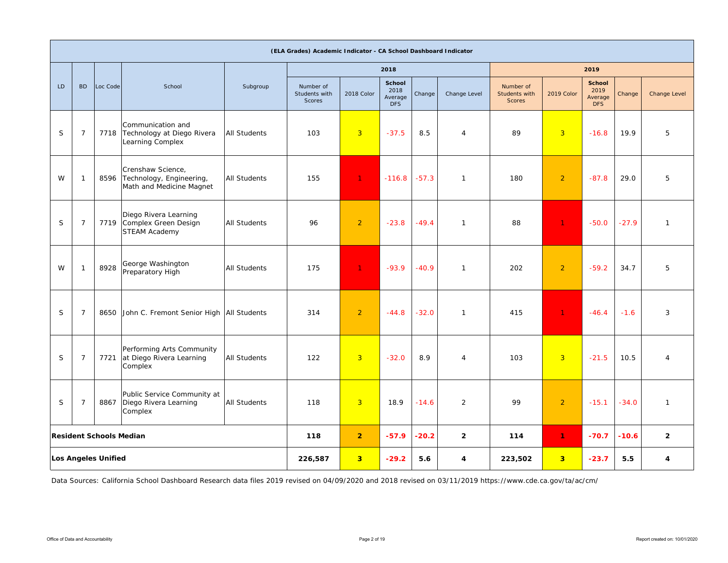|    |                |                                                                         |                                                                            |                     | (ELA Grades) Academic Indicator - CA School Dashboard Indicator |                |                                                |         |                |                                             |                         |                                                |         |                |
|----|----------------|-------------------------------------------------------------------------|----------------------------------------------------------------------------|---------------------|-----------------------------------------------------------------|----------------|------------------------------------------------|---------|----------------|---------------------------------------------|-------------------------|------------------------------------------------|---------|----------------|
|    |                |                                                                         |                                                                            |                     |                                                                 |                | 2018                                           |         |                |                                             |                         | 2019                                           |         |                |
| LD | B <sub>D</sub> | Loc Code                                                                | School                                                                     | Subgroup            | Number of<br>Students with<br>Scores                            | 2018 Color     | <b>School</b><br>2018<br>Average<br><b>DFS</b> | Change  | Change Level   | Number of<br>Students with<br><b>Scores</b> | 2019 Color              | <b>School</b><br>2019<br>Average<br><b>DFS</b> | Change  | Change Level   |
| S  | $\overline{7}$ | 7718                                                                    | Communication and<br>Technology at Diego Rivera<br>Learning Complex        | <b>All Students</b> | 103                                                             | $\overline{3}$ | $-37.5$                                        | 8.5     | $\overline{4}$ | 89                                          | $\overline{3}$          | $-16.8$                                        | 19.9    | 5              |
| W  | -1             | 8596                                                                    | Crenshaw Science,<br>Technology, Engineering,<br>Math and Medicine Magnet  | <b>All Students</b> | 155                                                             | $\mathbf{1}$   | $-116.8$                                       | $-57.3$ | $\mathbf{1}$   | 180                                         | $\overline{2}$          | $-87.8$                                        | 29.0    | 5              |
| S  | $\overline{7}$ |                                                                         | Diego Rivera Learning<br>7719 Complex Green Design<br><b>STEAM Academy</b> | <b>All Students</b> | 96                                                              | $\overline{2}$ | $-23.8$                                        | $-49.4$ | $\mathbf{1}$   | 88                                          | 1.                      | $-50.0$                                        | $-27.9$ | $\mathbf{1}$   |
| W  | $\mathbf 1$    | 8928                                                                    | George Washington<br>Preparatory High                                      | <b>All Students</b> | 175                                                             | $\mathbf{1}$   | $-93.9$                                        | $-40.9$ | $\mathbf{1}$   | 202                                         | $\overline{2}$          | $-59.2$                                        | 34.7    | 5              |
| S  | $\overline{7}$ |                                                                         | 8650 John C. Fremont Senior High All Students                              |                     | 314                                                             | $\overline{2}$ | $-44.8$                                        | $-32.0$ | $\mathbf{1}$   | 415                                         | $\mathbf{1}$            | $-46.4$                                        | $-1.6$  | 3              |
| S  | $\overline{7}$ |                                                                         | Performing Arts Community<br>7721 at Diego Rivera Learning<br>Complex      | <b>All Students</b> | 122                                                             | $\overline{3}$ | $-32.0$                                        | 8.9     | $\overline{4}$ | 103                                         | $\overline{3}$          | $-21.5$                                        | 10.5    | $\overline{4}$ |
| S  | $\overline{7}$ | Public Service Community at<br>8867<br>Diego Rivera Learning<br>Complex |                                                                            | <b>All Students</b> | 118                                                             | $\overline{3}$ | 18.9                                           | $-14.6$ | 2              | 99                                          | $\overline{2}$          | $-15.1$                                        | $-34.0$ | $\mathbf{1}$   |
|    |                | <b>Resident Schools Median</b>                                          |                                                                            |                     | 118                                                             | 2 <sup>1</sup> | $-57.9$                                        | $-20.2$ | $\overline{2}$ | 114                                         | $\mathbf{1}$            | $-70.7$                                        | $-10.6$ | $\overline{2}$ |
|    |                | <b>Los Angeles Unified</b>                                              |                                                                            |                     | 226,587                                                         | 3 <sup>2</sup> | $-29.2$                                        | 5.6     | 4              | 223,502                                     | $\overline{\mathbf{3}}$ | $-23.7$                                        | 5.5     | 4              |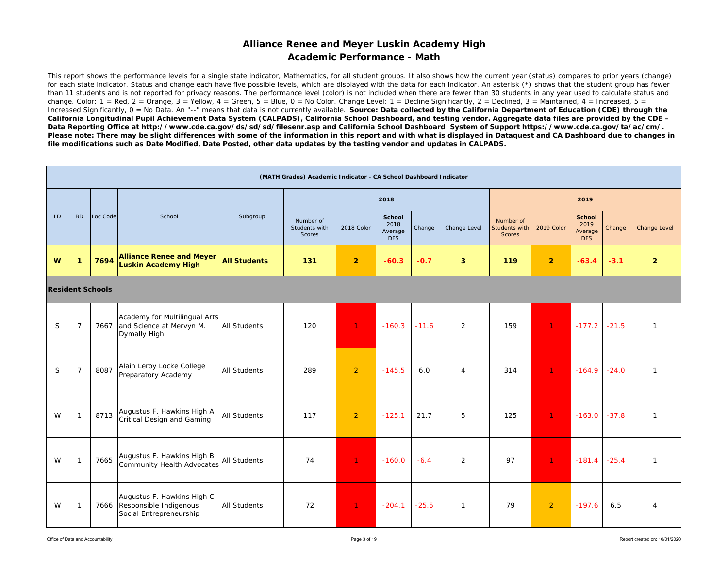### **Academic Performance - Math**

This report shows the performance levels for a single state indicator, Mathematics, for all student groups. It also shows how the current year (status) compares to prior years (change) for each state indicator. Status and change each have five possible levels, which are displayed with the data for each indicator. An asterisk (\*) shows that the student group has fewer than 11 students and is not reported for privacy reasons. The performance level (color) is not included when there are fewer than 30 students in any year used to calculate status and change. Color:  $1 = \text{Red}$ ,  $2 = \text{Orange}$ ,  $3 = \text{Yellow}$ ,  $4 = \text{Green}$ ,  $5 = \text{Blue}$ ,  $0 = \text{No Color}$ . Change Level:  $1 = \text{Decline Significantly}$ ,  $2 = \text{Declined}$ ,  $3 = \text{Maintained}$ ,  $4 = \text{Increased}$ ,  $5 = \text{Blue}$ Increased Significantly, 0 = No Data. An "--" means that data is not currently available. Source: Data collected by the California Department of Education (CDE) through the *California Longitudinal Pupil Achievement Data System (CALPADS), California School Dashboard, and testing vendor. Aggregate data files are provided by the CDE – Data Reporting Office at http://www.cde.ca.gov/ds/sd/sd/filesenr.asp and California School Dashboard System of Support https://www.cde.ca.gov/ta/ac/cm/.*  Please note: There may be slight differences with some of the information in this report and with what is displayed in Dataquest and CA Dashboard due to changes in *file modifications such as Date Modified, Date Posted, other data updates by the testing vendor and updates in CALPADS.* 

|    |                |                         |                                                                                      |                     | (MATH Grades) Academic Indicator - CA School Dashboard Indicator |                |                                         |         |                |                                                    |                |                                                |         |                |
|----|----------------|-------------------------|--------------------------------------------------------------------------------------|---------------------|------------------------------------------------------------------|----------------|-----------------------------------------|---------|----------------|----------------------------------------------------|----------------|------------------------------------------------|---------|----------------|
|    |                |                         |                                                                                      |                     |                                                                  |                | 2018                                    |         |                |                                                    |                | 2019                                           |         |                |
| LD | <b>BD</b>      | Loc Code                | School                                                                               | Subgroup            | Number of<br>Students with<br>Scores                             | 2018 Color     | <b>School</b><br>2018<br>Average<br>DFS | Change  | Change Level   | Number of<br><b>Students with</b><br><b>Scores</b> | 2019 Color     | <b>School</b><br>2019<br>Average<br><b>DFS</b> | Change  | Change Level   |
| W  | $\mathbf 1$    | 7694                    | <b>Alliance Renee and Meyer</b><br><b>Luskin Academy High</b>                        | <b>All Students</b> | 131                                                              | $\overline{2}$ | $-60.3$                                 | $-0.7$  | $\overline{3}$ | 119                                                | $\overline{2}$ | $-63.4$                                        | $-3.1$  | $\overline{2}$ |
|    |                | <b>Resident Schools</b> |                                                                                      |                     |                                                                  |                |                                         |         |                |                                                    |                |                                                |         |                |
| S  | $\overline{7}$ | 7667                    | Academy for Multilingual Arts<br>and Science at Mervyn M.<br>Dymally High            | <b>All Students</b> | 120                                                              | $\mathbf{1}$   | $-160.3$                                | $-11.6$ | 2              | 159                                                | $\mathbf{1}$   | $-177.2$                                       | $-21.5$ | $\mathbf{1}$   |
| S  | $\overline{7}$ | 8087                    | Alain Leroy Locke College<br>Preparatory Academy                                     | All Students        | 289                                                              | $\overline{2}$ | $-145.5$                                | 6.0     | $\overline{4}$ | 314                                                | 1 <sup>1</sup> | $-164.9$                                       | $-24.0$ | $\mathbf{1}$   |
| W  | $\mathbf{1}$   | 8713                    | Augustus F. Hawkins High A<br><b>Critical Design and Gaming</b>                      | <b>All Students</b> | 117                                                              | $\overline{2}$ | $-125.1$                                | 21.7    | 5              | 125                                                | $\mathbf{1}$   | $-163.0$                                       | $-37.8$ | $\mathbf{1}$   |
| W  | -1             | 7665                    | Augustus F. Hawkins High B<br><b>Community Health Advocates</b>                      | <b>All Students</b> | 74                                                               | $\mathbf{1}$   | $-160.0$                                | $-6.4$  | 2              | 97                                                 | 1 <sup>1</sup> | $-181.4$                                       | $-25.4$ | $\mathbf{1}$   |
| W  | -1             |                         | Augustus F. Hawkins High C<br>7666 Responsible Indigenous<br>Social Entrepreneurship | <b>All Students</b> | 72                                                               | $\mathbf{1}$   | $-204.1$                                | $-25.5$ | $\mathbf{1}$   | 79                                                 | 2              | $-197.6$                                       | 6.5     | $\overline{4}$ |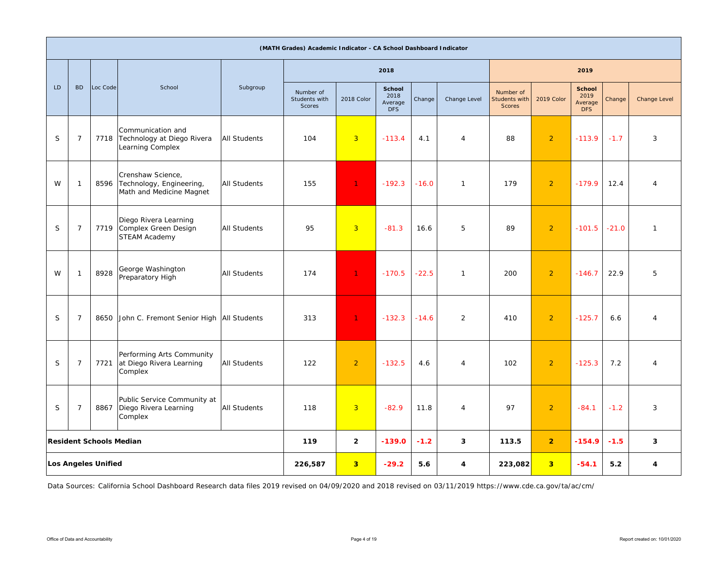|    |                |                                |                                                                           |                     | (MATH Grades) Academic Indicator - CA School Dashboard Indicator |                         |                                         |         |                |                                      |                         |                                                |         |                |
|----|----------------|--------------------------------|---------------------------------------------------------------------------|---------------------|------------------------------------------------------------------|-------------------------|-----------------------------------------|---------|----------------|--------------------------------------|-------------------------|------------------------------------------------|---------|----------------|
|    |                |                                |                                                                           |                     |                                                                  |                         | 2018                                    |         |                |                                      |                         | 2019                                           |         |                |
| LD | <b>BD</b>      | Loc Code                       | School                                                                    | Subgroup            | Number of<br>Students with<br>Scores                             | 2018 Color              | School<br>2018<br>Average<br><b>DFS</b> | Change  | Change Level   | Number of<br>Students with<br>Scores | 2019 Color              | <b>School</b><br>2019<br>Average<br><b>DFS</b> | Change  | Change Level   |
| S  | $\overline{7}$ |                                | Communication and<br>7718 Technology at Diego Rivera<br>Learning Complex  | <b>All Students</b> | 104                                                              | $\overline{3}$          | $-113.4$                                | 4.1     | $\overline{4}$ | 88                                   | $\overline{2}$          | $-113.9$                                       | $-1.7$  | 3              |
| W  | $\mathbf{1}$   | 8596                           | Crenshaw Science,<br>Technology, Engineering,<br>Math and Medicine Magnet | <b>All Students</b> | 155                                                              | $\mathbf{1}$            | $-192.3$                                | $-16.0$ | $\mathbf{1}$   | 179                                  | $\overline{2}$          | $-179.9$                                       | 12.4    | $\overline{4}$ |
| S  | $\overline{7}$ | 7719                           | Diego Rivera Learning<br>Complex Green Design<br>STEAM Academy            | All Students        | 95                                                               | $\overline{3}$          | $-81.3$                                 | 16.6    | 5              | 89                                   | $\overline{2}$          | $-101.5$                                       | $-21.0$ | $\mathbf{1}$   |
| W  | $\mathbf{1}$   | 8928                           | George Washington<br>Preparatory High                                     | <b>All Students</b> | 174                                                              | $\mathbf{1}$            | $-170.5$                                | $-22.5$ | $\mathbf{1}$   | 200                                  | $\overline{2}$          | $-146.7$                                       | 22.9    | 5              |
| S  | $\overline{7}$ | 8650                           | John C. Fremont Senior High All Students                                  |                     | 313                                                              | $\mathbf{1}$            | $-132.3$                                | $-14.6$ | 2              | 410                                  | $\overline{2}$          | $-125.7$                                       | 6.6     | $\overline{4}$ |
| S  | $\overline{7}$ | 7721                           | Performing Arts Community<br>at Diego Rivera Learning<br>Complex          | All Students        | 122                                                              | $\overline{2}$          | $-132.5$                                | 4.6     | $\overline{4}$ | 102                                  | $\overline{2}$          | $-125.3$                                       | 7.2     | $\overline{4}$ |
| S  | $\overline{7}$ | 8867                           | Public Service Community at<br>Diego Rivera Learning<br>Complex           | All Students        | 118                                                              | $\overline{3}$          | $-82.9$                                 | 11.8    | $\overline{4}$ | 97                                   | $\overline{2}$          | $-84.1$                                        | $-1.2$  | 3              |
|    |                | <b>Resident Schools Median</b> |                                                                           |                     | 119                                                              | $\overline{2}$          | $-139.0$                                | $-1.2$  | 3              | 113.5                                | $\overline{2}$          | $-154.9$                                       | $-1.5$  | 3              |
|    |                | <b>Los Angeles Unified</b>     |                                                                           |                     | 226,587                                                          | $\overline{\mathbf{3}}$ | $-29.2$                                 | 5.6     | 4              | 223,082                              | $\overline{\mathbf{3}}$ | $-54.1$                                        | 5.2     | 4              |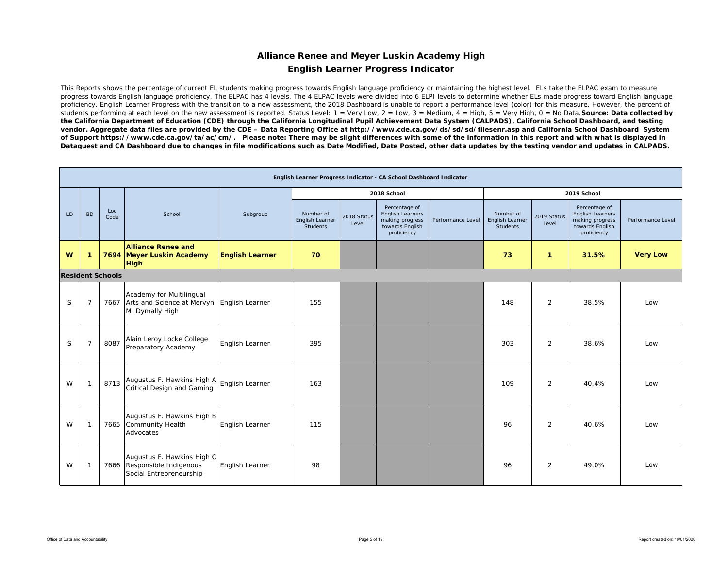### **Alliance Renee and Meyer Luskin Academy High English Learner Progress Indicator**

This Reports shows the percentage of current EL students making progress towards English language proficiency or maintaining the highest level. ELs take the ELPAC exam to measure progress towards English language proficiency. The ELPAC has 4 levels. The 4 ELPAC levels were divided into 6 ELPI levels to determine whether ELs made progress toward English language proficiency. English Learner Progress with the transition to a new assessment, the 2018 Dashboard is unable to report a performance level (color) for this measure. However, the percent of students performing at each level on the new assessment is reported. Status Level: 1 = Very Low, 2 = Low, 3 = Medium, 4 = High, 5 = Very High, 0 = No Data. **Source: Data collected by** *the California Department of Education (CDE) through the California Longitudinal Pupil Achievement Data System (CALPADS), California School Dashboard, and testing vendor. Aggregate data files are provided by the CDE – Data Reporting Office at http://www.cde.ca.gov/ds/sd/sd/filesenr.asp and California School Dashboard System of Support https://www.cde.ca.gov/ta/ac/cm/. Please note: There may be slight differences with some of the information in this report and with what is displayed in Dataquest and CA Dashboard due to changes in file modifications such as Date Modified, Date Posted, other data updates by the testing vendor and updates in CALPADS.* 

|    |                |                         |                                                                                                |                        |                                                 |                      | English Learner Progress Indicator - CA School Dashboard Indicator                            |                   |                                                 |                      |                                                                                        |                   |
|----|----------------|-------------------------|------------------------------------------------------------------------------------------------|------------------------|-------------------------------------------------|----------------------|-----------------------------------------------------------------------------------------------|-------------------|-------------------------------------------------|----------------------|----------------------------------------------------------------------------------------|-------------------|
|    |                |                         |                                                                                                |                        |                                                 |                      | 2018 School                                                                                   |                   |                                                 |                      | 2019 School                                                                            |                   |
| LD | <b>BD</b>      | Loc<br>Code             | School                                                                                         | Subgroup               | Number of<br>English Learner<br><b>Students</b> | 2018 Status<br>Level | Percentage of<br><b>English Learners</b><br>making progress<br>towards English<br>proficiency | Performance Level | Number of<br>English Learner<br><b>Students</b> | 2019 Status<br>Level | Percentage of<br>English Learners<br>making progress<br>towards English<br>proficiency | Performance Level |
| W  | -1             |                         | <b>Alliance Renee and</b><br>7694 Meyer Luskin Academy<br><b>High</b>                          | <b>English Learner</b> | 70                                              |                      |                                                                                               |                   | 73                                              | 1                    | 31.5%                                                                                  | <b>Very Low</b>   |
|    |                | <b>Resident Schools</b> |                                                                                                |                        |                                                 |                      |                                                                                               |                   |                                                 |                      |                                                                                        |                   |
| S  | $\overline{7}$ |                         | Academy for Multilingual<br>7667 Arts and Science at Mervyn English Learner<br>M. Dymally High |                        | 155                                             |                      |                                                                                               |                   | 148                                             | 2                    | 38.5%                                                                                  | Low               |
| S  | $\overline{7}$ | 8087                    | Alain Leroy Locke College<br>Preparatory Academy                                               | English Learner        | 395                                             |                      |                                                                                               |                   | 303                                             | 2                    | 38.6%                                                                                  | Low               |
| W  | $\mathbf{1}$   | 8713                    | Augustus F. Hawkins High A<br>Critical Design and Gaming                                       | English Learner        | 163                                             |                      |                                                                                               |                   | 109                                             | 2                    | 40.4%                                                                                  | Low               |
| W  | $\mathbf{1}$   |                         | Augustus F. Hawkins High B<br>7665 Community Health<br>Advocates                               | English Learner        | 115                                             |                      |                                                                                               |                   | 96                                              | 2                    | 40.6%                                                                                  | Low               |
| W  | -1             |                         | Augustus F. Hawkins High C<br>7666 Responsible Indigenous<br>Social Entrepreneurship           | English Learner        | 98                                              |                      |                                                                                               |                   | 96                                              | 2                    | 49.0%                                                                                  | Low               |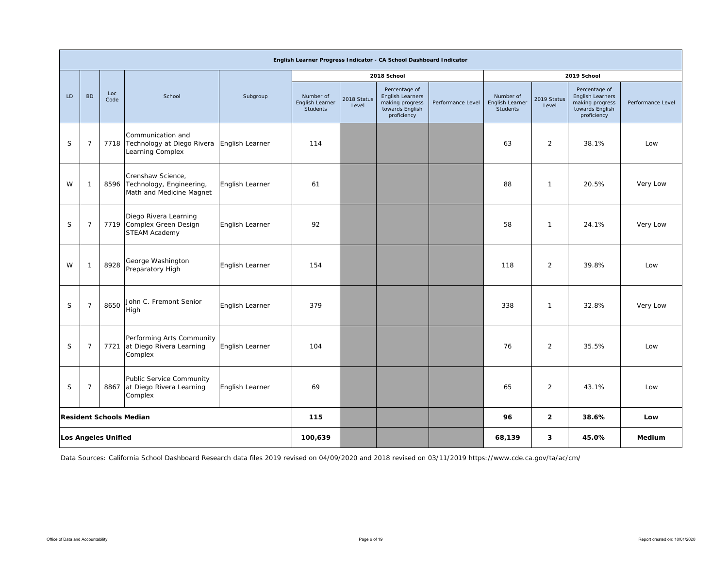|             |                |                            |                                                                           |                 |                                                 |                      | English Learner Progress Indicator - CA School Dashboard Indicator                     |                   |                                                 |                      |                                                                                        |                   |
|-------------|----------------|----------------------------|---------------------------------------------------------------------------|-----------------|-------------------------------------------------|----------------------|----------------------------------------------------------------------------------------|-------------------|-------------------------------------------------|----------------------|----------------------------------------------------------------------------------------|-------------------|
|             |                |                            |                                                                           |                 |                                                 |                      | 2018 School                                                                            |                   |                                                 |                      | 2019 School                                                                            |                   |
| LD          | <b>BD</b>      | Loc<br>Code                | School                                                                    | Subgroup        | Number of<br>English Learner<br><b>Students</b> | 2018 Status<br>Level | Percentage of<br>English Learners<br>making progress<br>towards English<br>proficiency | Performance Level | Number of<br>English Learner<br><b>Students</b> | 2019 Status<br>Level | Percentage of<br>English Learners<br>making progress<br>towards English<br>proficiency | Performance Level |
| S           | 7              | 7718                       | Communication and<br>Technology at Diego Rivera<br>Learning Complex       | English Learner | 114                                             |                      |                                                                                        |                   | 63                                              | 2                    | 38.1%                                                                                  | Low               |
| W           | -1             | 8596                       | Crenshaw Science,<br>Technology, Engineering,<br>Math and Medicine Magnet | English Learner | 61                                              |                      |                                                                                        |                   | 88                                              | $\mathbf{1}$         | 20.5%                                                                                  | Very Low          |
| S           | 7              | 7719                       | Diego Rivera Learning<br>Complex Green Design<br><b>STEAM Academy</b>     | English Learner | 92                                              |                      |                                                                                        |                   | 58                                              | 1                    | 24.1%                                                                                  | Very Low          |
| W           | $\mathbf{1}$   | 8928                       | George Washington<br>Preparatory High                                     | English Learner | 154                                             |                      |                                                                                        |                   | 118                                             | 2                    | 39.8%                                                                                  | Low               |
| $\mathsf S$ | $\overline{7}$ | 8650                       | John C. Fremont Senior<br>High                                            | English Learner | 379                                             |                      |                                                                                        |                   | 338                                             | $\mathbf{1}$         | 32.8%                                                                                  | Very Low          |
| S           | $\overline{7}$ |                            | Performing Arts Community<br>7721 at Diego Rivera Learning<br>Complex     | English Learner | 104                                             |                      |                                                                                        |                   | 76                                              | $\overline{2}$       | 35.5%                                                                                  | Low               |
| S           | $\overline{7}$ | 8867                       | Public Service Community<br>at Diego Rivera Learning<br>Complex           | English Learner | 69                                              |                      |                                                                                        |                   | 65                                              | $\overline{2}$       | 43.1%                                                                                  | Low               |
|             |                |                            | <b>Resident Schools Median</b>                                            |                 | 115                                             |                      |                                                                                        |                   | 96                                              | $\overline{2}$       | 38.6%                                                                                  | Low               |
|             |                | <b>Los Angeles Unified</b> |                                                                           |                 | 100,639                                         |                      |                                                                                        |                   | 68,139                                          | 3                    | 45.0%                                                                                  | <b>Medium</b>     |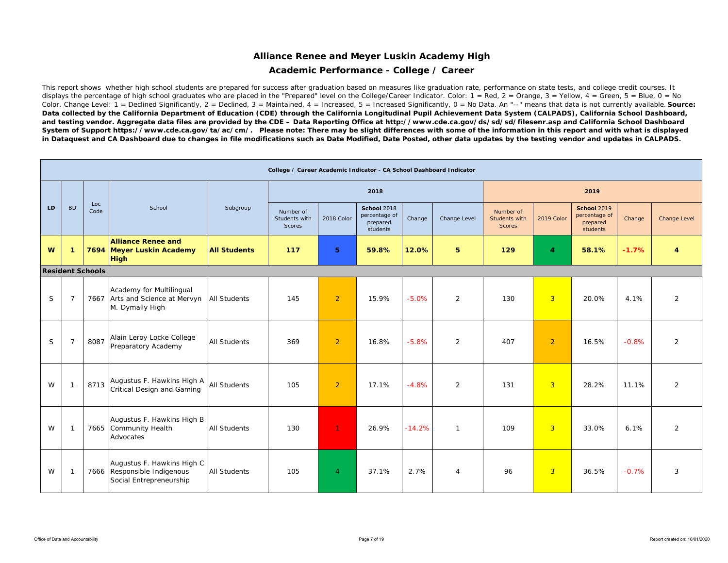### **Academic Performance - College / Career**

This report shows whether high school students are prepared for success after graduation based on measures like graduation rate, performance on state tests, and college credit courses. It displays the percentage of high school graduates who are placed in the "Prepared" level on the College/Career Indicator. Color:  $1 = \text{Red}$ ,  $2 = \text{Orange}$ ,  $3 = \text{Yellow}$ ,  $4 = \text{Green}$ ,  $5 = \text{Blue}$ ,  $0 = \text{No}$ Color. Change Level: 1 = Declined Significantly, 2 = Declined, 3 = Maintained, 4 = Increased, 5 = Increased Significantly, 0 = No Data. An "--" means that data is not currently available. **Source:** Data collected by the California Department of Education (CDE) through the California Longitudinal Pupil Achievement Data System (CALPADS), California School Dashboard, *and testing vendor. Aggregate data files are provided by the CDE – Data Reporting Office at http://www.cde.ca.gov/ds/sd/sd/filesenr.asp and California School Dashboard System of Support https://www.cde.ca.gov/ta/ac/cm/. Please note: There may be slight differences with some of the information in this report and with what is displayed in Dataquest and CA Dashboard due to changes in file modifications such as Date Modified, Date Posted, other data updates by the testing vendor and updates in CALPADS.* 

|    |                          |                         |                                                                                      |                     | College / Career Academic Indicator - CA School Dashboard Indicator |                |                                                             |          |                |                                             |                |                                                             |         |                |
|----|--------------------------|-------------------------|--------------------------------------------------------------------------------------|---------------------|---------------------------------------------------------------------|----------------|-------------------------------------------------------------|----------|----------------|---------------------------------------------|----------------|-------------------------------------------------------------|---------|----------------|
|    |                          |                         |                                                                                      |                     |                                                                     |                | 2018                                                        |          |                |                                             |                | 2019                                                        |         |                |
| LD | <b>BD</b>                | Loc<br>Code             | School                                                                               | Subgroup            | Number of<br>Students with<br><b>Scores</b>                         | 2018 Color     | <b>School 2018</b><br>percentage of<br>prepared<br>students | Change   | Change Level   | Number of<br>Students with<br><b>Scores</b> | 2019 Color     | <b>School 2019</b><br>percentage of<br>prepared<br>students | Change  | Change Level   |
| W  | $\mathbf{1}$             |                         | <b>Alliance Renee and</b><br>7694 Meyer Luskin Academy<br><b>High</b>                | <b>All Students</b> | 117                                                                 | 5              | 59.8%                                                       | 12.0%    | 5              | 129                                         | $\overline{4}$ | 58.1%                                                       | $-1.7%$ | 4              |
|    |                          | <b>Resident Schools</b> |                                                                                      |                     |                                                                     |                |                                                             |          |                |                                             |                |                                                             |         |                |
| S  | $\overline{7}$           | 7667                    | Academy for Multilingual<br>Arts and Science at Mervyn<br>M. Dymally High            | All Students        | 145                                                                 | $\overline{2}$ | 15.9%                                                       | $-5.0%$  | 2              | 130                                         | $\overline{3}$ | 20.0%                                                       | 4.1%    | $\overline{2}$ |
| S  | $\overline{7}$           | 8087                    | Alain Leroy Locke College<br>Preparatory Academy                                     | <b>All Students</b> | 369                                                                 | $\overline{2}$ | 16.8%                                                       | $-5.8%$  | 2              | 407                                         | $\overline{2}$ | 16.5%                                                       | $-0.8%$ | $\overline{2}$ |
| W  | $\overline{\phantom{0}}$ | 8713                    | Augustus F. Hawkins High A<br>Critical Design and Gaming                             | <b>All Students</b> | 105                                                                 | $\overline{2}$ | 17.1%                                                       | $-4.8%$  | $\overline{2}$ | 131                                         | 3              | 28.2%                                                       | 11.1%   | 2              |
| W  | $\overline{\phantom{0}}$ |                         | Augustus F. Hawkins High B<br>7665 Community Health<br>Advocates                     | <b>All Students</b> | 130                                                                 | $\mathbf{1}$   | 26.9%                                                       | $-14.2%$ | $\mathbf{1}$   | 109                                         | 3              | 33.0%                                                       | 6.1%    | 2              |
| W  | $\overline{\phantom{0}}$ |                         | Augustus F. Hawkins High C<br>7666 Responsible Indigenous<br>Social Entrepreneurship | <b>All Students</b> | 105                                                                 | $\overline{4}$ | 37.1%                                                       | 2.7%     | 4              | 96                                          | $\overline{3}$ | 36.5%                                                       | $-0.7%$ | 3              |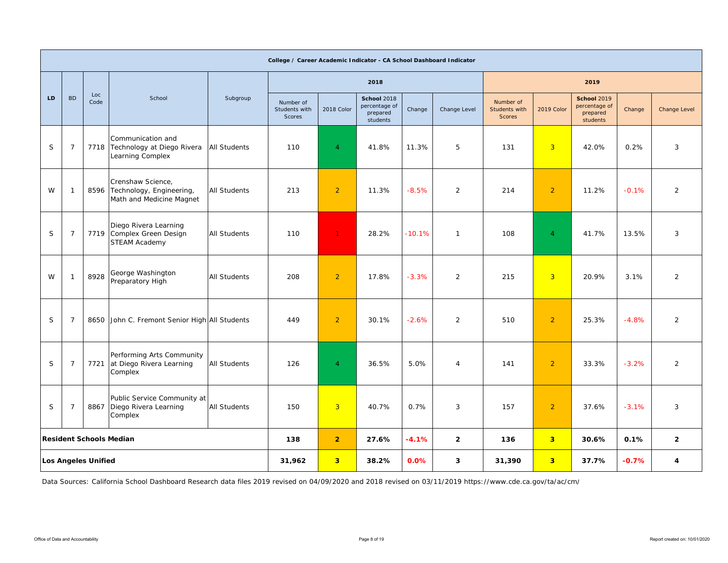|    |                |                            |                                                                                |                     | College / Career Academic Indicator - CA School Dashboard Indicator |                |                                                      |          |                |                                             |                |                                                             |         |                     |
|----|----------------|----------------------------|--------------------------------------------------------------------------------|---------------------|---------------------------------------------------------------------|----------------|------------------------------------------------------|----------|----------------|---------------------------------------------|----------------|-------------------------------------------------------------|---------|---------------------|
|    |                |                            |                                                                                |                     |                                                                     |                | 2018                                                 |          |                |                                             |                | 2019                                                        |         |                     |
| LD | <b>BD</b>      | Loc<br>Code                | School                                                                         | Subgroup            | Number of<br>Students with<br><b>Scores</b>                         | 2018 Color     | School 2018<br>percentage of<br>prepared<br>students | Change   | Change Level   | Number of<br>Students with<br><b>Scores</b> | 2019 Color     | <b>School 2019</b><br>percentage of<br>prepared<br>students | Change  | <b>Change Level</b> |
| S  | $\overline{7}$ |                            | Communication and<br>7718 Technology at Diego Rivera<br>Learning Complex       | <b>All Students</b> | 110                                                                 | $\overline{4}$ | 41.8%                                                | 11.3%    | 5              | 131                                         | $\overline{3}$ | 42.0%                                                       | 0.2%    | 3                   |
| W  | 1              |                            | Crenshaw Science,<br>8596 Technology, Engineering,<br>Math and Medicine Magnet | <b>All Students</b> | 213                                                                 | $\overline{2}$ | 11.3%                                                | $-8.5%$  | 2              | 214                                         | $\overline{2}$ | 11.2%                                                       | $-0.1%$ | 2                   |
| S  | $\overline{7}$ |                            | Diego Rivera Learning<br>7719 Complex Green Design<br><b>STEAM Academy</b>     | <b>All Students</b> | 110                                                                 | $\mathbf{1}$   | 28.2%                                                | $-10.1%$ | $\mathbf{1}$   | 108                                         | $\overline{4}$ | 41.7%                                                       | 13.5%   | 3                   |
| W  | 1              | 8928                       | George Washington<br>Preparatory High                                          | <b>All Students</b> | 208                                                                 | $\overline{2}$ | 17.8%                                                | $-3.3%$  | 2              | 215                                         | $\overline{3}$ | 20.9%                                                       | 3.1%    | 2                   |
| S  | $\overline{7}$ | 8650                       | John C. Fremont Senior High All Students                                       |                     | 449                                                                 | $\overline{2}$ | 30.1%                                                | $-2.6%$  | $\overline{2}$ | 510                                         | $\overline{2}$ | 25.3%                                                       | $-4.8%$ | $\overline{2}$      |
| S  | $\overline{7}$ |                            | Performing Arts Community<br>7721 at Diego Rivera Learning<br>Complex          | <b>All Students</b> | 126                                                                 | $\overline{4}$ | 36.5%                                                | 5.0%     | $\overline{4}$ | 141                                         | $\overline{2}$ | 33.3%                                                       | $-3.2%$ | $\overline{2}$      |
| S  | 7              |                            | Public Service Community at<br>8867 Diego Rivera Learning<br>Complex           | <b>All Students</b> | 150                                                                 | 3              | 40.7%                                                | 0.7%     | 3              | 157                                         | $\overline{2}$ | 37.6%                                                       | $-3.1%$ | 3                   |
|    |                |                            | <b>Resident Schools Median</b>                                                 |                     | 138                                                                 | $\overline{2}$ | 27.6%                                                | $-4.1%$  | $\overline{2}$ | 136                                         | 3 <sup>1</sup> | 30.6%                                                       | 0.1%    | $\overline{2}$      |
|    |                | <b>Los Angeles Unified</b> |                                                                                |                     | 31,962                                                              | $\overline{3}$ | 38.2%                                                | 0.0%     | 3              | 31,390                                      | 3 <sup>2</sup> | 37.7%                                                       | $-0.7%$ | 4                   |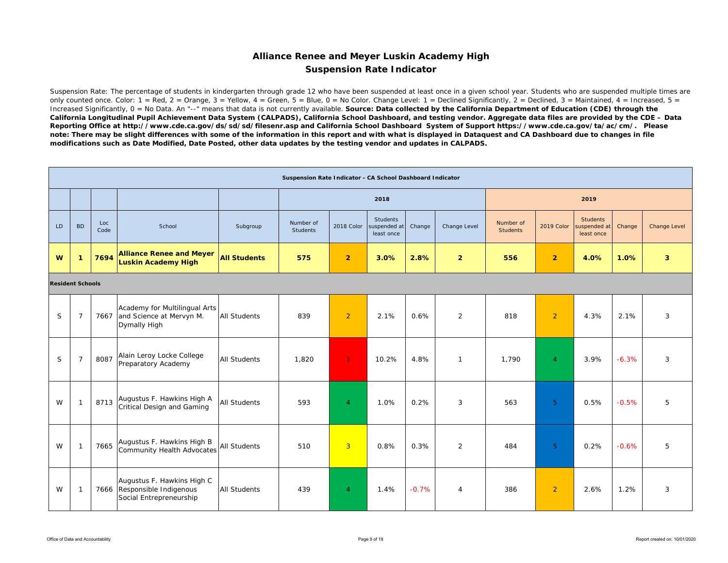### **Alliance Renee and Meyer Luskin Academy High Suspension Rate Indicator**

Suspension Rate: The percentage of students in kindergarten through grade 12 who have been suspended at least once in a given school year. Students who are suspended multiple times are only counted once. Color:  $1 = \text{Red}$ ,  $2 = \text{Orange}$ ,  $3 = \text{Yellow}$ ,  $4 = \text{Green}$ ,  $5 = \text{Blue}$ ,  $0 = \text{No Color}$ . Change Level:  $1 = \text{Decimal}$  Significantly,  $2 = \text{Decimal}$ ,  $3 = \text{Maintained}$ ,  $4 = \text{Increase}$ ,  $5 = \text{Blue}$ Increased Significantly, 0 = No Data. An "--" means that data is not currently available. **Source: Data collected by the California Department of Education (CDE) through the** *California Longitudinal Pupil Achievement Data System (CALPADS), California School Dashboard, and testing vendor. Aggregate data files are provided by the CDE – Data Reporting Office at http://www.cde.ca.gov/ds/sd/sd/filesenr.asp and California School Dashboard System of Support https://www.cde.ca.gov/ta/ac/cm/. Please note: There may be slight differences with some of the information in this report and with what is displayed in Dataquest and CA Dashboard due to changes in file modifications such as Date Modified, Date Posted, other data updates by the testing vendor and updates in CALPADS.* 

|                         |                |             |                                                                                      |                     | Suspension Rate Indicator - CA School Dashboard Indicator |                |                                        |         |                |                              |                |                                               |         |                     |
|-------------------------|----------------|-------------|--------------------------------------------------------------------------------------|---------------------|-----------------------------------------------------------|----------------|----------------------------------------|---------|----------------|------------------------------|----------------|-----------------------------------------------|---------|---------------------|
|                         |                |             |                                                                                      |                     |                                                           |                | 2018                                   |         |                |                              |                | 2019                                          |         |                     |
| LD                      | <b>BD</b>      | Loc<br>Code | School                                                                               | Subgroup            | Number of<br><b>Students</b>                              | 2018 Color     | Students<br>suspended at<br>least once | Change  | Change Level   | Number of<br><b>Students</b> | 2019 Color     | <b>Students</b><br>suspended at<br>least once | Change  | <b>Change Level</b> |
| W                       | -1             | 7694        | <b>Alliance Renee and Meyer</b><br>Luskin Academy High                               | <b>All Students</b> | 575                                                       | $\overline{2}$ | 3.0%                                   | 2.8%    | $\overline{2}$ | 556                          | $\overline{2}$ | 4.0%                                          | 1.0%    | 3                   |
| <b>Resident Schools</b> |                |             |                                                                                      |                     |                                                           |                |                                        |         |                |                              |                |                                               |         |                     |
| S                       | $\overline{7}$ |             | Academy for Multilingual Arts<br>7667 and Science at Mervyn M.<br>Dymally High       | <b>All Students</b> | 839                                                       | $\overline{2}$ | 2.1%                                   | 0.6%    | 2              | 818                          | $\overline{2}$ | 4.3%                                          | 2.1%    | 3                   |
| S                       | $\overline{7}$ | 8087        | Alain Leroy Locke College<br>Preparatory Academy                                     | <b>All Students</b> | 1,820                                                     | $\mathbf{1}$   | 10.2%                                  | 4.8%    | $\mathbf{1}$   | 1,790                        | $\overline{4}$ | 3.9%                                          | $-6.3%$ | 3                   |
| W                       |                | 8713        | Augustus F. Hawkins High A<br>Critical Design and Gaming                             | <b>All Students</b> | 593                                                       | $\overline{4}$ | 1.0%                                   | 0.2%    | 3              | 563                          | 5              | 0.5%                                          | $-0.5%$ | 5                   |
| W                       | -1             | 7665        | Augustus F. Hawkins High B<br>Community Health Advocates                             | All Students        | 510                                                       | $\overline{3}$ | 0.8%                                   | 0.3%    | 2              | 484                          | 5 <sup>1</sup> | 0.2%                                          | $-0.6%$ | 5                   |
| W                       | -1             |             | Augustus F. Hawkins High C<br>7666 Responsible Indigenous<br>Social Entrepreneurship | <b>All Students</b> | 439                                                       | $\overline{4}$ | 1.4%                                   | $-0.7%$ | $\overline{4}$ | 386                          | $\overline{2}$ | 2.6%                                          | 1.2%    | 3                   |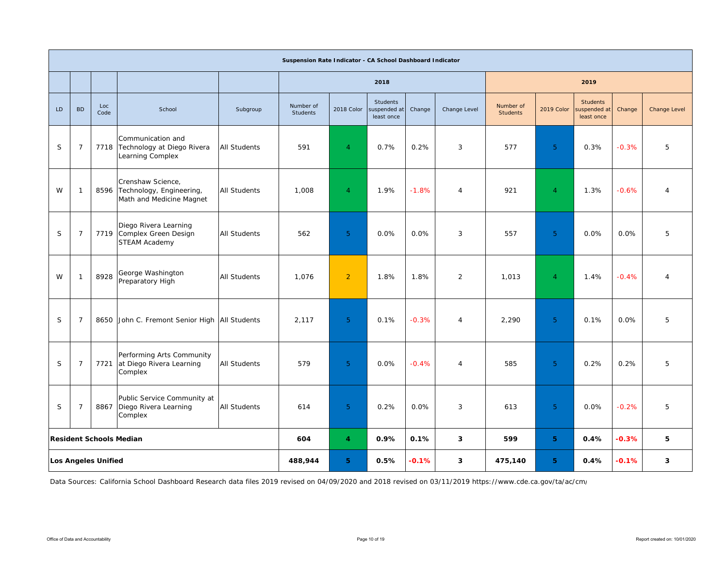|    |                |                                |                                                                                 |                     | Suspension Rate Indicator - CA School Dashboard Indicator |                |                                               |         |                |                              |                |                                               |         |                     |
|----|----------------|--------------------------------|---------------------------------------------------------------------------------|---------------------|-----------------------------------------------------------|----------------|-----------------------------------------------|---------|----------------|------------------------------|----------------|-----------------------------------------------|---------|---------------------|
|    |                |                                |                                                                                 |                     |                                                           |                | 2018                                          |         |                |                              |                | 2019                                          |         |                     |
| LD | <b>BD</b>      | Loc<br>Code                    | School                                                                          | Subgroup            | Number of<br><b>Students</b>                              | 2018 Color     | <b>Students</b><br>suspended at<br>least once | Change  | Change Level   | Number of<br><b>Students</b> | 2019 Color     | <b>Students</b><br>suspended at<br>least once | Change  | <b>Change Level</b> |
| S  | $\overline{7}$ |                                | Communication and<br>7718 Technology at Diego Rivera<br><b>Learning Complex</b> | All Students        | 591                                                       | $\overline{4}$ | 0.7%                                          | 0.2%    | 3              | 577                          | 5 <sup>°</sup> | 0.3%                                          | $-0.3%$ | 5                   |
| W  | $\overline{1}$ |                                | Crenshaw Science,<br>8596 Technology, Engineering,<br>Math and Medicine Magnet  | <b>All Students</b> | 1,008                                                     | $\overline{4}$ | 1.9%                                          | $-1.8%$ | $\overline{4}$ | 921                          | $\overline{4}$ | 1.3%                                          | $-0.6%$ | $\overline{4}$      |
| S  | $\overline{7}$ |                                | Diego Rivera Learning<br>7719 Complex Green Design<br><b>STEAM Academy</b>      | <b>All Students</b> | 562                                                       | 5 <sup>5</sup> | 0.0%                                          | 0.0%    | 3              | 557                          | 5 <sup>°</sup> | 0.0%                                          | 0.0%    | 5                   |
| W  | $\overline{1}$ | 8928                           | George Washington<br>Preparatory High                                           | <b>All Students</b> | 1,076                                                     | $\overline{2}$ | 1.8%                                          | 1.8%    | 2              | 1,013                        | $\overline{4}$ | 1.4%                                          | $-0.4%$ | $\overline{4}$      |
| S  | $\overline{7}$ |                                | 8650 John C. Fremont Senior High All Students                                   |                     | 2.117                                                     | 5 <sup>1</sup> | 0.1%                                          | $-0.3%$ | $\overline{4}$ | 2,290                        | 5 <sup>1</sup> | 0.1%                                          | 0.0%    | 5                   |
| S  | $\overline{7}$ | 7721                           | Performing Arts Community<br>at Diego Rivera Learning<br>Complex                | <b>All Students</b> | 579                                                       | 5 <sup>5</sup> | 0.0%                                          | $-0.4%$ | $\overline{4}$ | 585                          | 5 <sup>°</sup> | 0.2%                                          | 0.2%    | 5                   |
| S  | $\overline{7}$ | 8867                           | Public Service Community at<br>Diego Rivera Learning<br>Complex                 | All Students        | 614                                                       | 5 <sup>1</sup> | 0.2%                                          | 0.0%    | 3              | 613                          | 5              | 0.0%                                          | $-0.2%$ | 5                   |
|    |                | <b>Resident Schools Median</b> |                                                                                 |                     | 604                                                       | $\overline{4}$ | 0.9%                                          | 0.1%    | 3              | 599                          | 5 <sup>1</sup> | 0.4%                                          | $-0.3%$ | 5                   |
|    |                | <b>Los Angeles Unified</b>     |                                                                                 |                     | 488,944                                                   | 5              | 0.5%                                          | $-0.1%$ | 3              | 475,140                      | 5.             | 0.4%                                          | $-0.1%$ | 3                   |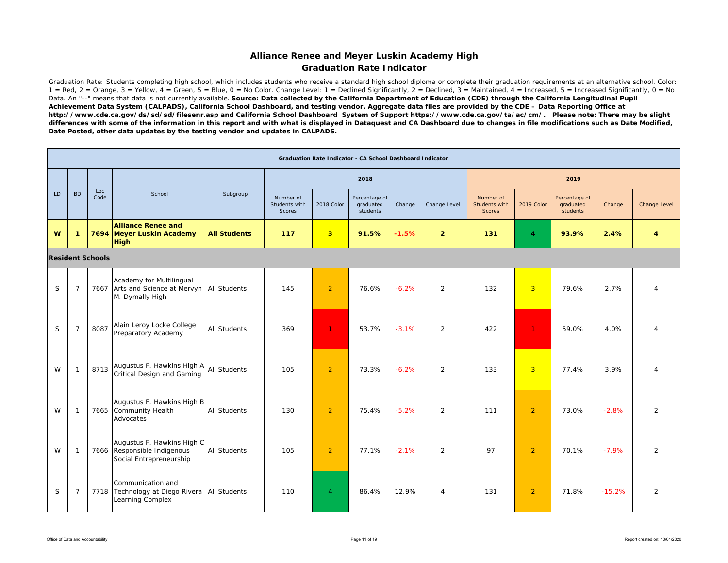### **Alliance Renee and Meyer Luskin Academy High Graduation Rate Indicator**

Graduation Rate: Students completing high school, which includes students who receive a standard high school diploma or complete their graduation requirements at an alternative school. Color:  $1 = \text{Red}$ ,  $2 = \text{Orange}$ ,  $3 = \text{Yellow}$ ,  $4 = \text{Green}$ ,  $5 = \text{Blue}$ ,  $0 = \text{No Color}$ . Change Level:  $1 = \text{Decimal}$  Significantly,  $2 = \text{Decimal}$ ,  $3 = \text{maintained}$ ,  $4 = \text{Increase}$  Significantly,  $0 = \text{No}$ Data. An "--" means that data is not currently available. Source: Data collected by the California Department of Education (CDE) through the California Longitudinal Pupil *Achievement Data System (CALPADS), California School Dashboard, and testing vendor. Aggregate data files are provided by the CDE – Data Reporting Office at http://www.cde.ca.gov/ds/sd/sd/filesenr.asp and California School Dashboard System of Support https://www.cde.ca.gov/ta/ac/cm/. Please note: There may be slight differences with some of the information in this report and with what is displayed in Dataquest and CA Dashboard due to changes in file modifications such as Date Modified, Date Posted, other data updates by the testing vendor and updates in CALPADS.* 

|     |                |                         |                                                                                               |                     |                                      |                         | <b>Graduation Rate Indicator - CA School Dashboard Indicator</b> |         |                |                                             |                |                                        |          |                |
|-----|----------------|-------------------------|-----------------------------------------------------------------------------------------------|---------------------|--------------------------------------|-------------------------|------------------------------------------------------------------|---------|----------------|---------------------------------------------|----------------|----------------------------------------|----------|----------------|
|     |                |                         |                                                                                               |                     |                                      |                         | 2018                                                             |         |                |                                             |                | 2019                                   |          |                |
| LD. | <b>BD</b>      | Loc<br>Code             | School                                                                                        | Subgroup            | Number of<br>Students with<br>Scores | 2018 Color              | Percentage of<br>graduated<br>students                           | Change  | Change Level   | Number of<br>Students with<br><b>Scores</b> | 2019 Color     | Percentage of<br>graduated<br>students | Change   | Change Level   |
| W   | -1             |                         | <b>Alliance Renee and</b><br>7694 Meyer Luskin Academy<br><b>High</b>                         | <b>All Students</b> | 117                                  | $\overline{\mathbf{3}}$ | 91.5%                                                            | $-1.5%$ | $\overline{2}$ | 131                                         | 4              | 93.9%                                  | 2.4%     | 4              |
|     |                | <b>Resident Schools</b> |                                                                                               |                     |                                      |                         |                                                                  |         |                |                                             |                |                                        |          |                |
| S   | $\overline{7}$ |                         | Academy for Multilingual<br>7667 Arts and Science at Mervyn   All Students<br>M. Dymally High |                     | 145                                  | $\overline{2}$          | 76.6%                                                            | $-6.2%$ | $\overline{2}$ | 132                                         | 3              | 79.6%                                  | 2.7%     | 4              |
| S   | $\overline{7}$ | 8087                    | Alain Leroy Locke College<br>Preparatory Academy                                              | All Students        | 369                                  | $\mathbf{1}$            | 53.7%                                                            | $-3.1%$ | 2              | 422                                         | $\mathbf{1}$   | 59.0%                                  | 4.0%     | 4              |
| W   | -1             | 8713                    | Augustus F. Hawkins High A AII Students<br>Critical Design and Gaming                         |                     | 105                                  | $\overline{2}$          | 73.3%                                                            | $-6.2%$ | 2              | 133                                         | $\overline{3}$ | 77.4%                                  | 3.9%     | $\overline{4}$ |
| W   | -1             |                         | Augustus F. Hawkins High B<br>7665 Community Health<br>Advocates                              | <b>All Students</b> | 130                                  | $\overline{2}$          | 75.4%                                                            | $-5.2%$ | $\overline{2}$ | 111                                         | $\overline{2}$ | 73.0%                                  | $-2.8%$  | $\overline{2}$ |
| W   | -1             |                         | Augustus F. Hawkins High C<br>7666 Responsible Indigenous<br>Social Entrepreneurship          | <b>All Students</b> | 105                                  | $\overline{2}$          | 77.1%                                                            | $-2.1%$ | $\overline{2}$ | 97                                          | $\overline{2}$ | 70.1%                                  | $-7.9%$  | 2              |
| S   | $\overline{7}$ |                         | Communication and<br>7718 Technology at Diego Rivera All Students<br>Learning Complex         |                     | 110                                  | $\overline{4}$          | 86.4%                                                            | 12.9%   | $\overline{4}$ | 131                                         | $\overline{2}$ | 71.8%                                  | $-15.2%$ | 2              |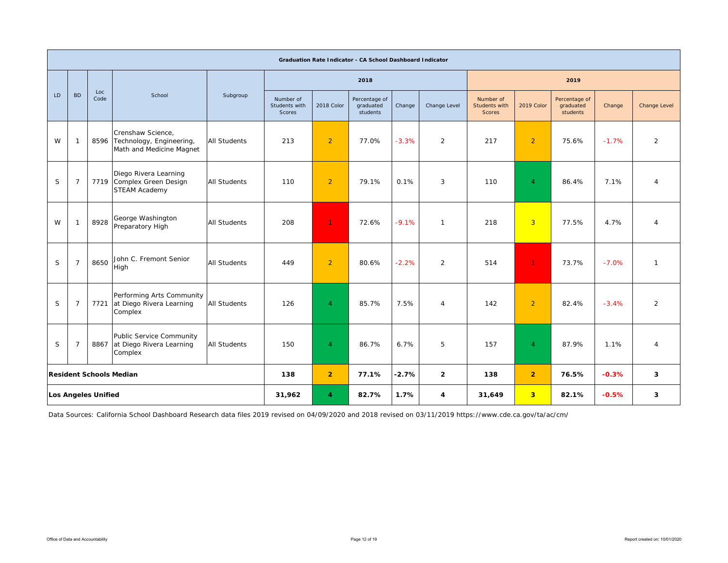|     |                                |                            |                                                                                |                     |                                      |                     | Graduation Rate Indicator - CA School Dashboard Indicator |         |                |                                             |                         |                                        |         |                     |
|-----|--------------------------------|----------------------------|--------------------------------------------------------------------------------|---------------------|--------------------------------------|---------------------|-----------------------------------------------------------|---------|----------------|---------------------------------------------|-------------------------|----------------------------------------|---------|---------------------|
|     |                                |                            |                                                                                |                     |                                      |                     | 2018                                                      |         |                |                                             |                         | 2019                                   |         |                     |
| LD. | <b>BD</b>                      | Loc<br>Code                | School                                                                         | Subgroup            | Number of<br>Students with<br>Scores | 2018 Color          | Percentage of<br>graduated<br>students                    | Change  | Change Level   | Number of<br>Students with<br><b>Scores</b> | 2019 Color              | Percentage of<br>graduated<br>students | Change  | <b>Change Level</b> |
| W   | $\mathbf{1}$                   |                            | Crenshaw Science,<br>8596 Technology, Engineering,<br>Math and Medicine Magnet | <b>All Students</b> | 213                                  | $\overline{2}$      | 77.0%                                                     | $-3.3%$ | 2              | 217                                         | $\overline{2}$          | 75.6%                                  | $-1.7%$ | $\overline{2}$      |
| S   | $\overline{7}$                 |                            | Diego Rivera Learning<br>7719 Complex Green Design<br><b>STEAM Academy</b>     | <b>All Students</b> | 110                                  | $\overline{2}$      | 79.1%                                                     | 0.1%    | 3              | 110                                         | $\overline{4}$          | 86.4%                                  | 7.1%    | $\overline{A}$      |
| W   | $\overline{1}$                 | 8928                       | George Washington<br>Preparatory High                                          | <b>All Students</b> | 208                                  | $\mathbf{1}$        | 72.6%                                                     | $-9.1%$ | $\mathbf{1}$   | 218                                         | $\overline{3}$          | 77.5%                                  | 4.7%    | $\overline{4}$      |
| S   | $\overline{7}$                 | 8650                       | John C. Fremont Senior<br>High                                                 | <b>All Students</b> | 449                                  | $\overline{2}$      | 80.6%                                                     | $-2.2%$ | $\overline{2}$ | 514                                         | $\mathbf{1}$            | 73.7%                                  | $-7.0%$ | $\mathbf{1}$        |
| S   | $\overline{7}$                 | 7721                       | Performing Arts Community<br>at Diego Rivera Learning<br>Complex               | <b>All Students</b> | 126                                  | $\overline{4}$      | 85.7%                                                     | 7.5%    | 4              | 142                                         | $\overline{2}$          | 82.4%                                  | $-3.4%$ | $\overline{2}$      |
| S   | $\overline{7}$                 | 8867                       | Public Service Community<br>at Diego Rivera Learning<br>Complex                | <b>All Students</b> | 150                                  | $\overline{4}$      | 86.7%                                                     | 6.7%    | 5              | 157                                         | $\overline{4}$          | 87.9%                                  | 1.1%    | $\overline{A}$      |
|     | <b>Resident Schools Median</b> |                            |                                                                                |                     | 138                                  | $\overline{2}$      | 77.1%                                                     | $-2.7%$ | $\overline{2}$ | 138                                         | $\overline{2}$          | 76.5%                                  | $-0.3%$ | 3                   |
|     |                                | <b>Los Angeles Unified</b> |                                                                                |                     | 31,962                               | $\overline{\bf{4}}$ | 82.7%                                                     | 1.7%    | 4              | 31,649                                      | $\overline{\mathbf{3}}$ | 82.1%                                  | $-0.5%$ | 3                   |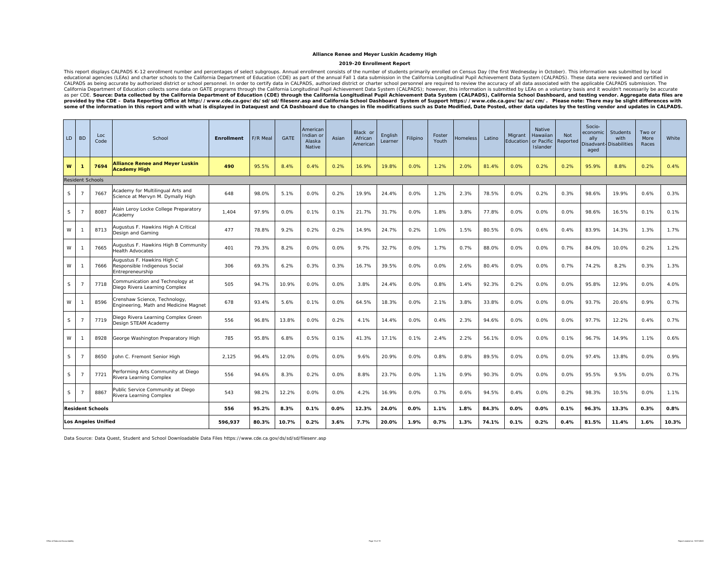#### **2019-20 Enrollment Report**

This report displays CALPADS K-12 enrollment number and percentages of select subgroups. Annual enrollment consists if the number of students primarily enrolled to Ceaucation and beat were enrolled in collectional agencies provided by the CDE - Data Reporting Office at http://www.cde.ca.gov/ds/sd/filesenr.asp and California School Dashboard System of Support https://www.cde.ca.gov/ta/ac/cm/. Please note: There may be slight differences with some of the information in this report and with what is displayed in Dataquest and CA Dashboard due to changes in file modifications such as Date Modified, Date Posted, other data updates by the testing vendor and updates

| LD                                                                                         | <b>BD</b>               | Loc<br>Code                | School                                                                          | <b>Enrollment</b> | F/R Meal | <b>GATE</b> | American<br>Indian or<br>Alaska<br>Native | Asian   | Black or<br>African<br>American | English<br>Learner | Filipino | Foster<br>Youth | Homeless | Latino | Migrant<br>Education | Native<br>Hawaiian<br>or Pacific<br>Islander | <b>Not</b><br>Reported | Socio-<br>economic<br>ally<br><b>Disadvan</b><br>aged | Students<br>with<br><b>Disabilities</b> | Two or<br>More<br>Races | White |
|--------------------------------------------------------------------------------------------|-------------------------|----------------------------|---------------------------------------------------------------------------------|-------------------|----------|-------------|-------------------------------------------|---------|---------------------------------|--------------------|----------|-----------------|----------|--------|----------------------|----------------------------------------------|------------------------|-------------------------------------------------------|-----------------------------------------|-------------------------|-------|
| W                                                                                          |                         | 7694                       | <b>Alliance Renee and Meyer Luskin</b><br><b>Academy High</b>                   | 490               | 95.5%    | 8.4%        | 0.4%                                      | 0.2%    | 16.9%                           | 19.8%              | 0.0%     | 1.2%            | 2.0%     | 81.4%  | 0.0%                 | 0.2%                                         | 0.2%                   | 95.9%                                                 | 8.8%                                    | 0.2%                    | 0.4%  |
|                                                                                            | <b>Resident Schools</b> |                            |                                                                                 |                   |          |             |                                           |         |                                 |                    |          |                 |          |        |                      |                                              |                        |                                                       |                                         |                         |       |
| S                                                                                          | $\overline{7}$          | 7667                       | Academy for Multilingual Arts and<br>Science at Mervyn M. Dymally High          | 648               | 98.0%    | 5.1%        | 0.0%                                      | 0.2%    | 19.9%                           | 24.4%              | 0.0%     | 1.2%            | 2.3%     | 78.5%  | 0.0%                 | 0.2%                                         | 0.3%                   | 98.6%                                                 | 19.9%                                   | 0.6%                    | 0.3%  |
| S                                                                                          | $\overline{7}$          | 8087                       | Alain Leroy Locke College Preparatory<br>Academy                                | 1,404             | 97.9%    | 0.0%        | 0.1%                                      | 0.1%    | 21.7%                           | 31.7%              | 0.0%     | 1.8%            | 3.8%     | 77.8%  | 0.0%                 | 0.0%                                         | 0.0%                   | 98.6%                                                 | 16.5%                                   | 0.1%                    | 0.1%  |
| W                                                                                          | -1                      | 8713                       | Augustus F. Hawkins High A Critical<br>Design and Gaming                        | 477               | 78.8%    | 9.2%        | 0.2%                                      | 0.2%    | 14.9%                           | 24.7%              | 0.2%     | 1.0%            | 1.5%     | 80.5%  | 0.0%                 | 0.6%                                         | 0.4%                   | 83.9%                                                 | 14.3%                                   | 1.3%                    | 1.7%  |
| W                                                                                          |                         | 7665                       | Augustus F. Hawkins High B Community<br><b>Health Advocates</b>                 | 401               | 79.3%    | 8.2%        | 0.0%                                      | 0.0%    | 9.7%                            | 32.7%              | 0.0%     | 1.7%            | 0.7%     | 88.0%  | 0.0%                 | 0.0%                                         | 0.7%                   | 84.0%                                                 | 10.0%                                   | 0.2%                    | 1.2%  |
| W                                                                                          |                         | 7666                       | Augustus F. Hawkins High C<br>Responsible Indigenous Social<br>Entrepreneurship | 306               | 69.3%    | 6.2%        | 0.3%                                      | 0.3%    | 16.7%                           | 39.5%              | 0.0%     | 0.0%            | 2.6%     | 80.4%  | 0.0%                 | 0.0%                                         | 0.7%                   | 74.2%                                                 | 8.2%                                    | 0.3%                    | 1.3%  |
| S.                                                                                         | $\overline{7}$          | 7718                       | Communication and Technology at<br>Diego Rivera Learning Complex                | 505               | 94.7%    | 10.9%       | 0.0%                                      | 0.0%    | 3.8%                            | 24.4%              | 0.0%     | 0.8%            | 1.4%     | 92.3%  | 0.2%                 | 0.0%                                         | 0.0%                   | 95.8%                                                 | 12.9%                                   | 0.0%                    | 4.0%  |
| W                                                                                          |                         | 8596                       | Crenshaw Science, Technology,<br>Engineering, Math and Medicine Magnet          | 678               | 93.4%    | 5.6%        | 0.1%                                      | 0.0%    | 64.5%                           | 18.3%              | 0.0%     | 2.1%            | 3.8%     | 33.8%  | 0.0%                 | 0.0%                                         | 0.0%                   | 93.7%                                                 | 20.6%                                   | 0.9%                    | 0.7%  |
| S                                                                                          | $\mathcal{I}$           | 7719                       | Diego Rivera Learning Complex Green<br>Design STEAM Academy                     | 556               | 96.8%    | 13.8%       | 0.0%                                      | 0.2%    | 4.1%                            | 14.4%              | 0.0%     | 0.4%            | 2.3%     | 94.6%  | 0.0%                 | 0.0%                                         | 0.0%                   | 97.7%                                                 | 12.2%                                   | 0.4%                    | 0.7%  |
| W                                                                                          | -1                      | 8928                       | George Washington Preparatory High                                              | 785               | 95.8%    | 6.8%        | 0.5%                                      | 0.1%    | 41.3%                           | 17.1%              | 0.1%     | 2.4%            | 2.2%     | 56.1%  | 0.0%                 | 0.0%                                         | 0.1%                   | 96.7%                                                 | 14.9%                                   | 1.1%                    | 0.6%  |
| S                                                                                          | $\overline{7}$          | 8650                       | John C. Fremont Senior High                                                     | 2,125             | 96.4%    | 12.0%       | 0.0%                                      | 0.0%    | 9.6%                            | 20.9%              | 0.0%     | 0.8%            | 0.8%     | 89.5%  | 0.0%                 | 0.0%                                         | 0.0%                   | 97.4%                                                 | 13.8%                                   | 0.0%                    | 0.9%  |
| S                                                                                          | $\overline{7}$          | 7721                       | Performing Arts Community at Diego<br>Rivera Learning Complex                   | 556               | 94.6%    | 8.3%        | 0.2%                                      | 0.0%    | 8.8%                            | 23.7%              | 0.0%     | 1.1%            | 0.9%     | 90.3%  | 0.0%                 | 0.0%                                         | 0.0%                   | 95.5%                                                 | 9.5%                                    | 0.0%                    | 0.7%  |
| Public Service Community at Diego<br>S<br>8867<br>$\mathcal{I}$<br>Rivera Learning Complex |                         |                            |                                                                                 | 543               | 98.2%    | 12.2%       | 0.0%                                      | 0.0%    | 4.2%                            | 16.9%              | 0.0%     | 0.7%            | 0.6%     | 94.5%  | 0.4%                 | 0.0%                                         | 0.2%                   | 98.3%                                                 | 10.5%                                   | 0.0%                    | 1.1%  |
|                                                                                            |                         | <b>Resident Schools</b>    |                                                                                 | 556               | 95.2%    | 8.3%        | 0.1%                                      | $0.0\%$ | 12.3%                           | 24.0%              | 0.0%     | 1.1%            | 1.8%     | 84.3%  | 0.0%                 | 0.0%                                         | 0.1%                   | 96.3%                                                 | 13.3%                                   | 0.3%                    | 0.8%  |
|                                                                                            |                         | <b>Los Angeles Unified</b> |                                                                                 | 596,937           | 80.3%    | 10.7%       | 0.2%                                      | 3.6%    | 7.7%                            | 20.0%              | 1.9%     | 0.7%            | 1.3%     | 74.1%  | 0.1%                 | 0.2%                                         | 0.4%                   | 81.5%                                                 | 11.4%                                   | 1.6%                    | 10.3% |

Data Source: Data Quest, Student and School Downloadable Data Files https://www.cde.ca.gov/ds/sd/sd/filesenr.asp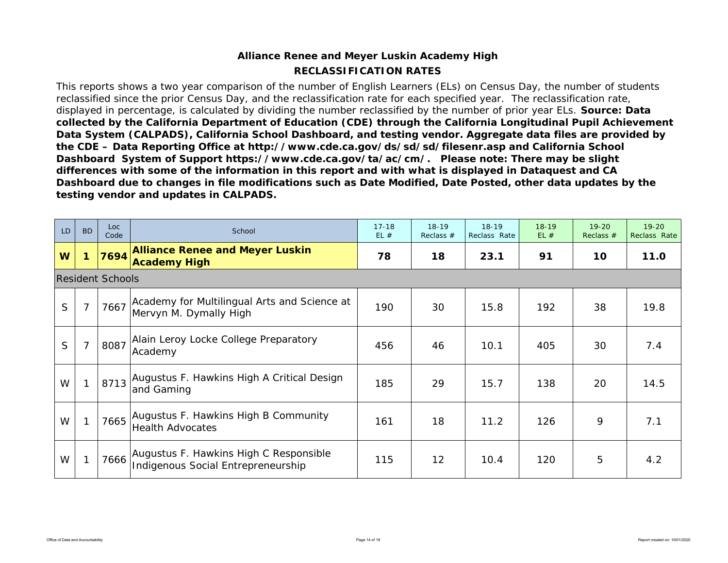## **RECLASSIFICATION RATESAlliance Renee and Meyer Luskin Academy High**

This reports shows a two year comparison of the number of English Learners (ELs) on Census Day, the number of students reclassified since the prior Census Day, and the reclassification rate for each specified year. The reclassification rate, displayed in percentage, is calculated by dividing the number reclassified by the number of prior year ELs. *Source: Data collected by the California Department of Education (CDE) through the California Longitudinal Pupil Achievement Data System (CALPADS), California School Dashboard, and testing vendor. Aggregate data files are provided by the CDE – Data Reporting Office at http://www.cde.ca.gov/ds/sd/sd/filesenr.asp and California School Dashboard System of Support https://www.cde.ca.gov/ta/ac/cm/. Please note: There may be slight differences with some of the information in this report and with what is displayed in Dataquest and CA Dashboard due to changes in file modifications such as Date Modified, Date Posted, other data updates by the testing vendor and updates in CALPADS.* 

| <b>LD</b> | <b>BD</b> | Loc<br>Code             | School                                                                       | $17 - 18$<br>EL# | $18-19$<br>Reclass $#$ | $18-19$<br>Reclass Rate | $18 - 19$<br>EL# | $19 - 20$<br>Reclass $#$ | $19 - 20$<br>Reclass Rate |
|-----------|-----------|-------------------------|------------------------------------------------------------------------------|------------------|------------------------|-------------------------|------------------|--------------------------|---------------------------|
| W         |           | 7694                    | <b>Alliance Renee and Meyer Luskin</b><br><b>Academy High</b>                | 78               | 18                     | 23.1                    | 91               | 10                       | 11.0                      |
|           |           | <b>Resident Schools</b> |                                                                              |                  |                        |                         |                  |                          |                           |
| S         |           | 7667                    | Academy for Multilingual Arts and Science at<br>Mervyn M. Dymally High       | 190              | 30                     | 15.8                    | 192              | 38                       | 19.8                      |
| S         |           | 8087                    | Alain Leroy Locke College Preparatory<br>Academy                             | 456              | 46                     | 10.1                    | 405              | 30                       | 7.4                       |
| W         |           | 8713                    | Augustus F. Hawkins High A Critical Design<br>and Gaming                     | 185              | 29                     | 15.7                    | 138              | 20                       | 14.5                      |
| W         |           | 7665                    | Augustus F. Hawkins High B Community<br><b>Health Advocates</b>              | 161              | 18                     | 11.2                    | 126              | 9                        | 7.1                       |
| W         |           | 7666                    | Augustus F. Hawkins High C Responsible<br>Indigenous Social Entrepreneurship | 115              | 12                     | 10.4                    | 120              | 5                        | 4.2                       |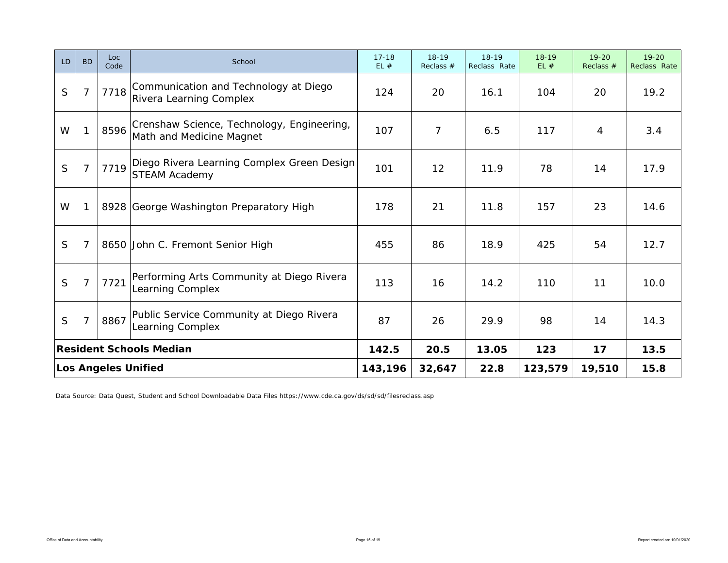| LD           | <b>BD</b>      | Loc<br>Code | School                                                                  | $17 - 18$<br>EL# | $18-19$<br>Reclass $#$ | $18 - 19$<br>Reclass Rate | $18 - 19$<br>EL# | $19 - 20$<br>Reclass # | $19 - 20$<br>Reclass Rate |
|--------------|----------------|-------------|-------------------------------------------------------------------------|------------------|------------------------|---------------------------|------------------|------------------------|---------------------------|
| $\mathsf{S}$ | $\overline{7}$ | 7718        | Communication and Technology at Diego<br><b>Rivera Learning Complex</b> | 124              | 20                     | 16.1                      | 104              | 20                     | 19.2                      |
| W            | 1              | 8596        | Crenshaw Science, Technology, Engineering,<br>Math and Medicine Magnet  | 107              | $\overline{7}$         | 6.5                       | 117              | 4                      | 3.4                       |
| S            | $\overline{7}$ | 7719        | Diego Rivera Learning Complex Green Design<br><b>STEAM Academy</b>      | 101              | 12                     | 11.9                      | 78               | 14                     | 17.9                      |
| W            | $\mathbf{1}$   |             | 8928 George Washington Preparatory High                                 | 178              | 21                     | 11.8                      | 157              | 23                     | 14.6                      |
| $\mathsf{S}$ | 7              |             | 8650 John C. Fremont Senior High                                        | 455              | 86                     | 18.9                      | 425              | 54                     | 12.7                      |
| S            | $\overline{7}$ | 7721        | Performing Arts Community at Diego Rivera<br>Learning Complex           | 113              | 16                     | 14.2                      | 110              | 11                     | 10.0                      |
| S            | $\overline{7}$ | 8867        | Public Service Community at Diego Rivera<br>Learning Complex            | 87               | 26                     | 29.9                      | 98               | 14                     | 14.3                      |
|              |                |             | <b>Resident Schools Median</b>                                          | 142.5            | 20.5                   | 13.05                     | 123              | 17                     | 13.5                      |
|              |                |             | <b>Los Angeles Unified</b>                                              | 143,196          | 32,647                 | 22.8                      | 123,579          | 19,510                 | 15.8                      |

Data Source: Data Quest, Student and School Downloadable Data Files https://www.cde.ca.gov/ds/sd/sd/filesreclass.asp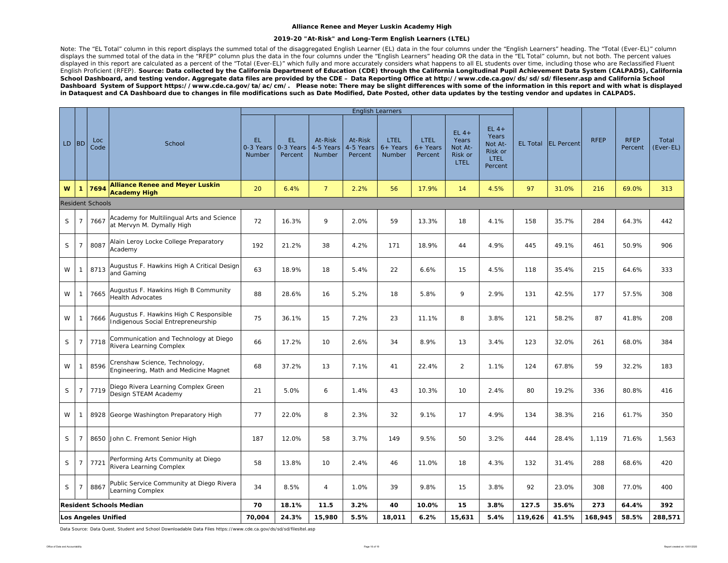#### **2019-20 "At-Risk" and Long-Term English Learners (LTEL)**

Note: The "EL Total" column in this report displays the summed total of the disaggregated English Learner (EL) data in the four columns under the "English Learners" heading. The "Total (Ever-EL)" column displays the summed total of the data in the "RFEP" column plus the data in the four columns under the "English Learners" heading OR the data in the "EL Total" column, but not both. The percent values displayed in this report are calculated as a percent of the "Total (Ever-EL)" which fully and more accurately considers what happens to all EL students over time, including those who are Reclassified Fluent English Proficient (RFEP). *Source: Data collected by the California Department of Education (CDE) through the California Longitudinal Pupil Achievement Data System (CALPADS), California School Dashboard, and testing vendor. Aggregate data files are provided by the CDE – Data Reporting Office at http://www.cde.ca.gov/ds/sd/sd/filesenr.asp and California School*  Dashboard System of Support https://www.cde.ca.gov/ta/ac/cm/. Please note: There may be slight differences with some of the information in this report and with what is displayed *in Dataquest and CA Dashboard due to changes in file modifications such as Date Modified, Date Posted, other data updates by the testing vendor and updates in CALPADS.* 

|         |                |                            |                                                                              |                            |                             |                                |                                 | <b>English Learners</b>             |                               |                                                      |                                                                  |         |                     |             |                        |                    |
|---------|----------------|----------------------------|------------------------------------------------------------------------------|----------------------------|-----------------------------|--------------------------------|---------------------------------|-------------------------------------|-------------------------------|------------------------------------------------------|------------------------------------------------------------------|---------|---------------------|-------------|------------------------|--------------------|
| $LD$ BD |                | Loc<br>Code                | School                                                                       | EL.<br>0-3 Years<br>Number | EL.<br>0-3 Years<br>Percent | At-Risk<br>4-5 Years<br>Number | At-Risk<br>4-5 Years<br>Percent | LTEL<br>$6+$ Years<br><b>Number</b> | LTEL<br>$6+$ Years<br>Percent | $EL4+$<br>Years<br>Not At-<br>Risk or<br><b>LTEL</b> | $EL$ 4+<br>Years<br>Not At-<br>Risk or<br><b>LTEL</b><br>Percent |         | EL Total EL Percent | <b>RFEP</b> | <b>RFEP</b><br>Percent | Total<br>(Ever-EL) |
| W       | $\mathbf{1}$   | 7694                       | <b>Alliance Renee and Meyer Luskin</b><br><b>Academy High</b>                | 20                         | 6.4%                        | $7^{\circ}$                    | 2.2%                            | 56                                  | 17.9%                         | 14                                                   | 4.5%                                                             | 97      | 31.0%               | 216         | 69.0%                  | 313                |
|         |                | <b>Resident Schools</b>    |                                                                              |                            |                             |                                |                                 |                                     |                               |                                                      |                                                                  |         |                     |             |                        |                    |
| S       | $\overline{7}$ | 7667                       | Academy for Multilingual Arts and Science<br>at Mervyn M. Dymally High       | 72                         | 16.3%                       | 9                              | 2.0%                            | 59                                  | 13.3%                         | 18                                                   | 4.1%                                                             | 158     | 35.7%               | 284         | 64.3%                  | 442                |
| S       | $\overline{7}$ | 8087                       | Alain Leroy Locke College Preparatory<br>Academy                             | 192                        | 21.2%                       | 38                             | 4.2%                            | 171                                 | 18.9%                         | 44                                                   | 4.9%                                                             | 445     | 49.1%               | 461         | 50.9%                  | 906                |
| W       | $\mathbf{1}$   | 8713                       | Augustus F. Hawkins High A Critical Design<br>and Gaming                     | 63                         | 18.9%                       | 18                             | 5.4%                            | 22                                  | 6.6%                          | 15                                                   | 4.5%                                                             | 118     | 35.4%               | 215         | 64.6%                  | 333                |
| W       | -1             | 7665                       | Augustus F. Hawkins High B Community<br><b>Health Advocates</b>              | 88                         | 28.6%                       | 16                             | 5.2%                            | 18                                  | 5.8%                          | 9                                                    | 2.9%                                                             | 131     | 42.5%               | 177         | 57.5%                  | 308                |
| W       | $\mathbf{1}$   | 7666                       | Augustus F. Hawkins High C Responsible<br>Indigenous Social Entrepreneurship | 75                         | 36.1%                       | 15                             | 7.2%                            | 23                                  | 11.1%                         | 8                                                    | 3.8%                                                             | 121     | 58.2%               | 87          | 41.8%                  | 208                |
| S       | $\overline{7}$ | 7718                       | Communication and Technology at Diego<br>Rivera Learning Complex             | 66                         | 17.2%                       | 10                             | 2.6%                            | 34                                  | 8.9%                          | 13                                                   | 3.4%                                                             | 123     | 32.0%               | 261         | 68.0%                  | 384                |
| W       | -1             | 8596                       | Crenshaw Science, Technology,<br>Engineering, Math and Medicine Magnet       | 68                         | 37.2%                       | 13                             | 7.1%                            | 41                                  | 22.4%                         | $\overline{2}$                                       | 1.1%                                                             | 124     | 67.8%               | 59          | 32.2%                  | 183                |
| S       | $\overline{7}$ | 7719                       | Diego Rivera Learning Complex Green<br>Design STEAM Academy                  | 21                         | 5.0%                        | 6                              | 1.4%                            | 43                                  | 10.3%                         | 10                                                   | 2.4%                                                             | 80      | 19.2%               | 336         | 80.8%                  | 416                |
| W       | $\mathbf{1}$   |                            | 8928 George Washington Preparatory High                                      | 77                         | 22.0%                       | 8                              | 2.3%                            | 32                                  | 9.1%                          | 17                                                   | 4.9%                                                             | 134     | 38.3%               | 216         | 61.7%                  | 350                |
| S       | $\overline{7}$ |                            | 8650 John C. Fremont Senior High                                             | 187                        | 12.0%                       | 58                             | 3.7%                            | 149                                 | 9.5%                          | 50                                                   | 3.2%                                                             | 444     | 28.4%               | 1,119       | 71.6%                  | 1,563              |
| S       | $\overline{7}$ | 7721                       | Performing Arts Community at Diego<br>Rivera Learning Complex                | 58                         | 13.8%                       | 10                             | 2.4%                            | 46                                  | 11.0%                         | 18                                                   | 4.3%                                                             | 132     | 31.4%               | 288         | 68.6%                  | 420                |
| S       | $\overline{7}$ | 8867                       | Public Service Community at Diego Rivera<br>Learning Complex                 | 34                         | 8.5%                        | $\overline{4}$                 | 1.0%                            | 39                                  | 9.8%                          | 15                                                   | 3.8%                                                             | 92      | 23.0%               | 308         | 77.0%                  | 400                |
|         |                |                            | <b>Resident Schools Median</b>                                               | 70                         | 18.1%                       | 11.5                           | 3.2%                            | 40                                  | 10.0%                         | 15                                                   | 3.8%                                                             | 127.5   | 35.6%               | 273         | 64.4%                  | 392                |
|         |                | <b>Los Angeles Unified</b> |                                                                              | 70,004                     | 24.3%                       | 15,980                         | 5.5%                            | 18,011                              | 6.2%                          | 15,631                                               | 5.4%                                                             | 119,626 | 41.5%               | 168,945     | 58.5%                  | 288,571            |

Data Source: Data Quest, Student and School Downloadable Data Files https://www.cde.ca.gov/ds/sd/sd/filesltel.asp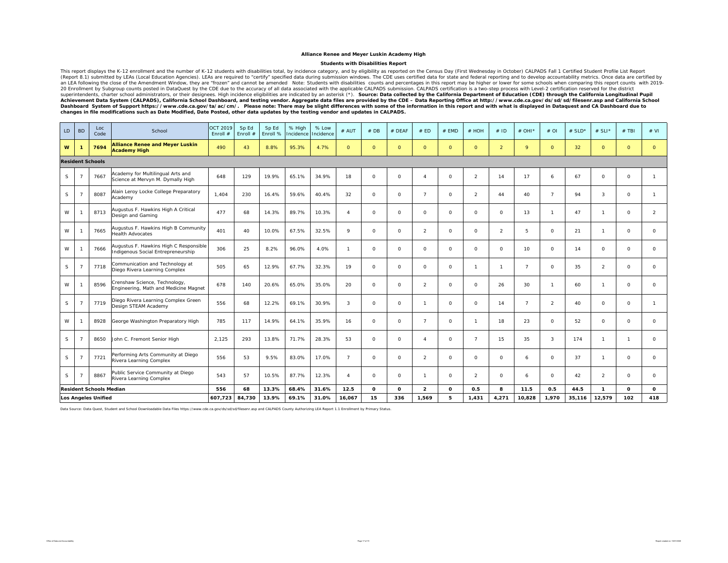#### **Students with Disabilities Report**

This report displays the K-12 enrollment and the number of K-12 students with disabilities total, by incidence category, and by eligibility as reported on the Census Day (First Wednesday in October) CALPADS Fall 1 Certifie (Report 8.1) submitted by LEAs (Local Education Agencies). LEAs are required to "certify" specified data during submission windows. The CDE uses certified data for state and federal reporting and to develop accountability 20 Enrollment by Subgroup counts posted in DataQuest by the CDE due to the accuracy of all data associated with the applicable CALPADS submission. CALPADS certification rise two step process with Level-2 certification rese

| LD | <b>BD</b>      | Loc<br>Code                    | School                                                                       | <b>OCT 2019</b><br>Enroll # | Sp Ed<br>Enroll # | Sp Ed<br>Enroll % | % High<br>Incidence | % Low<br>Incidence | # AUT          | #DB          | # DEAF   | # ED           | $#$ EMD      | $#$ HOH        | #ID                 | # OHI <sup>*</sup> | $#$ OI         | # $SLD*$ | # SLI*         | $#$ TBI             | # VI           |
|----|----------------|--------------------------------|------------------------------------------------------------------------------|-----------------------------|-------------------|-------------------|---------------------|--------------------|----------------|--------------|----------|----------------|--------------|----------------|---------------------|--------------------|----------------|----------|----------------|---------------------|----------------|
| W  | -1             | 7694                           | <b>Alliance Renee and Meyer Luskin</b><br><b>Academy High</b>                | 490                         | 43                | 8.8%              | 95.3%               | 4.7%               | $\Omega$       | $\Omega$     | $\circ$  | $\circ$        | $\circ$      | $\circ$        | $\overline{2}$      | 9                  | $\Omega$       | 32       | $\Omega$       | $\circ$             | $\Omega$       |
|    |                | <b>Resident Schools</b>        |                                                                              |                             |                   |                   |                     |                    |                |              |          |                |              |                |                     |                    |                |          |                |                     |                |
| S  | - 7            | 7667                           | Academy for Multilingual Arts and<br>Science at Mervyn M. Dymally High       | 648                         | 129               | 19.9%             | 65.1%               | 34.9%              | 18             | $\circ$      | $\circ$  | $\overline{4}$ | $\circ$      | $\overline{2}$ | 14                  | 17                 | 6              | 67       | $\circ$        | $\circ$             | $\mathbf{1}$   |
| S  |                | 8087                           | Alain Leroy Locke College Preparatory<br>Academy                             | 1,404                       | 230               | 16.4%             | 59.6%               | 40.4%              | 32             | $\circ$      | $\circ$  | $\overline{7}$ | $\circ$      | $\overline{2}$ | 44                  | 40                 | $\overline{7}$ | 94       | 3              | $\mathsf{O}\xspace$ | $\mathbf{1}$   |
| W  |                | 8713                           | Augustus F. Hawkins High A Critical<br>Design and Gaming                     | 477                         | 68                | 14.3%             | 89.7%               | 10.3%              | $\overline{4}$ | $\circ$      | $\circ$  | $\circ$        | $\circ$      | $\circ$        | $\mathsf{O}\xspace$ | 13                 | $\mathbf{1}$   | 47       | $\mathbf{1}$   | $\mathsf{O}\xspace$ | $\overline{2}$ |
| W  |                | 7665                           | Augustus F. Hawkins High B Community<br><b>Health Advocates</b>              | 401                         | 40                | 10.0%             | 67.5%               | 32.5%              | $\mathsf Q$    | $\circ$      | $\circ$  | 2              | $\circ$      | $\circ$        | $\overline{2}$      | 5                  | $\circ$        | 21       | $\mathbf{1}$   | $\circ$             | $\circ$        |
| W  |                | 7666                           | Augustus F. Hawkins High C Responsible<br>Indigenous Social Entrepreneurship | 306                         | 25                | 8.2%              | 96.0%               | 4.0%               | $\mathbf{1}$   | $\circ$      | $\circ$  | $\circ$        | $\circ$      | $\circ$        | $\circ$             | 10                 | $\circ$        | 14       | $\circ$        | $\circ$             | $\circ$        |
| S  | - 7            | 7718                           | Communication and Technology at<br>Diego Rivera Learning Complex             | 505                         | 65                | 12.9%             | 67.7%               | 32.3%              | 19             | $\Omega$     | $\Omega$ | $\circ$        | $\circ$      | $\mathbf{1}$   | $\overline{1}$      | $\overline{7}$     | $\Omega$       | 35       | $\overline{2}$ | $\circ$             | $\circ$        |
| W  |                | 8596                           | Crenshaw Science, Technology,<br>Engineering, Math and Medicine Magnet       | 678                         | 140               | 20.6%             | 65.0%               | 35.0%              | 20             | $\circ$      | $\circ$  | $\overline{2}$ | $\circ$      | $\circ$        | 26                  | 30                 | $\mathbf{1}$   | 60       | $\mathbf{1}$   | $\circ$             | $\circ$        |
| S  |                | 7719                           | Diego Rivera Learning Complex Green<br>Design STEAM Academy                  | 556                         | 68                | 12.2%             | 69.1%               | 30.9%              | 3              | $\circ$      | $\circ$  | $\mathbf{1}$   | 0            | $\circ$        | 14                  | $\overline{7}$     | $\overline{2}$ | 40       | $\circ$        | $\circ$             | $\mathbf{1}$   |
| W  |                | 8928                           | George Washington Preparatory High                                           | 785                         | 117               | 14.9%             | 64.1%               | 35.9%              | 16             | $\circ$      | $\circ$  | $\overline{7}$ | $\circ$      | $\mathbf{1}$   | 18                  | 23                 | $\circ$        | 52       | $\circ$        | $\circ$             | $\circ$        |
| S  |                | 8650                           | John C. Fremont Senior High                                                  | 2,125                       | 293               | 13.8%             | 71.7%               | 28.3%              | 53             | $\circ$      | $\circ$  | $\overline{4}$ | $\circ$      | $\overline{7}$ | 15                  | 35                 | 3              | 174      | $\mathbf{1}$   | $\mathbf{1}$        | $\mathbf 0$    |
| S. | - 7            | 7721                           | Performing Arts Community at Diego<br>Rivera Learning Complex                | 556                         | 53                | 9.5%              | 83.0%               | 17.0%              | $\overline{7}$ | $\Omega$     | $\circ$  | 2              | $\circ$      | $\circ$        | $\circ$             | 6                  | $\Omega$       | 37       | $\mathbf{1}$   | $\circ$             | $\circ$        |
| S. | $\overline{7}$ | 8867                           | Public Service Community at Diego<br>Rivera Learning Complex                 | 543                         | 57                | 10.5%             | 87.7%               | 12.3%              | $\overline{4}$ | $\circ$      | $\circ$  | $\mathbf{1}$   | $\circ$      | $\overline{2}$ | $\circ$             | 6                  | $\circ$        | 42       | $\overline{2}$ | $\circ$             | $\circ$        |
|    |                | <b>Resident Schools Median</b> |                                                                              | 556                         | 68                | 13.3%             | 68.4%               | 31.6%              | 12.5           | $\mathbf{o}$ | 0        | $\overline{2}$ | $\mathbf{o}$ | 0.5            | 8                   | 11.5               | 0.5            | 44.5     | $\mathbf{1}$   | $\mathbf{o}$        | $\mathbf{o}$   |
|    |                | <b>Los Angeles Unified</b>     |                                                                              | 607,723                     | 84,730            | 13.9%             | 69.1%               | 31.0%              | 16,067         | 15           | 336      | 1,569          | 5            | 1,431          | 4,271               | 10,828             | 1,970          | 35,116   | 12,579         | 102                 | 418            |

Data Source: Data Quest, Student and School Downloadable Data Files https://www.cde.ca.gov/ds/sd/sd/filesenr.asp and CALPADS County Authorizing LEA Report 1.1 Enrollment by Primary Status.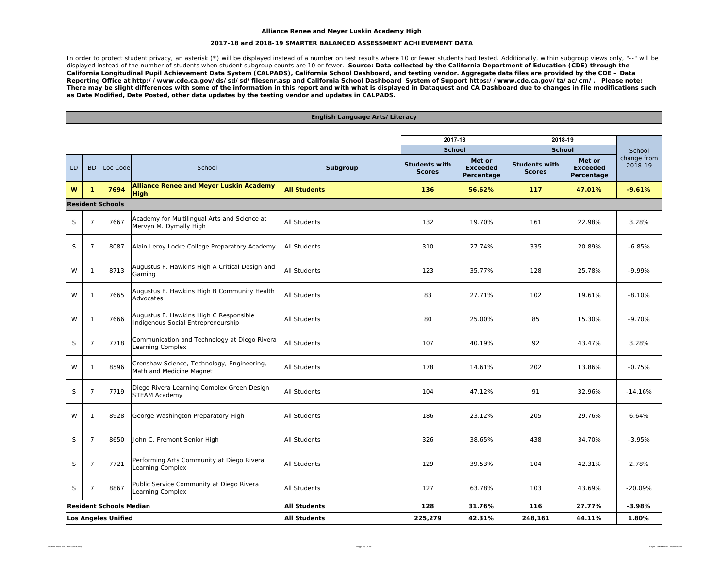#### **2017-18 and 2018-19 SMARTER BALANCED ASSESSMENT ACHIEVEMENT DATA**

In order to protect student privacy, an asterisk (\*) will be displayed instead of a number on test results where 10 or fewer students had tested. Additionally, within subgroup views only, "--" will be displayed instead of the number of students when student subgroup counts are 10 or fewer. *Source: Data collected by the California Department of Education (CDE) through the California Longitudinal Pupil Achievement Data System (CALPADS), California School Dashboard, and testing vendor. Aggregate data files are provided by the CDE – Data Reporting Office at http://www.cde.ca.gov/ds/sd/sd/filesenr.asp and California School Dashboard System of Support https://www.cde.ca.gov/ta/ac/cm/. Please note: There may be slight differences with some of the information in this report and with what is displayed in Dataquest and CA Dashboard due to changes in file modifications such as Date Modified, Date Posted, other data updates by the testing vendor and updates in CALPADS.* 

**English Language Arts/Literacy**

|             |                                                                                        |                                |                                                                              |                     | 2017-18                               |                           |                      | 2018-19                                    |                                  |
|-------------|----------------------------------------------------------------------------------------|--------------------------------|------------------------------------------------------------------------------|---------------------|---------------------------------------|---------------------------|----------------------|--------------------------------------------|----------------------------------|
| <b>LD</b>   | <b>BD</b>                                                                              | Loc Code                       | School                                                                       | Subgroup            | <b>School</b><br><b>Students with</b> | Met or<br><b>Exceeded</b> | <b>Students with</b> | <b>School</b><br>Met or<br><b>Exceeded</b> | School<br>change from<br>2018-19 |
|             |                                                                                        |                                |                                                                              |                     | <b>Scores</b>                         | Percentage                | <b>Scores</b>        | Percentage                                 |                                  |
| W           | $\mathbf{1}$                                                                           | 7694                           | <b>Alliance Renee and Meyer Luskin Academy</b><br>High                       | <b>All Students</b> | 136                                   | 56.62%                    | 117                  | 47.01%                                     | $-9.61%$                         |
|             |                                                                                        | <b>Resident Schools</b>        |                                                                              |                     |                                       |                           |                      |                                            |                                  |
| S           | $\overline{7}$                                                                         | 7667                           | Academy for Multilingual Arts and Science at<br>Mervyn M. Dymally High       | <b>All Students</b> | 132                                   | 19.70%                    | 161                  | 22.98%                                     | 3.28%                            |
| S           | $\overline{7}$                                                                         | 8087                           | Alain Leroy Locke College Preparatory Academy                                | <b>All Students</b> | 310                                   | 27.74%                    | 335                  | 20.89%                                     | $-6.85%$                         |
| W           | $\mathbf{1}$                                                                           | 8713                           | Augustus F. Hawkins High A Critical Design and<br>Gaming                     | All Students        | 123                                   | 35.77%                    | 128                  | 25.78%                                     | $-9.99%$                         |
| W           | $\overline{1}$                                                                         | 7665                           | Augustus F. Hawkins High B Community Health<br>Advocates                     | All Students        | 83                                    | 27.71%                    | 102                  | 19.61%                                     | $-8.10%$                         |
| W           | $\overline{1}$                                                                         | 7666                           | Augustus F. Hawkins High C Responsible<br>Indigenous Social Entrepreneurship | All Students        | 80                                    | 25.00%                    | 85                   | 15.30%                                     | $-9.70%$                         |
| S           | $\overline{7}$                                                                         | 7718                           | Communication and Technology at Diego Rivera<br>Learning Complex             | All Students        | 107                                   | 40.19%                    | 92                   | 43.47%                                     | 3.28%                            |
| W           | $\mathbf{1}$                                                                           | 8596                           | Crenshaw Science, Technology, Engineering,<br>Math and Medicine Magnet       | All Students        | 178                                   | 14.61%                    | 202                  | 13.86%                                     | $-0.75%$                         |
| $\mathsf S$ | $\overline{7}$                                                                         | 7719                           | Diego Rivera Learning Complex Green Design<br><b>STEAM Academy</b>           | All Students        | 104                                   | 47.12%                    | 91                   | 32.96%                                     | $-14.16%$                        |
| W           | $\overline{1}$                                                                         | 8928                           | George Washington Preparatory High                                           | All Students        | 186                                   | 23.12%                    | 205                  | 29.76%                                     | 6.64%                            |
| $\mathsf S$ | $\overline{7}$                                                                         | 8650                           | John C. Fremont Senior High                                                  | All Students        | 326                                   | 38.65%                    | 438                  | 34.70%                                     | $-3.95%$                         |
| S           | $\overline{7}$                                                                         | 7721                           | Performing Arts Community at Diego Rivera<br>Learning Complex                | All Students        | 129                                   | 39.53%                    | 104                  | 42.31%                                     | 2.78%                            |
| S           | Public Service Community at Diego Rivera<br>8867<br>$\overline{7}$<br>Learning Complex |                                |                                                                              | <b>All Students</b> | 127                                   | 63.78%                    | 103                  | 43.69%                                     | $-20.09%$                        |
|             |                                                                                        | <b>Resident Schools Median</b> |                                                                              | All Students        | 128                                   | 31.76%                    | 116                  | 27.77%                                     | $-3.98%$                         |
|             |                                                                                        | Los Angeles Unified            |                                                                              | <b>All Students</b> | 225,279                               | 42.31%                    | 248,161              | 44.11%                                     | 1.80%                            |

#### Office of Data and Accountability Page 18 of 19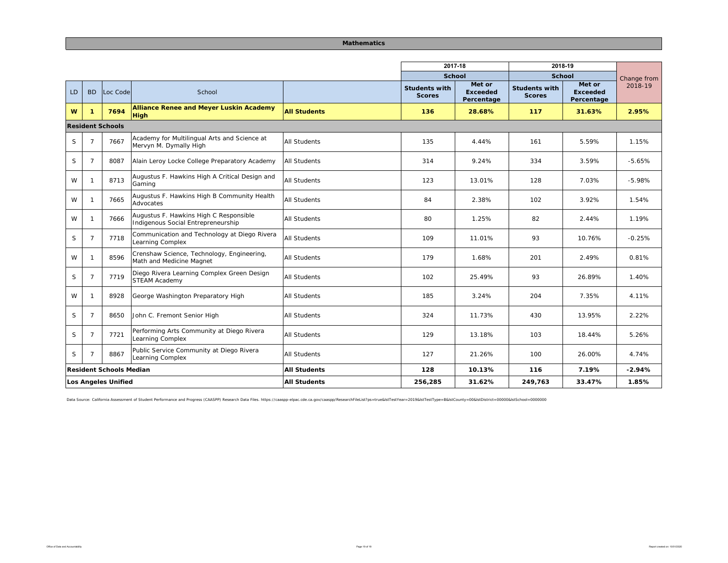#### **Mathematics**

|     |                |                                |                                                                              |                     | 2017-18                               |                                         | 2018-19                               |                                  |             |
|-----|----------------|--------------------------------|------------------------------------------------------------------------------|---------------------|---------------------------------------|-----------------------------------------|---------------------------------------|----------------------------------|-------------|
|     |                |                                |                                                                              |                     | <b>School</b>                         |                                         | School                                |                                  | Change from |
| LD. | <b>BD</b>      | Loc Code                       | School                                                                       |                     | <b>Students with</b><br><b>Scores</b> | Met or<br><b>Exceeded</b><br>Percentage | <b>Students with</b><br><b>Scores</b> | Met or<br>Exceeded<br>Percentage | 2018-19     |
| W   | $\mathbf{1}$   | 7694                           | <b>Alliance Renee and Meyer Luskin Academy</b><br><b>High</b>                | <b>All Students</b> | 136                                   | 28.68%                                  | 117                                   | 31.63%                           | 2.95%       |
|     |                | <b>Resident Schools</b>        |                                                                              |                     |                                       |                                         |                                       |                                  |             |
| S   | $\overline{7}$ | 7667                           | Academy for Multilingual Arts and Science at<br>Mervyn M. Dymally High       | <b>All Students</b> | 135                                   | 4.44%                                   | 161                                   | 5.59%                            | 1.15%       |
| S   | $\overline{7}$ | 8087                           | Alain Leroy Locke College Preparatory Academy                                | <b>All Students</b> | 314                                   | 9.24%                                   | 334                                   | 3.59%                            | $-5.65%$    |
| W   | $\mathbf{1}$   | 8713                           | Augustus F. Hawkins High A Critical Design and<br>Gaming                     | <b>All Students</b> | 123                                   | 13.01%                                  | 128                                   | 7.03%                            | $-5.98%$    |
| W   | $\mathbf{1}$   | 7665                           | Augustus F. Hawkins High B Community Health<br>Advocates                     | All Students        | 84                                    | 2.38%                                   | 102                                   | 3.92%                            | 1.54%       |
| W   | $\mathbf{1}$   | 7666                           | Augustus F. Hawkins High C Responsible<br>Indigenous Social Entrepreneurship | <b>All Students</b> | 80                                    | 1.25%                                   | 82                                    | 2.44%                            | 1.19%       |
| S   | $\overline{7}$ | 7718                           | Communication and Technology at Diego Rivera<br>Learning Complex             | <b>All Students</b> | 109                                   | 11.01%                                  | 93                                    | 10.76%                           | $-0.25%$    |
| W   | -1             | 8596                           | Crenshaw Science, Technology, Engineering,<br>Math and Medicine Magnet       | <b>All Students</b> | 179                                   | 1.68%                                   | 201                                   | 2.49%                            | 0.81%       |
| S   | $\overline{7}$ | 7719                           | Diego Rivera Learning Complex Green Design<br><b>STEAM Academy</b>           | <b>All Students</b> | 102                                   | 25.49%                                  | 93                                    | 26.89%                           | 1.40%       |
| W   | $\mathbf{1}$   | 8928                           | George Washington Preparatory High                                           | <b>All Students</b> | 185                                   | 3.24%                                   | 204                                   | 7.35%                            | 4.11%       |
| S   | $\overline{7}$ | 8650                           | John C. Fremont Senior High                                                  | <b>All Students</b> | 324                                   | 11.73%                                  | 430                                   | 13.95%                           | 2.22%       |
| S   | $\overline{7}$ | 7721                           | Performing Arts Community at Diego Rivera<br>Learning Complex                | <b>All Students</b> | 129                                   | 13.18%                                  | 103                                   | 18.44%                           | 5.26%       |
| S   | $\overline{7}$ | 8867                           | Public Service Community at Diego Rivera<br>Learning Complex                 | <b>All Students</b> | 127                                   | 21.26%                                  | 100                                   | 26.00%                           | 4.74%       |
|     |                | <b>Resident Schools Median</b> |                                                                              | <b>All Students</b> | 128                                   | 10.13%                                  | 116                                   | 7.19%                            | $-2.94%$    |
|     |                | Los Angeles Unified            |                                                                              | <b>All Students</b> | 256,285                               | 31.62%                                  | 249.763                               | 33.47%                           | 1.85%       |

Data Source: California Assessment of Student Performance and Progress (CAASPP) Research Data Files. https://caaspp-elpac.cde.ca.gov/caaspp/ResearchFileList?ps=true&IstTestYear=2019&IstTestType=B&IstCounty=00&IstDistrict=0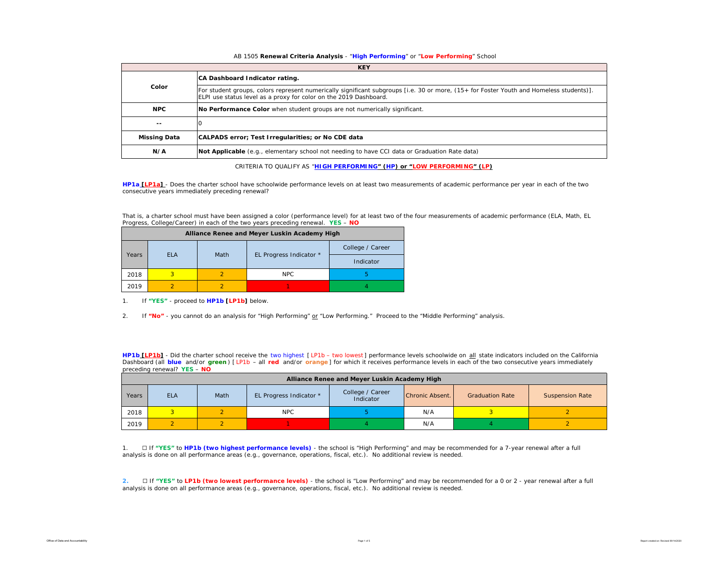#### AB 1505 **Renewal Criteria Analysis** - "**High Performing**" or "**Low Performing**" School

|                     | <b>KEY</b>                                                                                                                                                                                                   |
|---------------------|--------------------------------------------------------------------------------------------------------------------------------------------------------------------------------------------------------------|
|                     | CA Dashboard Indicator rating.                                                                                                                                                                               |
| Color               | For student groups, colors represent numerically significant subgroups [i.e. 30 or more, (15+ for Foster Youth and Homeless students)].<br>ELPI use status level as a proxy for color on the 2019 Dashboard. |
| <b>NPC</b>          | No Performance Color when student groups are not numerically significant.                                                                                                                                    |
| $- -$               |                                                                                                                                                                                                              |
| <b>Missing Data</b> | CALPADS error; Test Irregularities; or No CDE data                                                                                                                                                           |
| N/A                 | Not Applicable (e.g., elementary school not needing to have CCI data or Graduation Rate data)                                                                                                                |

CRITERIA TO QUALIFY AS "**HIGH PERFORMING" (HP) or "LOW PERFORMING" (LP)**

**HP1a [LP1a]** - *Does the charter school have schoolwide performance levels on at least two measurements of academic performance per year in each of the two consecutive years immediately preceding renewal?* 

That is, a charter school must have been assigned a color (performance level) for at least two of the four measurements of academic performance (ELA, Math, EL Progress, College/Career) in each of the two years preceding renewal. **YES** – **NO**

|       |            |      | Alliance Renee and Meyer Luskin Academy High |                  |
|-------|------------|------|----------------------------------------------|------------------|
|       | <b>FLA</b> |      |                                              | College / Career |
| Years |            | Math | EL Progress Indicator *                      | Indicator        |
| 2018  |            |      | NPC.                                         |                  |
| 2019  |            |      |                                              |                  |

1. If **"YES"** - proceed to **HP1b [LP1b]** below.

2. If **"No"** - you cannot do an analysis for "High Performing" or "Low Performing." Proceed to the "Middle Performing" analysis.

**HP1b [LP1b]** - *Did the charter school receive the two highest [ LP1b – two lowest ] performance levels schoolwide on all state indicators included on the California*  Dashboard (all blue and/or green) [LP1b - all red and/or orange] for which it receives performance levels in each of the two consecutive years immediately *preceding renewal?* **YES** – **NO**

|       | Alliance Renee and Meyer Luskin Academy High |      |                         |                               |                 |                        |                        |  |  |  |  |  |  |  |  |
|-------|----------------------------------------------|------|-------------------------|-------------------------------|-----------------|------------------------|------------------------|--|--|--|--|--|--|--|--|
| Years | <b>ELA</b>                                   | Math | EL Progress Indicator * | College / Career<br>Indicator | Chronic Absent. | <b>Graduation Rate</b> | <b>Suspension Rate</b> |  |  |  |  |  |  |  |  |
| 2018  |                                              |      | <b>NPC</b>              |                               | N/A             |                        |                        |  |  |  |  |  |  |  |  |
| 2019  |                                              |      |                         |                               | N/A             |                        |                        |  |  |  |  |  |  |  |  |

1. ☐ If **"YES"** to **HP1b (two highest performance levels)** - the school is "High Performing" and may be recommended for a 7-year renewal after a full analysis is done on all performance areas (e.g., governance, operations, fiscal, etc.). No additional review is needed.

**2.** ☐ If **"YES"** to **LP1b (two lowest performance levels)** - the school is "Low Performing" and may be recommended for a 0 or 2 - year renewal after a full analysis is done on all performance areas (e.g., governance, operations, fiscal, etc.). No additional review is needed.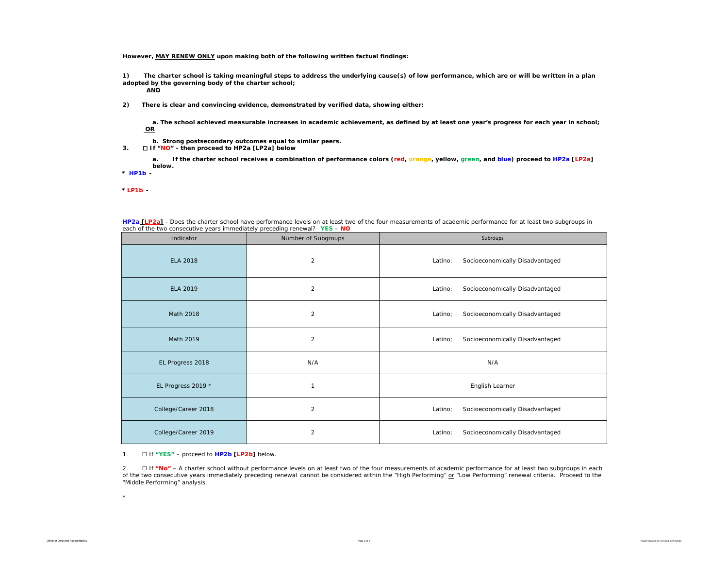**However, MAY RENEW ONLY upon making both of the following written factual findings:**

**1) The charter school is taking meaningful steps to address the underlying cause(s) of low performance, which are or will be written in a plan adopted by the governing body of the charter school;** 

**AND**

**2) There is clear and convincing evidence, demonstrated by verified data, showing either:**

**a. The school achieved measurable increases in academic achievement, as defined by at least one year's progress for each year in school; OR**

- **b. Strong postsecondary outcomes equal to similar peers.**
- **3.** ☐ **If "NO" then proceed to HP2a [LP2a] below**

**a. If the charter school receives a combination of performance colors (red, orange, yellow, green, and blue) proceed to HP2a [LP2a] below.** 

**\*** *HP1b -* 

*\* LP1b -* 

| each of the two consecutive years immediately preceding renewar. <b>TES - NO</b> |                     |                                            |
|----------------------------------------------------------------------------------|---------------------|--------------------------------------------|
| Indicator                                                                        | Number of Subgroups | Subroups                                   |
| <b>ELA 2018</b>                                                                  | 2                   | Socioeconomically Disadvantaged<br>Latino; |
| <b>ELA 2019</b>                                                                  | 2                   | Socioeconomically Disadvantaged<br>Latino; |
| Math 2018                                                                        | $\overline{2}$      | Socioeconomically Disadvantaged<br>Latino; |
| Math 2019                                                                        | 2                   | Latino;<br>Socioeconomically Disadvantaged |
| EL Progress 2018                                                                 | N/A                 | N/A                                        |
| EL Progress 2019 *                                                               | $\mathbf{1}$        | English Learner                            |
| College/Career 2018                                                              | $\overline{2}$      | Socioeconomically Disadvantaged<br>Latino; |
| College/Career 2019                                                              | $\overline{2}$      | Socioeconomically Disadvantaged<br>Latino; |

**HP2a [LP2a]** - *Does the charter school have performance levels on at least two of the four measurements of academic performance for at least two subgroups in each of the two consecutive years immediately preceding renewal?* **YES** – **NO**

#### 1. ☐ If **"YES"** – proceed to **HP2b [LP2b]** below.

2. ☐ If **"No"** – A charter school without *performance levels on at least two of the four measurements of academic performance for at least two subgroups in each of the two consecutive years immediately preceding renewal* cannot be considered within the "High Performing" or "Low Performing" renewal criteria. Proceed to the "Middle Performing" analysis.

\*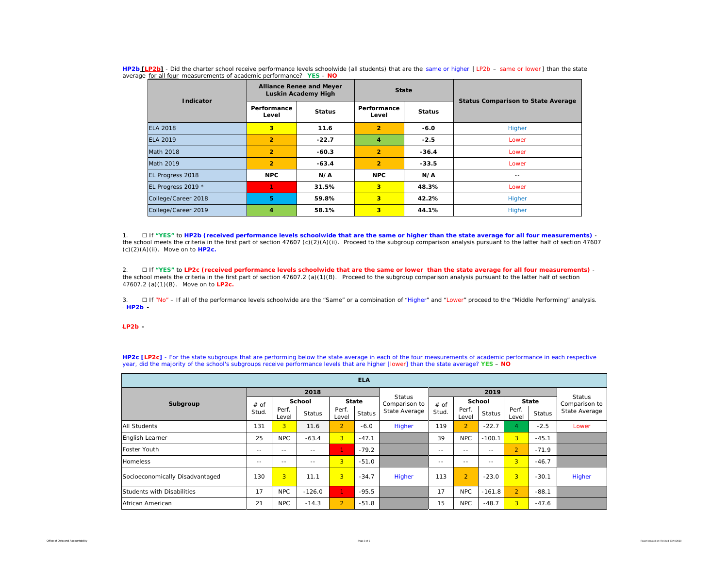| HP2b [LP2b] - Did the charter school receive performance levels schoolwide (all students) that are the same or higher [LP2b - same or lower] than the state |  |  |  |
|-------------------------------------------------------------------------------------------------------------------------------------------------------------|--|--|--|
| average for all four measurements of academic performance? YES - NO                                                                                         |  |  |  |

| Indicator           |                      | <b>Alliance Renee and Meyer</b><br>Luskin Academy High | <b>State</b>         |               | <b>Status Comparison to State Average</b> |  |  |
|---------------------|----------------------|--------------------------------------------------------|----------------------|---------------|-------------------------------------------|--|--|
|                     | Performance<br>Level | <b>Status</b>                                          | Performance<br>Level | <b>Status</b> |                                           |  |  |
| <b>ELA 2018</b>     | 3                    | 11.6                                                   | $\overline{2}$       | $-6.0$        | Higher                                    |  |  |
| <b>ELA 2019</b>     | $\overline{2}$       | $-22.7$                                                | 4                    | $-2.5$        | Lower                                     |  |  |
| <b>Math 2018</b>    | $\overline{2}$       | $-60.3$                                                | $\overline{2}$       | $-36.4$       | Lower                                     |  |  |
| Math 2019           | $\overline{2}$       | $-63.4$                                                | $\overline{2}$       | $-33.5$       | Lower                                     |  |  |
| EL Progress 2018    | <b>NPC</b>           | N/A                                                    | <b>NPC</b>           | N/A           | $\frac{1}{2}$                             |  |  |
| EL Progress 2019 *  |                      | 31.5%                                                  | 3 <sup>1</sup>       | 48.3%         | Lower                                     |  |  |
| College/Career 2018 | 5                    | 3<br>59.8%                                             |                      | 42.2%         | Higher                                    |  |  |
| College/Career 2019 | 4                    | 58.1%                                                  | 3                    | 44.1%         | Higher                                    |  |  |

1. ☐ If **"YES"** to **HP2b (received performance levels schoolwide that are the same or higher than the state average for all four measurements)**  the school meets the criteria in the first part of section 47607 (c)(2)(A)(ii). Proceed to the subgroup comparison analysis pursuant to the latter half of section 47607 (c)(2)(A)(ii). Move on to **HP2c.**

2. ☐ If **"YES"** to **LP2c (received performance levels schoolwide that are the same or lower than the state average for all four measurements)** the school meets the criteria in the first part of section 47607.2 (a)(1)(B). Proceed to the subgroup comparison analysis pursuant to the latter half of section 47607.2 (a)(1)(B). Move on to **LP2c.**

3. □ If "No" – If all of the performance levels schoolwide are the "Same" or a combination of "Higher" and "Lower" proceed to the "Middle Performing" analysis. \* *HP2b -* 

#### \**LP2b -*

**HP2c [LP2c]** - For the state subgroups that are performing below the state average in each of the four measurements of academic performance in each respective year, did the majority of the school's subgroups receive performance levels that are higher [lower] than the state average? **YES** – **NO**

| <b>ELA</b>                      |               |                |               |                |               |                                |               |                |               |                |               |                                |  |
|---------------------------------|---------------|----------------|---------------|----------------|---------------|--------------------------------|---------------|----------------|---------------|----------------|---------------|--------------------------------|--|
|                                 |               |                | 2018          |                |               |                                |               |                |               |                |               |                                |  |
| Subgroup                        | # of<br>Stud. |                | <b>School</b> |                | <b>State</b>  | <b>Status</b><br>Comparison to | # of<br>Stud. | School         |               | <b>State</b>   |               | <b>Status</b><br>Comparison to |  |
|                                 |               | Perf.<br>Level | Status        | Perf.<br>Level | <b>Status</b> | State Average                  |               | Perf.<br>Level | <b>Status</b> | Perf.<br>Level | <b>Status</b> | State Average                  |  |
| <b>All Students</b>             | 131           | 3 <sup>1</sup> | 11.6          | $\overline{2}$ | $-6.0$        | Higher                         | 119           | $\overline{2}$ | $-22.7$       |                | $-2.5$        | Lower                          |  |
| English Learner                 | 25            | <b>NPC</b>     | $-63.4$       | 3 <sup>1</sup> | $-47.1$       |                                | 39            | <b>NPC</b>     | $-100.1$      | 3 <sup>1</sup> | $-45.1$       |                                |  |
| Foster Youth                    | $\frac{1}{2}$ | $- -$          | $\frac{1}{2}$ | 1.             | $-79.2$       |                                | $\frac{1}{2}$ | $- -$          | $- -$         | $\overline{2}$ | $-71.9$       |                                |  |
| <b>Homeless</b>                 | $\frac{1}{2}$ | $- -$          | $- -$         | 3 <sup>1</sup> | $-51.0$       |                                | $- -$         | $- -$          | $- -$         | 3 <sup>1</sup> | $-46.7$       |                                |  |
| Socioeconomically Disadvantaged | 130           | $\overline{3}$ | 11.1          | 3 <sup>1</sup> | $-34.7$       | Higher                         | 113           | $\overline{2}$ | $-23.0$       | 3 <sup>1</sup> | $-30.1$       | Higher                         |  |
| Students with Disabilities      | 17            | <b>NPC</b>     | $-126.0$      | 1.             | $-95.5$       |                                | 17            | <b>NPC</b>     | $-161.8$      | $\overline{2}$ | $-88.1$       |                                |  |
| African American                | 21            | <b>NPC</b>     | $-14.3$       | $\overline{2}$ | $-51.8$       |                                | 15            | <b>NPC</b>     | $-48.7$       | 3 <sup>1</sup> | $-47.6$       |                                |  |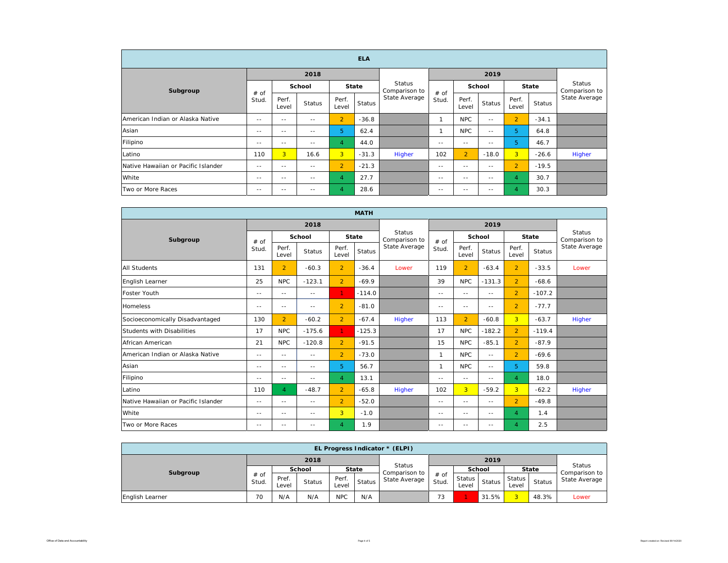| <b>ELA</b>                          |               |                |               |                |               |                                |               |                |               |                |               |                                |  |
|-------------------------------------|---------------|----------------|---------------|----------------|---------------|--------------------------------|---------------|----------------|---------------|----------------|---------------|--------------------------------|--|
|                                     |               |                | 2018          |                |               |                                |               |                | 2019          |                |               |                                |  |
| Subgroup                            | # of<br>Stud. |                | School        |                | <b>State</b>  | <b>Status</b><br>Comparison to |               | School         |               | <b>State</b>   |               | <b>Status</b><br>Comparison to |  |
|                                     |               | Perf.<br>Level | <b>Status</b> | Perf.<br>Level | <b>Status</b> | State Average                  | # of<br>Stud. | Perf.<br>Level | <b>Status</b> | Perf.<br>Level | <b>Status</b> | State Average                  |  |
| American Indian or Alaska Native    | $- -$         | $- -$          | $- -$         | $\overline{2}$ | $-36.8$       |                                |               | <b>NPC</b>     | $- -$         | $\overline{2}$ | $-34.1$       |                                |  |
| Asian                               | $\frac{1}{2}$ | $- -$          | $\frac{1}{2}$ | 5              | 62.4          |                                |               | <b>NPC</b>     | $\frac{1}{2}$ | 5              | 64.8          |                                |  |
| Filipino                            | $- -$         | $- -$          | $- -$         | $\overline{4}$ | 44.0          |                                | $- -$         | $- -$          | $- -$         | 5              | 46.7          |                                |  |
| Latino                              | 110           | 3              | 16.6          | 3              | $-31.3$       | Higher                         | 102           | $\overline{2}$ | $-18.0$       | $\overline{3}$ | $-26.6$       | Higher                         |  |
| Native Hawaiian or Pacific Islander | $\frac{1}{2}$ | $\frac{1}{2}$  | $\sim$ $-$    | $\overline{2}$ | $-21.3$       |                                | $\frac{1}{2}$ | $\sim$ $-$     | $\frac{1}{2}$ | $\overline{2}$ | $-19.5$       |                                |  |
| White                               | $\frac{1}{2}$ | $\frac{1}{2}$  | $\sim$ $-$    | 4              | 27.7          |                                | $\frac{1}{2}$ | $\sim$ $-$     | $\frac{1}{2}$ | $\overline{4}$ | 30.7          |                                |  |
| Two or More Races                   | $- -$         | $- -$          | $- -$         | $\overline{4}$ | 28.6          |                                | $- -$         | $- -$          | $- -$         | 4              | 30.3          |                                |  |

| <b>MATH</b>                         |               |                |               |                |               |                                |               |                |               |                |               |                                |
|-------------------------------------|---------------|----------------|---------------|----------------|---------------|--------------------------------|---------------|----------------|---------------|----------------|---------------|--------------------------------|
|                                     |               |                | 2018          |                |               |                                |               |                |               |                |               |                                |
| Subgroup                            | # of          | School         |               |                | <b>State</b>  | <b>Status</b><br>Comparison to | # of          | <b>School</b>  |               |                | <b>State</b>  | <b>Status</b><br>Comparison to |
|                                     | Stud.         | Perf.<br>Level | <b>Status</b> | Perf.<br>Level | <b>Status</b> | State Average                  | Stud.         | Perf.<br>Level | <b>Status</b> | Perf.<br>Level | <b>Status</b> | State Average                  |
| <b>All Students</b>                 | 131           | $\overline{2}$ | $-60.3$       | $\overline{2}$ | $-36.4$       | Lower                          | 119           | $\overline{2}$ | $-63.4$       | $\overline{2}$ | $-33.5$       | Lower                          |
| English Learner                     | 25            | NPC            | $-123.1$      | $\overline{2}$ | $-69.9$       |                                | 39            | <b>NPC</b>     | $-131.3$      | $\overline{2}$ | $-68.6$       |                                |
| <b>Foster Youth</b>                 | $\sim$ $-$    | $- -$          | $- -$         | 1.             | $-114.0$      |                                | $\sim$ $-$    | $= -$          | $= -$         | $\overline{2}$ | $-107.2$      |                                |
| <b>Homeless</b>                     | $- -$         | $\frac{1}{2}$  | $ -$          | $\overline{2}$ | $-81.0$       |                                | $- -$         | $- -$          | $- -$         | $\overline{2}$ | $-77.7$       |                                |
| Socioeconomically Disadvantaged     | 130           | $\overline{2}$ | $-60.2$       | $\overline{2}$ | $-67.4$       | Higher                         | 113           | $\overline{2}$ | $-60.8$       | $\overline{3}$ | $-63.7$       | Higher                         |
| Students with Disabilities          | 17            | <b>NPC</b>     | $-175.6$      | $\mathbf{1}$   | $-125.3$      |                                | 17            | <b>NPC</b>     | $-182.2$      | $\overline{2}$ | $-119.4$      |                                |
| African American                    | 21            | <b>NPC</b>     | $-120.8$      | $\overline{2}$ | $-91.5$       |                                | 15            | <b>NPC</b>     | $-85.1$       | $\overline{2}$ | $-87.9$       |                                |
| American Indian or Alaska Native    | $\frac{1}{2}$ | $\frac{1}{2}$  | $\frac{1}{2}$ | $\overline{2}$ | $-73.0$       |                                | 1             | <b>NPC</b>     | $\sim$ $-$    | $\overline{2}$ | $-69.6$       |                                |
| Asian                               | $\frac{1}{2}$ | $- -$          | $\frac{1}{2}$ | 5              | 56.7          |                                | $\mathbf{1}$  | <b>NPC</b>     | $- -$         | 5.             | 59.8          |                                |
| Filipino                            | $\frac{1}{2}$ | $\frac{1}{2}$  | $ -$          | $\overline{4}$ | 13.1          |                                | $- -$         | $- -$          | $- -$         | $\overline{4}$ | 18.0          |                                |
| Latino                              | 110           | $\overline{4}$ | $-48.7$       | $\overline{2}$ | $-65.8$       | <b>Higher</b>                  | 102           | $\overline{3}$ | $-59.2$       | 3 <sup>1</sup> | $-62.2$       | Higher                         |
| Native Hawaiian or Pacific Islander | $\frac{1}{2}$ | $\frac{1}{2}$  | $\frac{1}{2}$ | $\overline{2}$ | $-52.0$       |                                | $- -$         | $- -$          | $- -$         | $\overline{2}$ | $-49.8$       |                                |
| White                               | $\frac{1}{2}$ | $\frac{1}{2}$  | $\frac{1}{2}$ | 3              | $-1.0$        |                                | $\frac{1}{2}$ | $\frac{1}{2}$  | $- -$         | $\overline{4}$ | 1.4           |                                |
| Two or More Races                   | $\frac{1}{2}$ | $\frac{1}{2}$  | $- -$         | 4              | 1.9           |                                | $\frac{1}{2}$ | $\frac{1}{2}$  | $\frac{1}{2}$ | 4              | 2.5           |                                |

| EL Progress Indicator * (ELPI) |                 |                |               |                |        |                                |                 |                 |               |                 |               |               |  |  |
|--------------------------------|-----------------|----------------|---------------|----------------|--------|--------------------------------|-----------------|-----------------|---------------|-----------------|---------------|---------------|--|--|
|                                |                 |                | 2018          |                |        |                                |                 |                 | 2019          |                 |               | Status        |  |  |
| Subgroup                       |                 | School         |               | <b>State</b>   |        | <b>Status</b><br>Comparison to |                 | <b>School</b>   |               | <b>State</b>    |               | Comparison to |  |  |
|                                | $#$ of<br>Stud. | Pref.<br>Level | <b>Status</b> | Perf.<br>Level | Status | State Average                  | $#$ of<br>Stud. | Status<br>Level | <b>Status</b> | Status<br>Level | <b>Status</b> | State Average |  |  |
| English Learner                | 70              | N/A            | N/A           | <b>NPC</b>     | N/A    |                                | 73              |                 | 31.5%         |                 | 48.3%         | Lower         |  |  |